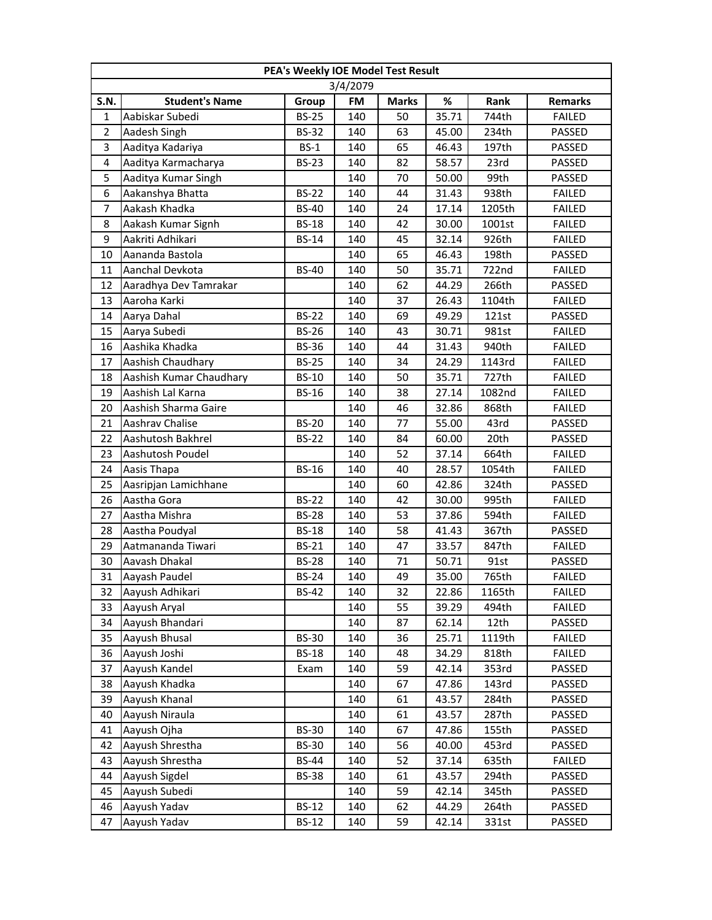|                         | PEA's Weekly IOE Model Test Result |              |          |              |       |        |                |  |  |  |
|-------------------------|------------------------------------|--------------|----------|--------------|-------|--------|----------------|--|--|--|
|                         |                                    |              | 3/4/2079 |              |       |        |                |  |  |  |
| <b>S.N.</b>             | <b>Student's Name</b>              | Group        | FM       | <b>Marks</b> | %     | Rank   | <b>Remarks</b> |  |  |  |
| $\mathbf{1}$            | Aabiskar Subedi                    | <b>BS-25</b> | 140      | 50           | 35.71 | 744th  | <b>FAILED</b>  |  |  |  |
| $\overline{2}$          | Aadesh Singh                       | <b>BS-32</b> | 140      | 63           | 45.00 | 234th  | PASSED         |  |  |  |
| $\overline{\mathbf{3}}$ | Aaditya Kadariya                   | $BS-1$       | 140      | 65           | 46.43 | 197th  | PASSED         |  |  |  |
| 4                       | Aaditya Karmacharya                | <b>BS-23</b> | 140      | 82           | 58.57 | 23rd   | PASSED         |  |  |  |
| 5                       | Aaditya Kumar Singh                |              | 140      | 70           | 50.00 | 99th   | PASSED         |  |  |  |
| 6                       | Aakanshya Bhatta                   | <b>BS-22</b> | 140      | 44           | 31.43 | 938th  | <b>FAILED</b>  |  |  |  |
| 7                       | Aakash Khadka                      | <b>BS-40</b> | 140      | 24           | 17.14 | 1205th | <b>FAILED</b>  |  |  |  |
| 8                       | Aakash Kumar Signh                 | <b>BS-18</b> | 140      | 42           | 30.00 | 1001st | <b>FAILED</b>  |  |  |  |
| 9                       | Aakriti Adhikari                   | <b>BS-14</b> | 140      | 45           | 32.14 | 926th  | <b>FAILED</b>  |  |  |  |
| 10                      | Aananda Bastola                    |              | 140      | 65           | 46.43 | 198th  | PASSED         |  |  |  |
| 11                      | Aanchal Devkota                    | <b>BS-40</b> | 140      | 50           | 35.71 | 722nd  | <b>FAILED</b>  |  |  |  |
| 12                      | Aaradhya Dev Tamrakar              |              | 140      | 62           | 44.29 | 266th  | PASSED         |  |  |  |
| 13                      | Aaroha Karki                       |              | 140      | 37           | 26.43 | 1104th | <b>FAILED</b>  |  |  |  |
| 14                      | Aarya Dahal                        | <b>BS-22</b> | 140      | 69           | 49.29 | 121st  | PASSED         |  |  |  |
| 15                      | Aarya Subedi                       | <b>BS-26</b> | 140      | 43           | 30.71 | 981st  | <b>FAILED</b>  |  |  |  |
| 16                      | Aashika Khadka                     | <b>BS-36</b> | 140      | 44           | 31.43 | 940th  | <b>FAILED</b>  |  |  |  |
| 17                      | Aashish Chaudhary                  | <b>BS-25</b> | 140      | 34           | 24.29 | 1143rd | <b>FAILED</b>  |  |  |  |
| 18                      | Aashish Kumar Chaudhary            | <b>BS-10</b> | 140      | 50           | 35.71 | 727th  | <b>FAILED</b>  |  |  |  |
| 19                      | Aashish Lal Karna                  | <b>BS-16</b> | 140      | 38           | 27.14 | 1082nd | <b>FAILED</b>  |  |  |  |
| 20                      | Aashish Sharma Gaire               |              | 140      | 46           | 32.86 | 868th  | <b>FAILED</b>  |  |  |  |
| 21                      | Aashrav Chalise                    | <b>BS-20</b> | 140      | 77           | 55.00 | 43rd   | PASSED         |  |  |  |
| 22                      | Aashutosh Bakhrel                  | <b>BS-22</b> | 140      | 84           | 60.00 | 20th   | PASSED         |  |  |  |
| 23                      | Aashutosh Poudel                   |              | 140      | 52           | 37.14 | 664th  | <b>FAILED</b>  |  |  |  |
| 24                      | Aasis Thapa                        | <b>BS-16</b> | 140      | 40           | 28.57 | 1054th | <b>FAILED</b>  |  |  |  |
| 25                      | Aasripjan Lamichhane               |              | 140      | 60           | 42.86 | 324th  | PASSED         |  |  |  |
| 26                      | Aastha Gora                        | <b>BS-22</b> | 140      | 42           | 30.00 | 995th  | <b>FAILED</b>  |  |  |  |
| 27                      | Aastha Mishra                      | <b>BS-28</b> | 140      | 53           | 37.86 | 594th  | <b>FAILED</b>  |  |  |  |
| 28                      | Aastha Poudyal                     | <b>BS-18</b> | 140      | 58           | 41.43 | 367th  | PASSED         |  |  |  |
| 29                      | Aatmananda Tiwari                  | <b>BS-21</b> | 140      | 47           | 33.57 | 847th  | <b>FAILED</b>  |  |  |  |
| 30                      | Aavash Dhakal                      | <b>BS-28</b> | 140      | 71           | 50.71 | 91st   | PASSED         |  |  |  |
| 31                      | Aayash Paudel                      | <b>BS-24</b> | 140      | 49           | 35.00 | 765th  | <b>FAILED</b>  |  |  |  |
| 32                      | Aayush Adhikari                    | <b>BS-42</b> | 140      | 32           | 22.86 | 1165th | <b>FAILED</b>  |  |  |  |
| 33                      | Aayush Aryal                       |              | 140      | 55           | 39.29 | 494th  | <b>FAILED</b>  |  |  |  |
| 34                      | Aayush Bhandari                    |              | 140      | 87           | 62.14 | 12th   | PASSED         |  |  |  |
| 35                      | Aayush Bhusal                      | <b>BS-30</b> | 140      | 36           | 25.71 | 1119th | FAILED         |  |  |  |
| 36                      | Aayush Joshi                       | <b>BS-18</b> | 140      | 48           | 34.29 | 818th  | FAILED         |  |  |  |
| 37                      | Aayush Kandel                      | Exam         | 140      | 59           | 42.14 | 353rd  | PASSED         |  |  |  |
| 38                      | Aayush Khadka                      |              | 140      | 67           | 47.86 | 143rd  | PASSED         |  |  |  |
| 39                      | Aayush Khanal                      |              | 140      | 61           | 43.57 | 284th  | PASSED         |  |  |  |
| 40                      | Aayush Niraula                     |              | 140      | 61           | 43.57 | 287th  | PASSED         |  |  |  |
| 41                      | Aayush Ojha                        | <b>BS-30</b> | 140      | 67           | 47.86 | 155th  | PASSED         |  |  |  |
| 42                      | Aayush Shrestha                    | <b>BS-30</b> | 140      | 56           | 40.00 | 453rd  | PASSED         |  |  |  |
| 43                      | Aayush Shrestha                    | <b>BS-44</b> | 140      | 52           | 37.14 | 635th  | <b>FAILED</b>  |  |  |  |
| 44                      | Aayush Sigdel                      | <b>BS-38</b> | 140      | 61           | 43.57 | 294th  | PASSED         |  |  |  |
| 45                      | Aayush Subedi                      |              | 140      | 59           | 42.14 | 345th  | PASSED         |  |  |  |
| 46                      | Aayush Yadav                       | <b>BS-12</b> | 140      | 62           | 44.29 | 264th  | PASSED         |  |  |  |
| 47                      | Aayush Yadav                       | <b>BS-12</b> | 140      | 59           | 42.14 | 331st  | PASSED         |  |  |  |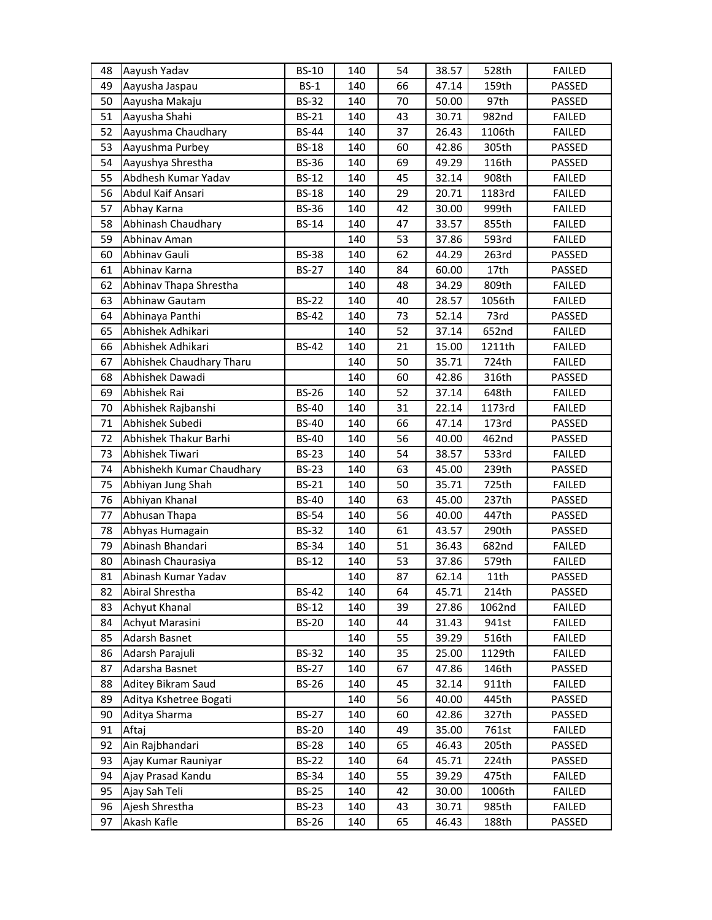| 48 | Aayush Yadav              | <b>BS-10</b> | 140 | 54 | 38.57 | 528th  | <b>FAILED</b> |
|----|---------------------------|--------------|-----|----|-------|--------|---------------|
| 49 | Aayusha Jaspau            | $BS-1$       | 140 | 66 | 47.14 | 159th  | PASSED        |
| 50 | Aayusha Makaju            | <b>BS-32</b> | 140 | 70 | 50.00 | 97th   | PASSED        |
| 51 | Aayusha Shahi             | <b>BS-21</b> | 140 | 43 | 30.71 | 982nd  | <b>FAILED</b> |
| 52 | Aayushma Chaudhary        | <b>BS-44</b> | 140 | 37 | 26.43 | 1106th | <b>FAILED</b> |
| 53 | Aayushma Purbey           | <b>BS-18</b> | 140 | 60 | 42.86 | 305th  | PASSED        |
| 54 | Aayushya Shrestha         | <b>BS-36</b> | 140 | 69 | 49.29 | 116th  | PASSED        |
| 55 | Abdhesh Kumar Yadav       | <b>BS-12</b> | 140 | 45 | 32.14 | 908th  | <b>FAILED</b> |
| 56 | Abdul Kaif Ansari         | <b>BS-18</b> | 140 | 29 | 20.71 | 1183rd | <b>FAILED</b> |
| 57 | Abhay Karna               | <b>BS-36</b> | 140 | 42 | 30.00 | 999th  | <b>FAILED</b> |
| 58 | Abhinash Chaudhary        | <b>BS-14</b> | 140 | 47 | 33.57 | 855th  | <b>FAILED</b> |
| 59 | Abhinav Aman              |              | 140 | 53 | 37.86 | 593rd  | <b>FAILED</b> |
| 60 | Abhinav Gauli             | <b>BS-38</b> | 140 | 62 | 44.29 | 263rd  | PASSED        |
| 61 | Abhinav Karna             | <b>BS-27</b> | 140 | 84 | 60.00 | 17th   | PASSED        |
| 62 | Abhinav Thapa Shrestha    |              | 140 | 48 | 34.29 | 809th  | <b>FAILED</b> |
| 63 | Abhinaw Gautam            | <b>BS-22</b> | 140 | 40 | 28.57 | 1056th | <b>FAILED</b> |
| 64 | Abhinaya Panthi           | <b>BS-42</b> | 140 | 73 | 52.14 | 73rd   | PASSED        |
| 65 | Abhishek Adhikari         |              | 140 | 52 | 37.14 | 652nd  | <b>FAILED</b> |
| 66 | Abhishek Adhikari         | <b>BS-42</b> | 140 | 21 | 15.00 | 1211th | <b>FAILED</b> |
| 67 | Abhishek Chaudhary Tharu  |              | 140 | 50 | 35.71 | 724th  | <b>FAILED</b> |
| 68 | Abhishek Dawadi           |              | 140 | 60 | 42.86 | 316th  | PASSED        |
| 69 | Abhishek Rai              | <b>BS-26</b> | 140 | 52 | 37.14 | 648th  | <b>FAILED</b> |
| 70 | Abhishek Rajbanshi        | <b>BS-40</b> | 140 | 31 | 22.14 | 1173rd | <b>FAILED</b> |
| 71 | Abhishek Subedi           | <b>BS-40</b> | 140 | 66 | 47.14 | 173rd  | PASSED        |
| 72 | Abhishek Thakur Barhi     | <b>BS-40</b> | 140 | 56 | 40.00 | 462nd  | PASSED        |
| 73 | Abhishek Tiwari           | <b>BS-23</b> | 140 | 54 | 38.57 | 533rd  | <b>FAILED</b> |
| 74 | Abhishekh Kumar Chaudhary | <b>BS-23</b> | 140 | 63 | 45.00 | 239th  | PASSED        |
| 75 | Abhiyan Jung Shah         | <b>BS-21</b> | 140 | 50 | 35.71 | 725th  | <b>FAILED</b> |
| 76 | Abhiyan Khanal            | <b>BS-40</b> | 140 | 63 | 45.00 | 237th  | PASSED        |
| 77 | Abhusan Thapa             | <b>BS-54</b> | 140 | 56 | 40.00 | 447th  | PASSED        |
| 78 | Abhyas Humagain           | <b>BS-32</b> | 140 | 61 | 43.57 | 290th  | PASSED        |
| 79 | Abinash Bhandari          | <b>BS-34</b> | 140 | 51 | 36.43 | 682nd  | <b>FAILED</b> |
| 80 | Abinash Chaurasiya        | <b>BS-12</b> | 140 | 53 | 37.86 | 579th  | <b>FAILED</b> |
| 81 | Abinash Kumar Yadav       |              | 140 | 87 | 62.14 | 11th   | PASSED        |
| 82 | Abiral Shrestha           | <b>BS-42</b> | 140 | 64 | 45.71 | 214th  | PASSED        |
| 83 | Achyut Khanal             | <b>BS-12</b> | 140 | 39 | 27.86 | 1062nd | <b>FAILED</b> |
| 84 | Achyut Marasini           | <b>BS-20</b> | 140 | 44 | 31.43 | 941st  | <b>FAILED</b> |
| 85 | Adarsh Basnet             |              | 140 | 55 | 39.29 | 516th  | <b>FAILED</b> |
| 86 | Adarsh Parajuli           | <b>BS-32</b> | 140 | 35 | 25.00 | 1129th | <b>FAILED</b> |
| 87 | Adarsha Basnet            | <b>BS-27</b> | 140 | 67 | 47.86 | 146th  | PASSED        |
| 88 | Aditey Bikram Saud        | <b>BS-26</b> | 140 | 45 | 32.14 | 911th  | <b>FAILED</b> |
| 89 | Aditya Kshetree Bogati    |              | 140 | 56 | 40.00 | 445th  | PASSED        |
| 90 | Aditya Sharma             | <b>BS-27</b> | 140 | 60 | 42.86 | 327th  | PASSED        |
| 91 | Aftaj                     | <b>BS-20</b> | 140 | 49 | 35.00 | 761st  | <b>FAILED</b> |
| 92 | Ain Rajbhandari           | <b>BS-28</b> | 140 | 65 | 46.43 | 205th  | PASSED        |
| 93 | Ajay Kumar Rauniyar       | <b>BS-22</b> | 140 | 64 | 45.71 | 224th  | PASSED        |
| 94 | Ajay Prasad Kandu         | <b>BS-34</b> | 140 | 55 | 39.29 | 475th  | <b>FAILED</b> |
| 95 | Ajay Sah Teli             | <b>BS-25</b> | 140 | 42 | 30.00 | 1006th | <b>FAILED</b> |
| 96 | Ajesh Shrestha            | <b>BS-23</b> | 140 | 43 | 30.71 | 985th  | <b>FAILED</b> |
| 97 | Akash Kafle               | <b>BS-26</b> | 140 | 65 | 46.43 | 188th  | PASSED        |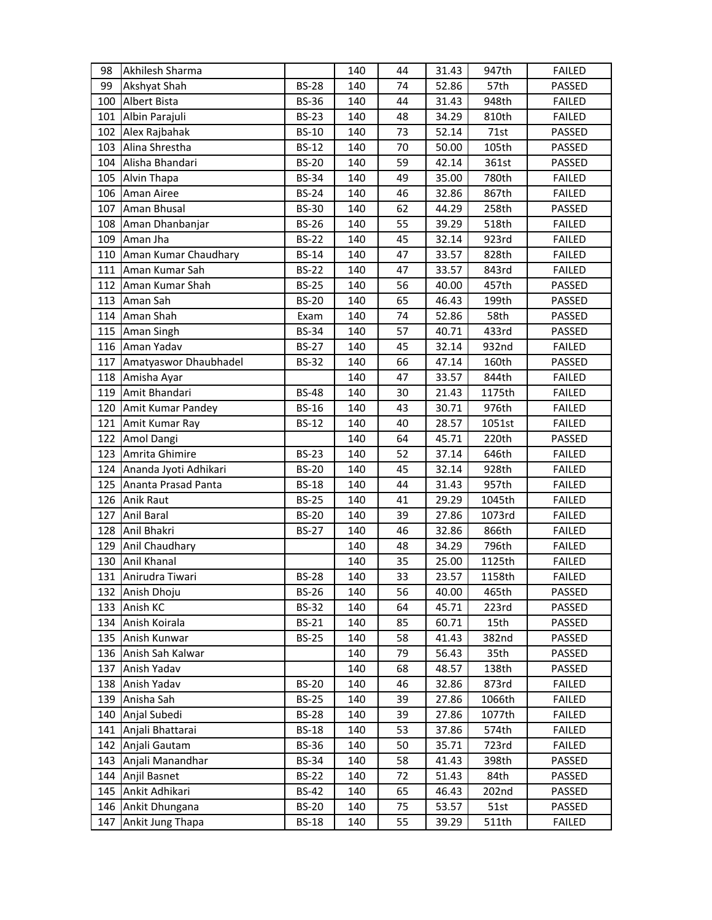| 98  | Akhilesh Sharma                    |              | 140 | 44 | 31.43 | 947th  | <b>FAILED</b> |
|-----|------------------------------------|--------------|-----|----|-------|--------|---------------|
| 99  | Akshyat Shah                       | <b>BS-28</b> | 140 | 74 | 52.86 | 57th   | PASSED        |
| 100 | Albert Bista                       | <b>BS-36</b> | 140 | 44 | 31.43 | 948th  | <b>FAILED</b> |
| 101 | Albin Parajuli                     | <b>BS-23</b> | 140 | 48 | 34.29 | 810th  | <b>FAILED</b> |
| 102 | Alex Rajbahak                      | <b>BS-10</b> | 140 | 73 | 52.14 | 71st   | PASSED        |
| 103 | Alina Shrestha                     | <b>BS-12</b> | 140 | 70 | 50.00 | 105th  | PASSED        |
| 104 | Alisha Bhandari                    | <b>BS-20</b> | 140 | 59 | 42.14 | 361st  | PASSED        |
|     | 105 Alvin Thapa                    | <b>BS-34</b> | 140 | 49 | 35.00 | 780th  | <b>FAILED</b> |
| 106 | <b>Aman Airee</b>                  | <b>BS-24</b> | 140 | 46 | 32.86 | 867th  | <b>FAILED</b> |
| 107 | Aman Bhusal                        | <b>BS-30</b> | 140 | 62 | 44.29 | 258th  | PASSED        |
| 108 | Aman Dhanbanjar                    | <b>BS-26</b> | 140 | 55 | 39.29 | 518th  | <b>FAILED</b> |
| 109 | Aman Jha                           | <b>BS-22</b> | 140 | 45 | 32.14 | 923rd  | <b>FAILED</b> |
|     | 110 Aman Kumar Chaudhary           | <b>BS-14</b> | 140 | 47 | 33.57 | 828th  | <b>FAILED</b> |
| 111 | Aman Kumar Sah                     | <b>BS-22</b> | 140 | 47 | 33.57 | 843rd  | <b>FAILED</b> |
| 112 | Aman Kumar Shah                    | <b>BS-25</b> | 140 | 56 | 40.00 | 457th  | PASSED        |
| 113 | Aman Sah                           | <b>BS-20</b> | 140 | 65 | 46.43 | 199th  | PASSED        |
| 114 | Aman Shah                          | Exam         | 140 | 74 | 52.86 | 58th   | PASSED        |
|     | 115 Aman Singh                     | <b>BS-34</b> | 140 | 57 | 40.71 | 433rd  | PASSED        |
|     | 116 Aman Yadav                     | <b>BS-27</b> | 140 | 45 | 32.14 | 932nd  | <b>FAILED</b> |
| 117 | Amatyaswor Dhaubhadel              | <b>BS-32</b> | 140 | 66 | 47.14 | 160th  | PASSED        |
| 118 | Amisha Ayar                        |              | 140 | 47 | 33.57 | 844th  | <b>FAILED</b> |
| 119 | Amit Bhandari                      | <b>BS-48</b> | 140 | 30 | 21.43 | 1175th | <b>FAILED</b> |
|     | 120 Amit Kumar Pandey              | <b>BS-16</b> | 140 | 43 | 30.71 | 976th  | <b>FAILED</b> |
| 121 | Amit Kumar Ray                     | <b>BS-12</b> | 140 | 40 | 28.57 | 1051st | <b>FAILED</b> |
| 122 | Amol Dangi                         |              | 140 | 64 | 45.71 | 220th  | PASSED        |
| 123 | Amrita Ghimire                     | <b>BS-23</b> | 140 | 52 | 37.14 | 646th  | <b>FAILED</b> |
| 124 | Ananda Jyoti Adhikari              | <b>BS-20</b> | 140 | 45 | 32.14 | 928th  | <b>FAILED</b> |
|     | 125 Ananta Prasad Panta            | <b>BS-18</b> | 140 | 44 | 31.43 | 957th  | <b>FAILED</b> |
|     | 126 Anik Raut                      | <b>BS-25</b> | 140 | 41 | 29.29 | 1045th | <b>FAILED</b> |
| 127 | <b>Anil Baral</b>                  | <b>BS-20</b> | 140 | 39 | 27.86 | 1073rd | <b>FAILED</b> |
| 128 | Anil Bhakri                        | <b>BS-27</b> | 140 | 46 | 32.86 | 866th  | <b>FAILED</b> |
| 129 | Anil Chaudhary                     |              | 140 | 48 | 34.29 | 796th  | <b>FAILED</b> |
|     | 130 Anil Khanal                    |              | 140 | 35 | 25.00 | 1125th | <b>FAILED</b> |
|     | 131 Anirudra Tiwari                | <b>BS-28</b> | 140 | 33 | 23.57 | 1158th | <b>FAILED</b> |
| 132 | Anish Dhoju                        | <b>BS-26</b> | 140 | 56 | 40.00 | 465th  | PASSED        |
| 133 | Anish KC                           | <b>BS-32</b> | 140 | 64 | 45.71 | 223rd  | PASSED        |
| 134 | Anish Koirala                      | <b>BS-21</b> | 140 | 85 | 60.71 | 15th   | PASSED        |
|     | 135 Anish Kunwar                   | <b>BS-25</b> | 140 | 58 | 41.43 | 382nd  | PASSED        |
|     | 136 Anish Sah Kalwar               |              | 140 | 79 | 56.43 | 35th   | PASSED        |
| 137 | Anish Yadav                        |              | 140 | 68 | 48.57 | 138th  | PASSED        |
| 138 | Anish Yadav                        | <b>BS-20</b> | 140 | 46 | 32.86 | 873rd  | <b>FAILED</b> |
| 139 | Anisha Sah                         | <b>BS-25</b> | 140 | 39 | 27.86 | 1066th | <b>FAILED</b> |
|     | 140 Anjal Subedi                   | <b>BS-28</b> | 140 | 39 | 27.86 | 1077th | <b>FAILED</b> |
| 141 | Anjali Bhattarai                   | <b>BS-18</b> | 140 | 53 | 37.86 | 574th  | <b>FAILED</b> |
| 142 | Anjali Gautam                      | BS-36        | 140 | 50 | 35.71 | 723rd  | FAILED        |
| 143 | Anjali Manandhar                   | <b>BS-34</b> | 140 | 58 | 41.43 | 398th  | PASSED        |
| 144 | Anjil Basnet                       | <b>BS-22</b> | 140 | 72 | 51.43 | 84th   | PASSED        |
|     | 145 Ankit Adhikari                 | <b>BS-42</b> | 140 | 65 | 46.43 | 202nd  | PASSED        |
|     |                                    |              |     |    |       |        |               |
| 146 | Ankit Dhungana<br>Ankit Jung Thapa | <b>BS-20</b> | 140 | 75 | 53.57 | 51st   | PASSED        |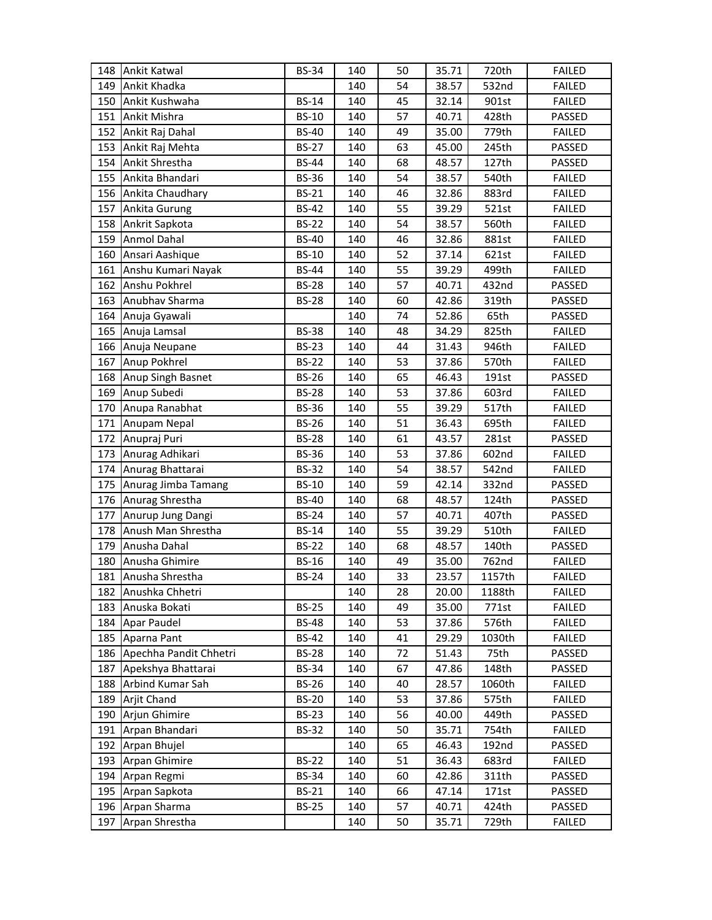| 148 | Ankit Katwal           | <b>BS-34</b> | 140 | 50 | 35.71 | 720th  | <b>FAILED</b> |
|-----|------------------------|--------------|-----|----|-------|--------|---------------|
| 149 | Ankit Khadka           |              | 140 | 54 | 38.57 | 532nd  | <b>FAILED</b> |
| 150 | Ankit Kushwaha         | <b>BS-14</b> | 140 | 45 | 32.14 | 901st  | <b>FAILED</b> |
| 151 | Ankit Mishra           | <b>BS-10</b> | 140 | 57 | 40.71 | 428th  | PASSED        |
| 152 | Ankit Raj Dahal        | <b>BS-40</b> | 140 | 49 | 35.00 | 779th  | <b>FAILED</b> |
| 153 | Ankit Raj Mehta        | <b>BS-27</b> | 140 | 63 | 45.00 | 245th  | PASSED        |
| 154 | Ankit Shrestha         | <b>BS-44</b> | 140 | 68 | 48.57 | 127th  | PASSED        |
| 155 | Ankita Bhandari        | <b>BS-36</b> | 140 | 54 | 38.57 | 540th  | <b>FAILED</b> |
| 156 | Ankita Chaudhary       | <b>BS-21</b> | 140 | 46 | 32.86 | 883rd  | <b>FAILED</b> |
| 157 | Ankita Gurung          | <b>BS-42</b> | 140 | 55 | 39.29 | 521st  | <b>FAILED</b> |
| 158 | Ankrit Sapkota         | <b>BS-22</b> | 140 | 54 | 38.57 | 560th  | <b>FAILED</b> |
| 159 | <b>Anmol Dahal</b>     | <b>BS-40</b> | 140 | 46 | 32.86 | 881st  | <b>FAILED</b> |
| 160 | Ansari Aashique        | <b>BS-10</b> | 140 | 52 | 37.14 | 621st  | <b>FAILED</b> |
| 161 | Anshu Kumari Nayak     | <b>BS-44</b> | 140 | 55 | 39.29 | 499th  | <b>FAILED</b> |
| 162 | Anshu Pokhrel          | <b>BS-28</b> | 140 | 57 | 40.71 | 432nd  | PASSED        |
| 163 | Anubhav Sharma         | <b>BS-28</b> | 140 | 60 | 42.86 | 319th  | PASSED        |
| 164 | Anuja Gyawali          |              | 140 | 74 | 52.86 | 65th   | PASSED        |
| 165 | Anuja Lamsal           | <b>BS-38</b> | 140 | 48 | 34.29 | 825th  | <b>FAILED</b> |
| 166 | Anuja Neupane          | <b>BS-23</b> | 140 | 44 | 31.43 | 946th  | <b>FAILED</b> |
| 167 | Anup Pokhrel           | <b>BS-22</b> | 140 | 53 | 37.86 | 570th  | <b>FAILED</b> |
| 168 | Anup Singh Basnet      | <b>BS-26</b> | 140 | 65 | 46.43 | 191st  | PASSED        |
| 169 | Anup Subedi            | <b>BS-28</b> | 140 | 53 | 37.86 | 603rd  | <b>FAILED</b> |
| 170 | Anupa Ranabhat         | <b>BS-36</b> | 140 | 55 | 39.29 | 517th  | <b>FAILED</b> |
| 171 | Anupam Nepal           | <b>BS-26</b> | 140 | 51 | 36.43 | 695th  | <b>FAILED</b> |
| 172 | Anupraj Puri           | <b>BS-28</b> | 140 | 61 | 43.57 | 281st  | PASSED        |
| 173 | Anurag Adhikari        | <b>BS-36</b> | 140 | 53 | 37.86 | 602nd  | <b>FAILED</b> |
| 174 | Anurag Bhattarai       | <b>BS-32</b> | 140 | 54 | 38.57 | 542nd  | <b>FAILED</b> |
| 175 | Anurag Jimba Tamang    | <b>BS-10</b> | 140 | 59 | 42.14 | 332nd  | PASSED        |
| 176 | Anurag Shrestha        | <b>BS-40</b> | 140 | 68 | 48.57 | 124th  | PASSED        |
| 177 | Anurup Jung Dangi      | <b>BS-24</b> | 140 | 57 | 40.71 | 407th  | PASSED        |
| 178 | Anush Man Shrestha     | <b>BS-14</b> | 140 | 55 | 39.29 | 510th  | <b>FAILED</b> |
| 179 | Anusha Dahal           | <b>BS-22</b> | 140 | 68 | 48.57 | 140th  | PASSED        |
| 180 | Anusha Ghimire         | <b>BS-16</b> | 140 | 49 | 35.00 | 762nd  | <b>FAILED</b> |
| 181 | Anusha Shrestha        | <b>BS-24</b> | 140 | 33 | 23.57 | 1157th | <b>FAILED</b> |
| 182 | Anushka Chhetri        |              | 140 | 28 | 20.00 | 1188th | <b>FAILED</b> |
| 183 | Anuska Bokati          | <b>BS-25</b> | 140 | 49 | 35.00 | 771st  | <b>FAILED</b> |
| 184 | Apar Paudel            | <b>BS-48</b> | 140 | 53 | 37.86 | 576th  | <b>FAILED</b> |
| 185 | Aparna Pant            | <b>BS-42</b> | 140 | 41 | 29.29 | 1030th | <b>FAILED</b> |
| 186 | Apechha Pandit Chhetri | <b>BS-28</b> | 140 | 72 | 51.43 | 75th   | PASSED        |
| 187 | Apekshya Bhattarai     | <b>BS-34</b> | 140 | 67 | 47.86 | 148th  | PASSED        |
| 188 | Arbind Kumar Sah       | <b>BS-26</b> | 140 | 40 | 28.57 | 1060th | <b>FAILED</b> |
| 189 | Arjit Chand            | <b>BS-20</b> | 140 | 53 | 37.86 | 575th  | <b>FAILED</b> |
| 190 | Arjun Ghimire          | <b>BS-23</b> | 140 | 56 | 40.00 | 449th  | PASSED        |
| 191 | Arpan Bhandari         | <b>BS-32</b> | 140 | 50 | 35.71 | 754th  | <b>FAILED</b> |
| 192 | Arpan Bhujel           |              | 140 | 65 | 46.43 | 192nd  | PASSED        |
| 193 | Arpan Ghimire          | <b>BS-22</b> | 140 | 51 | 36.43 | 683rd  | <b>FAILED</b> |
| 194 | Arpan Regmi            | <b>BS-34</b> | 140 | 60 | 42.86 | 311th  | PASSED        |
| 195 | Arpan Sapkota          | BS-21        | 140 | 66 | 47.14 | 171st  | PASSED        |
| 196 | Arpan Sharma           | <b>BS-25</b> | 140 | 57 | 40.71 | 424th  | PASSED        |
|     |                        |              |     |    |       |        |               |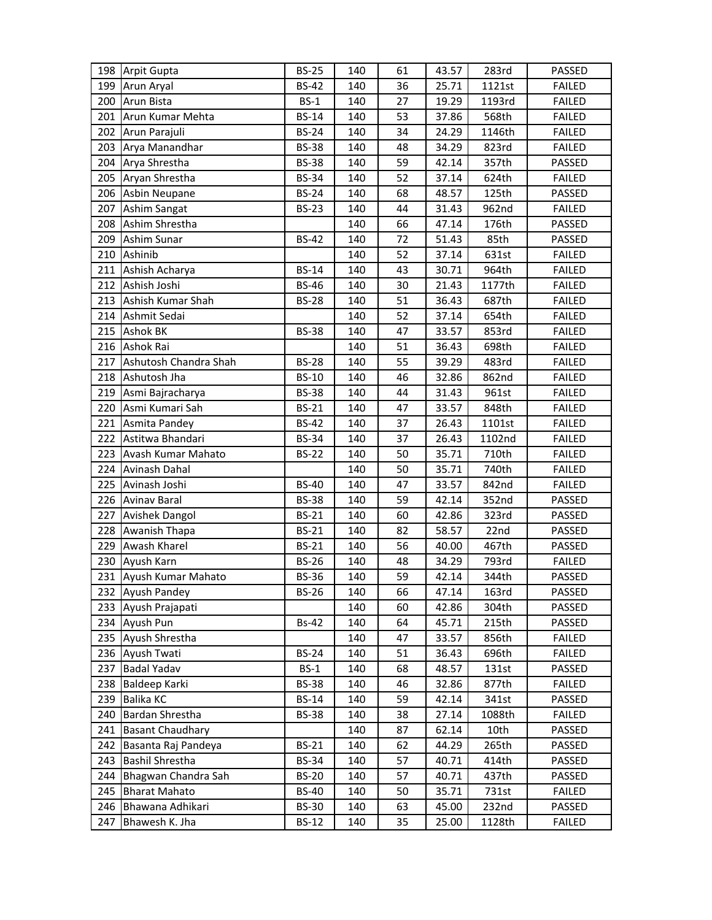|     | 198 Arpit Gupta         | <b>BS-25</b> | 140 | 61 | 43.57 | 283rd  | PASSED        |
|-----|-------------------------|--------------|-----|----|-------|--------|---------------|
|     | 199 Arun Aryal          | <b>BS-42</b> | 140 | 36 | 25.71 | 1121st | <b>FAILED</b> |
| 200 | Arun Bista              | $BS-1$       | 140 | 27 | 19.29 | 1193rd | <b>FAILED</b> |
| 201 | Arun Kumar Mehta        | <b>BS-14</b> | 140 | 53 | 37.86 | 568th  | <b>FAILED</b> |
|     | 202 Arun Parajuli       | <b>BS-24</b> | 140 | 34 | 24.29 | 1146th | <b>FAILED</b> |
|     | 203 Arya Manandhar      | <b>BS-38</b> | 140 | 48 | 34.29 | 823rd  | <b>FAILED</b> |
|     | 204 Arya Shrestha       | <b>BS-38</b> | 140 | 59 | 42.14 | 357th  | PASSED        |
|     | 205 Aryan Shrestha      | <b>BS-34</b> | 140 | 52 | 37.14 | 624th  | <b>FAILED</b> |
|     | 206 Asbin Neupane       | <b>BS-24</b> | 140 | 68 | 48.57 | 125th  | PASSED        |
| 207 | <b>Ashim Sangat</b>     | <b>BS-23</b> | 140 | 44 | 31.43 | 962nd  | <b>FAILED</b> |
| 208 | Ashim Shrestha          |              | 140 | 66 | 47.14 | 176th  | PASSED        |
| 209 | Ashim Sunar             | <b>BS-42</b> | 140 | 72 | 51.43 | 85th   | PASSED        |
|     | 210 Ashinib             |              | 140 | 52 | 37.14 | 631st  | <b>FAILED</b> |
| 211 | Ashish Acharya          | <b>BS-14</b> | 140 | 43 | 30.71 | 964th  | <b>FAILED</b> |
| 212 | Ashish Joshi            | <b>BS-46</b> | 140 | 30 | 21.43 | 1177th | <b>FAILED</b> |
| 213 | Ashish Kumar Shah       | <b>BS-28</b> | 140 | 51 | 36.43 | 687th  | <b>FAILED</b> |
| 214 | Ashmit Sedai            |              | 140 | 52 | 37.14 | 654th  | <b>FAILED</b> |
|     | 215 Ashok BK            | <b>BS-38</b> | 140 | 47 | 33.57 | 853rd  | <b>FAILED</b> |
|     | 216 Ashok Rai           |              | 140 | 51 | 36.43 | 698th  | <b>FAILED</b> |
| 217 | Ashutosh Chandra Shah   | <b>BS-28</b> | 140 | 55 | 39.29 | 483rd  | <b>FAILED</b> |
| 218 | Ashutosh Jha            | <b>BS-10</b> | 140 | 46 | 32.86 | 862nd  | <b>FAILED</b> |
| 219 | Asmi Bajracharya        | <b>BS-38</b> | 140 | 44 | 31.43 | 961st  | <b>FAILED</b> |
| 220 | Asmi Kumari Sah         | <b>BS-21</b> | 140 | 47 | 33.57 | 848th  | <b>FAILED</b> |
| 221 | Asmita Pandey           | <b>BS-42</b> | 140 | 37 | 26.43 | 1101st | <b>FAILED</b> |
| 222 | Astitwa Bhandari        | <b>BS-34</b> | 140 | 37 | 26.43 | 1102nd | <b>FAILED</b> |
| 223 | Avash Kumar Mahato      | <b>BS-22</b> | 140 | 50 | 35.71 | 710th  | <b>FAILED</b> |
| 224 | Avinash Dahal           |              | 140 | 50 | 35.71 | 740th  | <b>FAILED</b> |
|     | 225 Avinash Joshi       | <b>BS-40</b> | 140 | 47 | 33.57 | 842nd  | <b>FAILED</b> |
|     | 226 Avinav Baral        | <b>BS-38</b> | 140 | 59 | 42.14 | 352nd  | PASSED        |
| 227 | <b>Avishek Dangol</b>   | <b>BS-21</b> | 140 | 60 | 42.86 | 323rd  | PASSED        |
| 228 | Awanish Thapa           | <b>BS-21</b> | 140 | 82 | 58.57 | 22nd   | PASSED        |
|     | 229 Awash Kharel        | <b>BS-21</b> | 140 | 56 | 40.00 | 467th  | PASSED        |
|     | 230 Ayush Karn          | <b>BS-26</b> | 140 | 48 | 34.29 | 793rd  | <b>FAILED</b> |
|     | 231 Ayush Kumar Mahato  | <b>BS-36</b> | 140 | 59 | 42.14 | 344th  | PASSED        |
|     | 232 Ayush Pandey        | <b>BS-26</b> | 140 | 66 | 47.14 | 163rd  | PASSED        |
| 233 | Ayush Prajapati         |              | 140 | 60 | 42.86 | 304th  | PASSED        |
| 234 | Ayush Pun               | <b>Bs-42</b> | 140 | 64 | 45.71 | 215th  | PASSED        |
|     | 235 Ayush Shrestha      |              | 140 | 47 | 33.57 | 856th  | <b>FAILED</b> |
| 236 | Ayush Twati             | <b>BS-24</b> | 140 | 51 | 36.43 | 696th  | <b>FAILED</b> |
| 237 | <b>Badal Yadav</b>      | $BS-1$       | 140 | 68 | 48.57 | 131st  | PASSED        |
| 238 | Baldeep Karki           | <b>BS-38</b> | 140 | 46 | 32.86 | 877th  | <b>FAILED</b> |
| 239 | <b>Balika KC</b>        | <b>BS-14</b> | 140 | 59 | 42.14 | 341st  | PASSED        |
| 240 | Bardan Shrestha         | <b>BS-38</b> | 140 | 38 | 27.14 | 1088th | <b>FAILED</b> |
| 241 | <b>Basant Chaudhary</b> |              | 140 | 87 | 62.14 | 10th   | PASSED        |
| 242 | Basanta Raj Pandeya     | <b>BS-21</b> | 140 | 62 | 44.29 | 265th  | PASSED        |
| 243 | <b>Bashil Shrestha</b>  | <b>BS-34</b> | 140 | 57 | 40.71 | 414th  | PASSED        |
| 244 | Bhagwan Chandra Sah     | <b>BS-20</b> | 140 | 57 | 40.71 | 437th  | PASSED        |
| 245 | <b>Bharat Mahato</b>    | <b>BS-40</b> | 140 | 50 | 35.71 | 731st  | <b>FAILED</b> |
| 246 | Bhawana Adhikari        | <b>BS-30</b> | 140 | 63 | 45.00 | 232nd  | PASSED        |
| 247 | Bhawesh K. Jha          | <b>BS-12</b> | 140 | 35 | 25.00 | 1128th | FAILED        |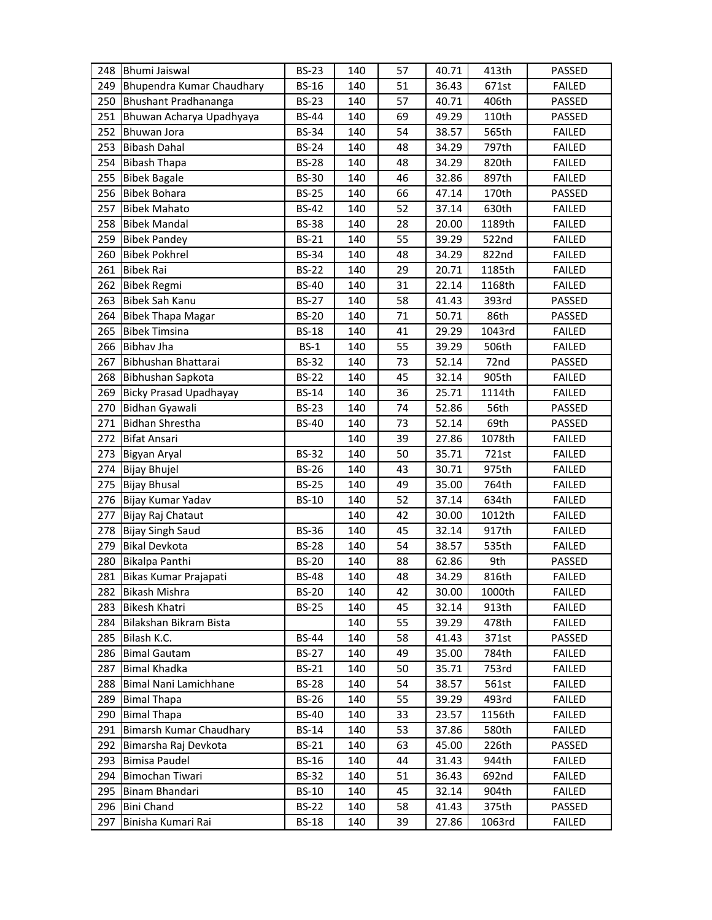| 248 | <b>Bhumi Jaiswal</b>          | <b>BS-23</b> | 140 | 57 | 40.71 | 413th  | PASSED        |
|-----|-------------------------------|--------------|-----|----|-------|--------|---------------|
| 249 | Bhupendra Kumar Chaudhary     | <b>BS-16</b> | 140 | 51 | 36.43 | 671st  | <b>FAILED</b> |
| 250 | Bhushant Pradhananga          | <b>BS-23</b> | 140 | 57 | 40.71 | 406th  | PASSED        |
| 251 | Bhuwan Acharya Upadhyaya      | <b>BS-44</b> | 140 | 69 | 49.29 | 110th  | PASSED        |
| 252 | Bhuwan Jora                   | <b>BS-34</b> | 140 | 54 | 38.57 | 565th  | <b>FAILED</b> |
| 253 | <b>Bibash Dahal</b>           | <b>BS-24</b> | 140 | 48 | 34.29 | 797th  | <b>FAILED</b> |
| 254 | <b>Bibash Thapa</b>           | <b>BS-28</b> | 140 | 48 | 34.29 | 820th  | <b>FAILED</b> |
| 255 | <b>Bibek Bagale</b>           | <b>BS-30</b> | 140 | 46 | 32.86 | 897th  | <b>FAILED</b> |
| 256 | <b>Bibek Bohara</b>           | <b>BS-25</b> | 140 | 66 | 47.14 | 170th  | PASSED        |
| 257 | <b>Bibek Mahato</b>           | <b>BS-42</b> | 140 | 52 | 37.14 | 630th  | <b>FAILED</b> |
| 258 | <b>Bibek Mandal</b>           | <b>BS-38</b> | 140 | 28 | 20.00 | 1189th | <b>FAILED</b> |
| 259 | <b>Bibek Pandey</b>           | <b>BS-21</b> | 140 | 55 | 39.29 | 522nd  | <b>FAILED</b> |
| 260 | <b>Bibek Pokhrel</b>          | <b>BS-34</b> | 140 | 48 | 34.29 | 822nd  | <b>FAILED</b> |
| 261 | <b>Bibek Rai</b>              | <b>BS-22</b> | 140 | 29 | 20.71 | 1185th | <b>FAILED</b> |
| 262 | <b>Bibek Regmi</b>            | <b>BS-40</b> | 140 | 31 | 22.14 | 1168th | <b>FAILED</b> |
| 263 | <b>Bibek Sah Kanu</b>         | <b>BS-27</b> | 140 | 58 | 41.43 | 393rd  | PASSED        |
| 264 | <b>Bibek Thapa Magar</b>      | <b>BS-20</b> | 140 | 71 | 50.71 | 86th   | PASSED        |
| 265 | <b>Bibek Timsina</b>          | <b>BS-18</b> | 140 | 41 | 29.29 | 1043rd | <b>FAILED</b> |
| 266 | <b>Bibhav Jha</b>             | $BS-1$       | 140 | 55 | 39.29 | 506th  | <b>FAILED</b> |
| 267 | Bibhushan Bhattarai           | <b>BS-32</b> | 140 | 73 | 52.14 | 72nd   | PASSED        |
| 268 | Bibhushan Sapkota             | <b>BS-22</b> | 140 | 45 | 32.14 | 905th  | <b>FAILED</b> |
| 269 | <b>Bicky Prasad Upadhayay</b> | <b>BS-14</b> | 140 | 36 | 25.71 | 1114th | <b>FAILED</b> |
| 270 | Bidhan Gyawali                | <b>BS-23</b> | 140 | 74 | 52.86 | 56th   | PASSED        |
| 271 | <b>Bidhan Shrestha</b>        | <b>BS-40</b> | 140 | 73 | 52.14 | 69th   | PASSED        |
| 272 | <b>Bifat Ansari</b>           |              | 140 | 39 | 27.86 | 1078th | <b>FAILED</b> |
| 273 | Bigyan Aryal                  | <b>BS-32</b> | 140 | 50 | 35.71 | 721st  | <b>FAILED</b> |
| 274 | <b>Bijay Bhujel</b>           | <b>BS-26</b> | 140 | 43 | 30.71 | 975th  | <b>FAILED</b> |
| 275 | <b>Bijay Bhusal</b>           | <b>BS-25</b> | 140 | 49 | 35.00 | 764th  | <b>FAILED</b> |
| 276 | Bijay Kumar Yadav             | <b>BS-10</b> | 140 | 52 | 37.14 | 634th  | <b>FAILED</b> |
| 277 | Bijay Raj Chataut             |              | 140 | 42 | 30.00 | 1012th | <b>FAILED</b> |
| 278 | <b>Bijay Singh Saud</b>       | <b>BS-36</b> | 140 | 45 | 32.14 | 917th  | <b>FAILED</b> |
| 279 | <b>Bikal Devkota</b>          | <b>BS-28</b> | 140 | 54 | 38.57 | 535th  | <b>FAILED</b> |
| 280 | Bikalpa Panthi                | <b>BS-20</b> | 140 | 88 | 62.86 | 9th    | PASSED        |
| 281 | Bikas Kumar Prajapati         | <b>BS-48</b> | 140 | 48 | 34.29 | 816th  | <b>FAILED</b> |
| 282 | <b>Bikash Mishra</b>          | <b>BS-20</b> | 140 | 42 | 30.00 | 1000th | <b>FAILED</b> |
| 283 | <b>Bikesh Khatri</b>          | <b>BS-25</b> | 140 | 45 | 32.14 | 913th  | <b>FAILED</b> |
| 284 | Bilakshan Bikram Bista        |              | 140 | 55 | 39.29 | 478th  | <b>FAILED</b> |
| 285 | Bilash K.C.                   | <b>BS-44</b> | 140 | 58 | 41.43 | 371st  | PASSED        |
| 286 | <b>Bimal Gautam</b>           | <b>BS-27</b> | 140 | 49 | 35.00 | 784th  | <b>FAILED</b> |
| 287 | <b>Bimal Khadka</b>           | <b>BS-21</b> | 140 | 50 | 35.71 | 753rd  | <b>FAILED</b> |
| 288 | Bimal Nani Lamichhane         | <b>BS-28</b> | 140 | 54 | 38.57 | 561st  | <b>FAILED</b> |
| 289 | <b>Bimal Thapa</b>            | <b>BS-26</b> | 140 | 55 | 39.29 | 493rd  | <b>FAILED</b> |
| 290 | <b>Bimal Thapa</b>            | <b>BS-40</b> | 140 | 33 | 23.57 | 1156th | <b>FAILED</b> |
| 291 | Bimarsh Kumar Chaudhary       | <b>BS-14</b> | 140 | 53 | 37.86 | 580th  | <b>FAILED</b> |
| 292 | Bimarsha Raj Devkota          | <b>BS-21</b> | 140 | 63 | 45.00 | 226th  | PASSED        |
| 293 | <b>Bimisa Paudel</b>          | <b>BS-16</b> | 140 | 44 | 31.43 | 944th  | FAILED        |
| 294 | Bimochan Tiwari               | <b>BS-32</b> | 140 | 51 | 36.43 | 692nd  | <b>FAILED</b> |
| 295 | Binam Bhandari                | <b>BS-10</b> | 140 | 45 | 32.14 | 904th  | <b>FAILED</b> |
| 296 | <b>Bini Chand</b>             | <b>BS-22</b> | 140 | 58 | 41.43 | 375th  | PASSED        |
| 297 | Binisha Kumari Rai            | <b>BS-18</b> | 140 | 39 | 27.86 | 1063rd | <b>FAILED</b> |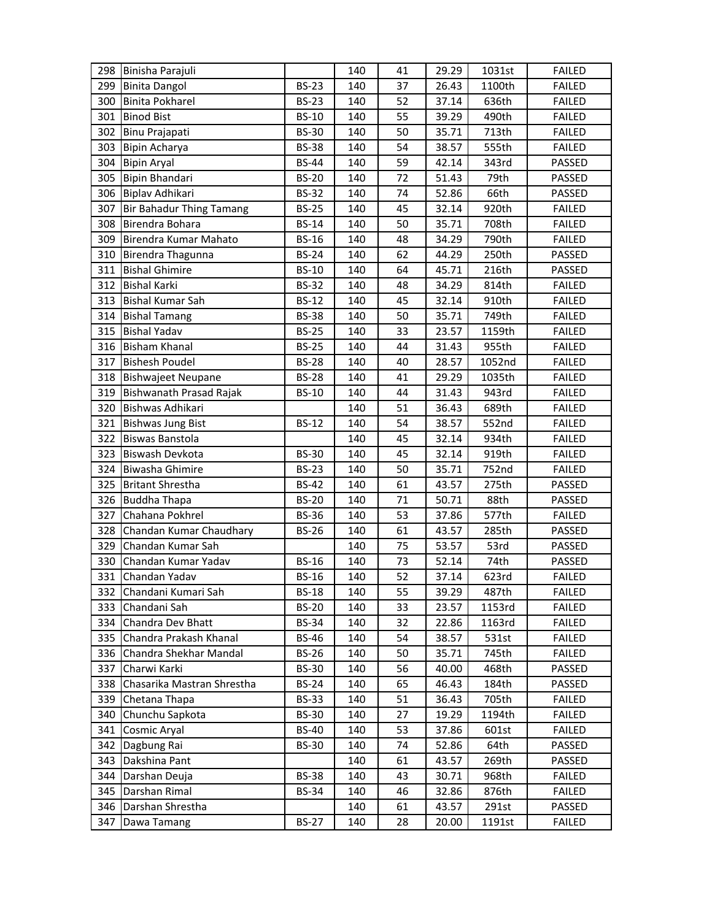| 298 | Binisha Parajuli                |              | 140 | 41 | 29.29 | 1031st | <b>FAILED</b> |
|-----|---------------------------------|--------------|-----|----|-------|--------|---------------|
| 299 | <b>Binita Dangol</b>            | <b>BS-23</b> | 140 | 37 | 26.43 | 1100th | <b>FAILED</b> |
| 300 | <b>Binita Pokharel</b>          | <b>BS-23</b> | 140 | 52 | 37.14 | 636th  | <b>FAILED</b> |
| 301 | <b>Binod Bist</b>               | <b>BS-10</b> | 140 | 55 | 39.29 | 490th  | <b>FAILED</b> |
| 302 | Binu Prajapati                  | <b>BS-30</b> | 140 | 50 | 35.71 | 713th  | <b>FAILED</b> |
| 303 | Bipin Acharya                   | <b>BS-38</b> | 140 | 54 | 38.57 | 555th  | <b>FAILED</b> |
| 304 | <b>Bipin Aryal</b>              | <b>BS-44</b> | 140 | 59 | 42.14 | 343rd  | PASSED        |
| 305 | <b>Bipin Bhandari</b>           | <b>BS-20</b> | 140 | 72 | 51.43 | 79th   | PASSED        |
| 306 | Biplav Adhikari                 | <b>BS-32</b> | 140 | 74 | 52.86 | 66th   | PASSED        |
| 307 | <b>Bir Bahadur Thing Tamang</b> | <b>BS-25</b> | 140 | 45 | 32.14 | 920th  | <b>FAILED</b> |
| 308 | Birendra Bohara                 | <b>BS-14</b> | 140 | 50 | 35.71 | 708th  | <b>FAILED</b> |
| 309 | Birendra Kumar Mahato           | <b>BS-16</b> | 140 | 48 | 34.29 | 790th  | <b>FAILED</b> |
| 310 | Birendra Thagunna               | <b>BS-24</b> | 140 | 62 | 44.29 | 250th  | PASSED        |
| 311 | <b>Bishal Ghimire</b>           | <b>BS-10</b> | 140 | 64 | 45.71 | 216th  | PASSED        |
| 312 | <b>Bishal Karki</b>             | <b>BS-32</b> | 140 | 48 | 34.29 | 814th  | <b>FAILED</b> |
| 313 | <b>Bishal Kumar Sah</b>         | <b>BS-12</b> | 140 | 45 | 32.14 | 910th  | <b>FAILED</b> |
| 314 | <b>Bishal Tamang</b>            | <b>BS-38</b> | 140 | 50 | 35.71 | 749th  | <b>FAILED</b> |
| 315 | <b>Bishal Yadav</b>             | <b>BS-25</b> | 140 | 33 | 23.57 | 1159th | <b>FAILED</b> |
| 316 | <b>Bisham Khanal</b>            | <b>BS-25</b> | 140 | 44 | 31.43 | 955th  | <b>FAILED</b> |
| 317 | <b>Bishesh Poudel</b>           | <b>BS-28</b> | 140 | 40 | 28.57 | 1052nd | <b>FAILED</b> |
| 318 | <b>Bishwajeet Neupane</b>       | <b>BS-28</b> | 140 | 41 | 29.29 | 1035th | <b>FAILED</b> |
| 319 | Bishwanath Prasad Rajak         | <b>BS-10</b> | 140 | 44 | 31.43 | 943rd  | <b>FAILED</b> |
| 320 | Bishwas Adhikari                |              | 140 | 51 | 36.43 | 689th  | <b>FAILED</b> |
| 321 | <b>Bishwas Jung Bist</b>        | <b>BS-12</b> | 140 | 54 | 38.57 | 552nd  | <b>FAILED</b> |
| 322 | <b>Biswas Banstola</b>          |              | 140 | 45 | 32.14 | 934th  | <b>FAILED</b> |
| 323 | Biswash Devkota                 | <b>BS-30</b> | 140 | 45 | 32.14 | 919th  | <b>FAILED</b> |
| 324 | <b>Biwasha Ghimire</b>          | <b>BS-23</b> | 140 | 50 | 35.71 | 752nd  | <b>FAILED</b> |
| 325 | <b>Britant Shrestha</b>         | <b>BS-42</b> | 140 | 61 | 43.57 | 275th  | PASSED        |
| 326 | <b>Buddha Thapa</b>             | <b>BS-20</b> | 140 | 71 | 50.71 | 88th   | PASSED        |
| 327 | Chahana Pokhrel                 | <b>BS-36</b> | 140 | 53 | 37.86 | 577th  | <b>FAILED</b> |
| 328 | Chandan Kumar Chaudhary         | <b>BS-26</b> | 140 | 61 | 43.57 | 285th  | PASSED        |
| 329 | Chandan Kumar Sah               |              | 140 | 75 | 53.57 | 53rd   | PASSED        |
| 330 | Chandan Kumar Yadav             | <b>BS-16</b> | 140 | 73 | 52.14 | 74th   | PASSED        |
| 331 | Chandan Yadav                   | <b>BS-16</b> | 140 | 52 | 37.14 | 623rd  | <b>FAILED</b> |
| 332 | Chandani Kumari Sah             | <b>BS-18</b> | 140 | 55 | 39.29 | 487th  | <b>FAILED</b> |
| 333 | Chandani Sah                    | <b>BS-20</b> | 140 | 33 | 23.57 | 1153rd | <b>FAILED</b> |
| 334 | Chandra Dev Bhatt               | <b>BS-34</b> | 140 | 32 | 22.86 | 1163rd | <b>FAILED</b> |
| 335 | Chandra Prakash Khanal          | <b>BS-46</b> | 140 | 54 | 38.57 | 531st  | <b>FAILED</b> |
| 336 | Chandra Shekhar Mandal          | BS-26        | 140 | 50 | 35.71 | 745th  | <b>FAILED</b> |
| 337 | Charwi Karki                    | <b>BS-30</b> | 140 | 56 | 40.00 | 468th  | PASSED        |
| 338 | Chasarika Mastran Shrestha      | <b>BS-24</b> | 140 | 65 | 46.43 | 184th  | PASSED        |
| 339 | Chetana Thapa                   | <b>BS-33</b> | 140 | 51 | 36.43 | 705th  | <b>FAILED</b> |
| 340 | Chunchu Sapkota                 | <b>BS-30</b> | 140 | 27 | 19.29 | 1194th | <b>FAILED</b> |
| 341 | Cosmic Aryal                    | <b>BS-40</b> | 140 | 53 | 37.86 | 601st  | <b>FAILED</b> |
| 342 | Dagbung Rai                     | <b>BS-30</b> | 140 | 74 | 52.86 | 64th   | PASSED        |
| 343 | Dakshina Pant                   |              | 140 | 61 | 43.57 | 269th  | PASSED        |
| 344 | Darshan Deuja                   | <b>BS-38</b> | 140 | 43 | 30.71 | 968th  | <b>FAILED</b> |
| 345 | Darshan Rimal                   | <b>BS-34</b> | 140 | 46 | 32.86 | 876th  | <b>FAILED</b> |
| 346 |                                 |              | 140 | 61 | 43.57 | 291st  | PASSED        |
|     | Darshan Shrestha                |              |     |    |       |        |               |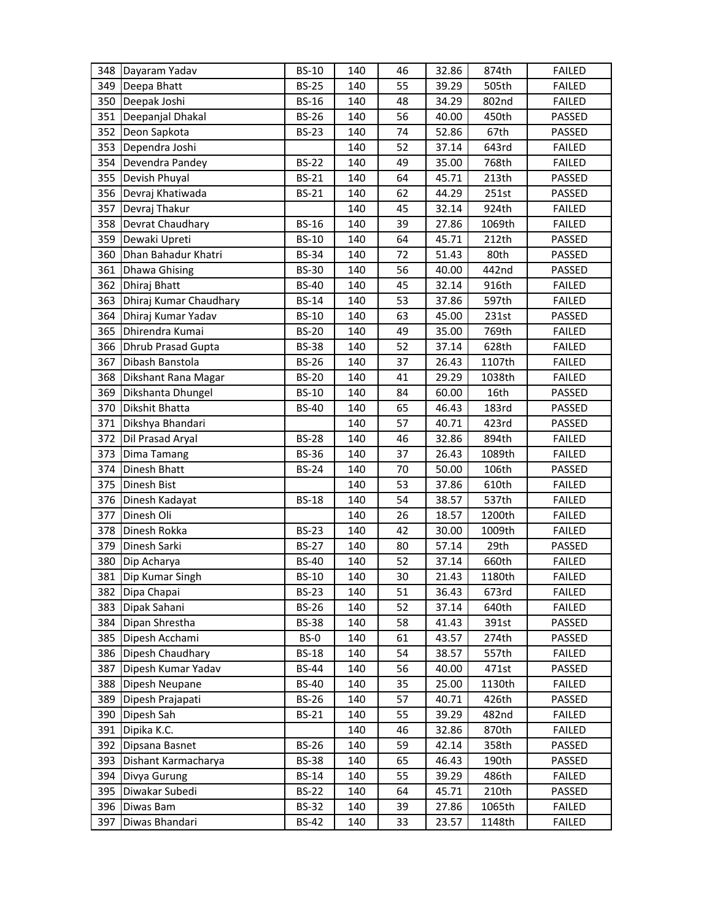|            | 348 Dayaram Yadav           | <b>BS-10</b>                 | 140 | 46       | 32.86          | 874th  | <b>FAILED</b> |
|------------|-----------------------------|------------------------------|-----|----------|----------------|--------|---------------|
| 349        | Deepa Bhatt                 | <b>BS-25</b>                 | 140 | 55       | 39.29          | 505th  | <b>FAILED</b> |
| 350        | Deepak Joshi                | <b>BS-16</b>                 | 140 | 48       | 34.29          | 802nd  | <b>FAILED</b> |
| 351        | Deepanjal Dhakal            | <b>BS-26</b>                 | 140 | 56       | 40.00          | 450th  | PASSED        |
| 352        | Deon Sapkota                | <b>BS-23</b>                 | 140 | 74       | 52.86          | 67th   | PASSED        |
| 353        | Dependra Joshi              |                              | 140 | 52       | 37.14          | 643rd  | <b>FAILED</b> |
| 354        | Devendra Pandey             | <b>BS-22</b>                 | 140 | 49       | 35.00          | 768th  | <b>FAILED</b> |
| 355        | Devish Phuyal               | <b>BS-21</b>                 | 140 | 64       | 45.71          | 213th  | PASSED        |
| 356        | Devraj Khatiwada            | <b>BS-21</b>                 | 140 | 62       | 44.29          | 251st  | PASSED        |
| 357        | Devraj Thakur               |                              | 140 | 45       | 32.14          | 924th  | <b>FAILED</b> |
| 358        | Devrat Chaudhary            | <b>BS-16</b>                 | 140 | 39       | 27.86          | 1069th | <b>FAILED</b> |
| 359        | Dewaki Upreti               | <b>BS-10</b>                 | 140 | 64       | 45.71          | 212th  | PASSED        |
| 360        | Dhan Bahadur Khatri         | <b>BS-34</b>                 | 140 | 72       | 51.43          | 80th   | PASSED        |
| 361        | <b>Dhawa Ghising</b>        | <b>BS-30</b>                 | 140 | 56       | 40.00          | 442nd  | PASSED        |
| 362        | Dhiraj Bhatt                | <b>BS-40</b>                 | 140 | 45       | 32.14          | 916th  | <b>FAILED</b> |
| 363        | Dhiraj Kumar Chaudhary      | <b>BS-14</b>                 | 140 | 53       | 37.86          | 597th  | <b>FAILED</b> |
| 364        | Dhiraj Kumar Yadav          | <b>BS-10</b>                 | 140 | 63       | 45.00          | 231st  | PASSED        |
| 365        | Dhirendra Kumai             | <b>BS-20</b>                 | 140 | 49       | 35.00          | 769th  | <b>FAILED</b> |
| 366        | <b>Dhrub Prasad Gupta</b>   | <b>BS-38</b>                 | 140 | 52       | 37.14          | 628th  | <b>FAILED</b> |
| 367        | Dibash Banstola             | <b>BS-26</b>                 | 140 | 37       | 26.43          | 1107th | <b>FAILED</b> |
| 368        | Dikshant Rana Magar         | <b>BS-20</b>                 | 140 | 41       | 29.29          | 1038th | <b>FAILED</b> |
| 369        | Dikshanta Dhungel           | <b>BS-10</b>                 | 140 | 84       | 60.00          | 16th   | PASSED        |
| 370        | Dikshit Bhatta              | <b>BS-40</b>                 | 140 | 65       | 46.43          | 183rd  | PASSED        |
| 371        | Dikshya Bhandari            |                              | 140 | 57       | 40.71          | 423rd  | PASSED        |
| 372        | Dil Prasad Aryal            | <b>BS-28</b>                 | 140 | 46       | 32.86          | 894th  | <b>FAILED</b> |
| 373        | Dima Tamang                 | <b>BS-36</b>                 | 140 | 37       | 26.43          | 1089th | <b>FAILED</b> |
| 374        | Dinesh Bhatt                | <b>BS-24</b>                 |     |          |                | 106th  |               |
|            |                             |                              | 140 | 70       | 50.00          |        | PASSED        |
| 375        | Dinesh Bist                 |                              | 140 | 53       | 37.86          | 610th  | <b>FAILED</b> |
| 376        | Dinesh Kadayat              | <b>BS-18</b>                 | 140 | 54       | 38.57          | 537th  | <b>FAILED</b> |
| 377        | Dinesh Oli                  |                              | 140 | 26       | 18.57          | 1200th | <b>FAILED</b> |
| 378        | Dinesh Rokka                | <b>BS-23</b>                 | 140 | 42       | 30.00          | 1009th | <b>FAILED</b> |
| 379        | Dinesh Sarki                | <b>BS-27</b>                 | 140 | 80       | 57.14          | 29th   | PASSED        |
| 380        | Dip Acharya                 | <b>BS-40</b>                 | 140 | 52       | 37.14          | 660th  | <b>FAILED</b> |
| 381        | Dip Kumar Singh             | <b>BS-10</b>                 | 140 | 30       | 21.43          | 1180th | <b>FAILED</b> |
| 382        | Dipa Chapai                 | <b>BS-23</b>                 | 140 | 51       | 36.43          | 673rd  | <b>FAILED</b> |
| 383        | Dipak Sahani                | <b>BS-26</b>                 | 140 | 52       | 37.14          | 640th  | <b>FAILED</b> |
| 384        | Dipan Shrestha              | <b>BS-38</b>                 | 140 | 58       | 41.43          | 391st  | PASSED        |
| 385        | Dipesh Acchami              | BS-0                         | 140 | 61       | 43.57          | 274th  | PASSED        |
| 386        | Dipesh Chaudhary            | <b>BS-18</b>                 | 140 | 54       | 38.57          | 557th  | <b>FAILED</b> |
| 387        | Dipesh Kumar Yadav          | <b>BS-44</b>                 | 140 | 56       | 40.00          | 471st  | PASSED        |
| 388        | Dipesh Neupane              | <b>BS-40</b>                 | 140 | 35       | 25.00          | 1130th | <b>FAILED</b> |
| 389        | Dipesh Prajapati            | <b>BS-26</b>                 | 140 | 57       | 40.71          | 426th  | PASSED        |
| 390        | Dipesh Sah                  | BS-21                        | 140 | 55       | 39.29          | 482nd  | <b>FAILED</b> |
| 391        | Dipika K.C.                 |                              | 140 | 46       | 32.86          | 870th  | <b>FAILED</b> |
| 392        | Dipsana Basnet              | <b>BS-26</b>                 | 140 | 59       | 42.14          | 358th  | PASSED        |
| 393        | Dishant Karmacharya         | <b>BS-38</b>                 | 140 | 65       | 46.43          | 190th  | PASSED        |
| 394        | Divya Gurung                | <b>BS-14</b>                 | 140 | 55       | 39.29          | 486th  | <b>FAILED</b> |
| 395        | Diwakar Subedi              | <b>BS-22</b>                 | 140 | 64       | 45.71          | 210th  | PASSED        |
| 396<br>397 | Diwas Bam<br>Diwas Bhandari | <b>BS-32</b><br><b>BS-42</b> | 140 | 39<br>33 | 27.86<br>23.57 | 1065th | <b>FAILED</b> |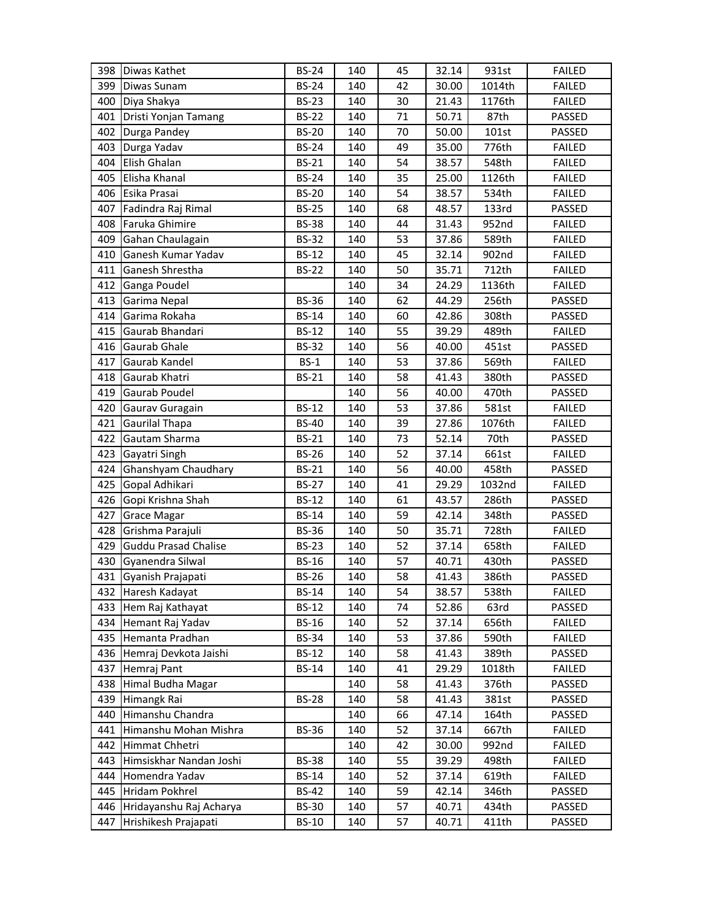|     | 398 Diwas Kathet            | <b>BS-24</b> | 140 | 45 | 32.14 | 931st  | <b>FAILED</b> |
|-----|-----------------------------|--------------|-----|----|-------|--------|---------------|
| 399 | Diwas Sunam                 | <b>BS-24</b> | 140 | 42 | 30.00 | 1014th | <b>FAILED</b> |
| 400 | Diya Shakya                 | <b>BS-23</b> | 140 | 30 | 21.43 | 1176th | <b>FAILED</b> |
| 401 | Dristi Yonjan Tamang        | <b>BS-22</b> | 140 | 71 | 50.71 | 87th   | PASSED        |
| 402 | Durga Pandey                | <b>BS-20</b> | 140 | 70 | 50.00 | 101st  | PASSED        |
| 403 | Durga Yadav                 | <b>BS-24</b> | 140 | 49 | 35.00 | 776th  | <b>FAILED</b> |
| 404 | Elish Ghalan                | <b>BS-21</b> | 140 | 54 | 38.57 | 548th  | <b>FAILED</b> |
| 405 | Elisha Khanal               | <b>BS-24</b> | 140 | 35 | 25.00 | 1126th | <b>FAILED</b> |
| 406 | Esika Prasai                | <b>BS-20</b> | 140 | 54 | 38.57 | 534th  | <b>FAILED</b> |
| 407 | Fadindra Raj Rimal          | <b>BS-25</b> | 140 | 68 | 48.57 | 133rd  | PASSED        |
| 408 | Faruka Ghimire              | <b>BS-38</b> | 140 | 44 | 31.43 | 952nd  | <b>FAILED</b> |
| 409 | Gahan Chaulagain            | <b>BS-32</b> | 140 | 53 | 37.86 | 589th  | <b>FAILED</b> |
| 410 | Ganesh Kumar Yadav          | <b>BS-12</b> | 140 | 45 | 32.14 | 902nd  | <b>FAILED</b> |
| 411 | Ganesh Shrestha             | <b>BS-22</b> | 140 | 50 | 35.71 | 712th  | <b>FAILED</b> |
| 412 | Ganga Poudel                |              | 140 | 34 | 24.29 | 1136th | <b>FAILED</b> |
| 413 | Garima Nepal                | <b>BS-36</b> | 140 | 62 | 44.29 | 256th  | PASSED        |
| 414 | Garima Rokaha               | <b>BS-14</b> | 140 | 60 | 42.86 | 308th  | PASSED        |
| 415 | Gaurab Bhandari             | <b>BS-12</b> | 140 | 55 | 39.29 | 489th  | <b>FAILED</b> |
| 416 | Gaurab Ghale                | <b>BS-32</b> | 140 | 56 | 40.00 | 451st  | PASSED        |
| 417 | Gaurab Kandel               | $BS-1$       | 140 | 53 | 37.86 | 569th  | <b>FAILED</b> |
| 418 | Gaurab Khatri               | <b>BS-21</b> | 140 | 58 | 41.43 | 380th  | PASSED        |
| 419 | Gaurab Poudel               |              | 140 | 56 | 40.00 | 470th  | PASSED        |
| 420 | Gaurav Guragain             | <b>BS-12</b> | 140 | 53 | 37.86 | 581st  | <b>FAILED</b> |
| 421 | <b>Gaurilal Thapa</b>       | <b>BS-40</b> | 140 | 39 | 27.86 | 1076th | <b>FAILED</b> |
| 422 | Gautam Sharma               | <b>BS-21</b> | 140 | 73 | 52.14 | 70th   | PASSED        |
| 423 | Gayatri Singh               | <b>BS-26</b> | 140 | 52 | 37.14 | 661st  | <b>FAILED</b> |
| 424 | Ghanshyam Chaudhary         | <b>BS-21</b> | 140 | 56 | 40.00 | 458th  | PASSED        |
| 425 | Gopal Adhikari              | <b>BS-27</b> | 140 | 41 | 29.29 | 1032nd | <b>FAILED</b> |
| 426 | Gopi Krishna Shah           | <b>BS-12</b> | 140 | 61 | 43.57 | 286th  | PASSED        |
| 427 | <b>Grace Magar</b>          | <b>BS-14</b> | 140 | 59 | 42.14 | 348th  | PASSED        |
| 428 | Grishma Parajuli            | <b>BS-36</b> | 140 | 50 | 35.71 | 728th  | <b>FAILED</b> |
| 429 | <b>Guddu Prasad Chalise</b> | <b>BS-23</b> | 140 | 52 | 37.14 | 658th  | <b>FAILED</b> |
| 430 | Gyanendra Silwal            | $BS-16$      | 140 | 57 | 40.71 | 430th  | PASSED        |
| 431 | Gyanish Prajapati           | <b>BS-26</b> | 140 | 58 | 41.43 | 386th  | PASSED        |
| 432 | Haresh Kadayat              | <b>BS-14</b> | 140 | 54 | 38.57 | 538th  | <b>FAILED</b> |
| 433 | Hem Raj Kathayat            | <b>BS-12</b> | 140 | 74 | 52.86 | 63rd   | PASSED        |
| 434 | Hemant Raj Yadav            | <b>BS-16</b> | 140 | 52 | 37.14 | 656th  | <b>FAILED</b> |
| 435 | Hemanta Pradhan             | <b>BS-34</b> | 140 | 53 | 37.86 | 590th  | <b>FAILED</b> |
| 436 | Hemraj Devkota Jaishi       | <b>BS-12</b> | 140 | 58 | 41.43 | 389th  | PASSED        |
| 437 | Hemraj Pant                 | <b>BS-14</b> | 140 | 41 | 29.29 | 1018th | <b>FAILED</b> |
| 438 | Himal Budha Magar           |              | 140 | 58 | 41.43 | 376th  | PASSED        |
| 439 | Himangk Rai                 | <b>BS-28</b> | 140 | 58 | 41.43 | 381st  | PASSED        |
| 440 | Himanshu Chandra            |              | 140 | 66 | 47.14 | 164th  | PASSED        |
| 441 | Himanshu Mohan Mishra       | <b>BS-36</b> | 140 | 52 | 37.14 | 667th  | <b>FAILED</b> |
| 442 | Himmat Chhetri              |              | 140 | 42 | 30.00 | 992nd  | <b>FAILED</b> |
| 443 | Himsiskhar Nandan Joshi     | <b>BS-38</b> | 140 | 55 | 39.29 | 498th  | <b>FAILED</b> |
| 444 | Homendra Yadav              | <b>BS-14</b> | 140 | 52 | 37.14 | 619th  | <b>FAILED</b> |
| 445 | Hridam Pokhrel              | <b>BS-42</b> | 140 | 59 | 42.14 | 346th  | PASSED        |
| 446 | Hridayanshu Raj Acharya     | <b>BS-30</b> | 140 | 57 | 40.71 | 434th  | PASSED        |
| 447 | Hrishikesh Prajapati        | <b>BS-10</b> | 140 | 57 | 40.71 | 411th  | PASSED        |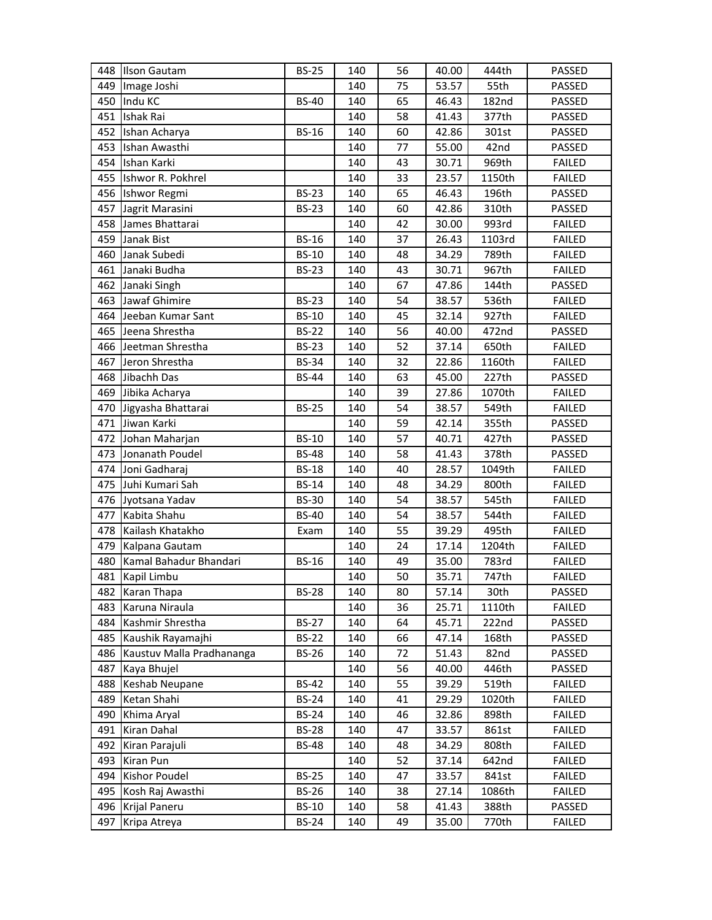| 448        | <b>Ilson Gautam</b>           | <b>BS-25</b>                 | 140        | 56       | 40.00          | 444th          | PASSED                  |
|------------|-------------------------------|------------------------------|------------|----------|----------------|----------------|-------------------------|
| 449        | Image Joshi                   |                              | 140        | 75       | 53.57          | 55th           | PASSED                  |
| 450        | Indu KC                       | <b>BS-40</b>                 | 140        | 65       | 46.43          | <b>182nd</b>   | PASSED                  |
| 451        | <b>Ishak Rai</b>              |                              | 140        | 58       | 41.43          | 377th          | PASSED                  |
| 452        | Ishan Acharya                 | <b>BS-16</b>                 | 140        | 60       | 42.86          | 301st          | PASSED                  |
| 453        | Ishan Awasthi                 |                              | 140        | 77       | 55.00          | 42nd           | PASSED                  |
| 454        | Ishan Karki                   |                              | 140        | 43       | 30.71          | 969th          | <b>FAILED</b>           |
| 455        | Ishwor R. Pokhrel             |                              | 140        | 33       | 23.57          | 1150th         | <b>FAILED</b>           |
|            | 456 Ishwor Regmi              | <b>BS-23</b>                 | 140        | 65       | 46.43          | 196th          | PASSED                  |
| 457        | Jagrit Marasini               | <b>BS-23</b>                 | 140        | 60       | 42.86          | 310th          | PASSED                  |
| 458        | James Bhattarai               |                              | 140        | 42       | 30.00          | 993rd          | <b>FAILED</b>           |
| 459        | Janak Bist                    | <b>BS-16</b>                 | 140        | 37       | 26.43          | 1103rd         | <b>FAILED</b>           |
| 460        | Janak Subedi                  | <b>BS-10</b>                 | 140        | 48       | 34.29          | 789th          | <b>FAILED</b>           |
| 461        | Janaki Budha                  | <b>BS-23</b>                 | 140        | 43       | 30.71          | 967th          | <b>FAILED</b>           |
| 462        | Janaki Singh                  |                              | 140        | 67       | 47.86          | 144th          | PASSED                  |
| 463        | Jawaf Ghimire                 | <b>BS-23</b>                 | 140        | 54       | 38.57          | 536th          | <b>FAILED</b>           |
| 464        | Jeeban Kumar Sant             | <b>BS-10</b>                 | 140        | 45       | 32.14          | 927th          | <b>FAILED</b>           |
| 465        | Jeena Shrestha                | <b>BS-22</b>                 | 140        | 56       | 40.00          | 472nd          | PASSED                  |
|            | 466 Jeetman Shrestha          | <b>BS-23</b>                 | 140        | 52       | 37.14          | 650th          | <b>FAILED</b>           |
| 467        | Jeron Shrestha                | <b>BS-34</b>                 | 140        | 32       | 22.86          | 1160th         | <b>FAILED</b>           |
| 468        | Jibachh Das                   | <b>BS-44</b>                 | 140        | 63       | 45.00          | 227th          | PASSED                  |
|            | 469 Jibika Acharya            |                              | 140        | 39       | 27.86          | 1070th         | <b>FAILED</b>           |
|            | 470 Jigyasha Bhattarai        | <b>BS-25</b>                 | 140        | 54       | 38.57          | 549th          | <b>FAILED</b>           |
| 471        | Jiwan Karki                   |                              | 140        | 59       | 42.14          | 355th          | PASSED                  |
| 472        | Johan Maharjan                | <b>BS-10</b>                 | 140        | 57       | 40.71          | 427th          | PASSED                  |
|            | Jonanath Poudel               | <b>BS-48</b>                 | 140        | 58       | 41.43          | 378th          | PASSED                  |
| 473        |                               |                              |            |          |                |                |                         |
| 474        | Joni Gadharaj                 | <b>BS-18</b>                 | 140        | 40       | 28.57          | 1049th         | <b>FAILED</b>           |
|            | 475 Juhi Kumari Sah           | <b>BS-14</b>                 | 140        | 48       | 34.29          | 800th          | <b>FAILED</b>           |
|            | 476 Jyotsana Yadav            | <b>BS-30</b>                 | 140        | 54       | 38.57          | 545th          | <b>FAILED</b>           |
| 477        | Kabita Shahu                  | <b>BS-40</b>                 | 140        | 54       | 38.57          | 544th          | <b>FAILED</b>           |
| 478        | Kailash Khatakho              | Exam                         | 140        | 55       | 39.29          | 495th          | <b>FAILED</b>           |
| 479        | Kalpana Gautam                |                              | 140        | 24       | 17.14          | 1204th         | <b>FAILED</b>           |
| 480        | Kamal Bahadur Bhandari        | <b>BS-16</b>                 | 140        | 49       | 35.00          | 783rd          | <b>FAILED</b>           |
|            | 481 Kapil Limbu               |                              | 140        | 50       | 35.71          | 747th          | <b>FAILED</b>           |
| 482        | Karan Thapa                   | <b>BS-28</b>                 | 140        | 80       | 57.14          | 30th           | PASSED                  |
| 483        | Karuna Niraula                |                              | 140        | 36       | 25.71          | 1110th         | <b>FAILED</b>           |
| 484        | Kashmir Shrestha              | <b>BS-27</b>                 | 140        | 64       | 45.71          | 222nd          | PASSED                  |
| 485        | Kaushik Rayamajhi             | <b>BS-22</b>                 | 140        | 66       | 47.14          | 168th          | PASSED                  |
| 486        | Kaustuv Malla Pradhananga     | <b>BS-26</b>                 | 140        | 72       | 51.43          | 82nd           | PASSED                  |
| 487        | Kaya Bhujel                   |                              | 140        | 56       | 40.00          | 446th          | PASSED                  |
| 488        | <b>Keshab Neupane</b>         | <b>BS-42</b>                 | 140        | 55       | 39.29          | 519th          | <b>FAILED</b>           |
| 489        | Ketan Shahi                   | <b>BS-24</b>                 | 140        | 41       | 29.29          | 1020th         | <b>FAILED</b>           |
| 490        | Khima Aryal                   | <b>BS-24</b>                 | 140        | 46       | 32.86          | 898th          | <b>FAILED</b>           |
| 491        | Kiran Dahal                   | <b>BS-28</b>                 | 140        | 47       | 33.57          | 861st          | <b>FAILED</b>           |
| 492        | Kiran Parajuli                | <b>BS-48</b>                 | 140        | 48       | 34.29          | 808th          | <b>FAILED</b>           |
| 493        | Kiran Pun                     |                              | 140        | 52       | 37.14          | 642nd          | <b>FAILED</b>           |
| 494        | Kishor Poudel                 | <b>BS-25</b>                 | 140        | 47       | 33.57          | 841st          | <b>FAILED</b>           |
| 495        | Kosh Raj Awasthi              | <b>BS-26</b>                 | 140        | 38       | 27.14          | 1086th         | <b>FAILED</b>           |
| 496<br>497 | Krijal Paneru<br>Kripa Atreya | <b>BS-10</b><br><b>BS-24</b> | 140<br>140 | 58<br>49 | 41.43<br>35.00 | 388th<br>770th | PASSED<br><b>FAILED</b> |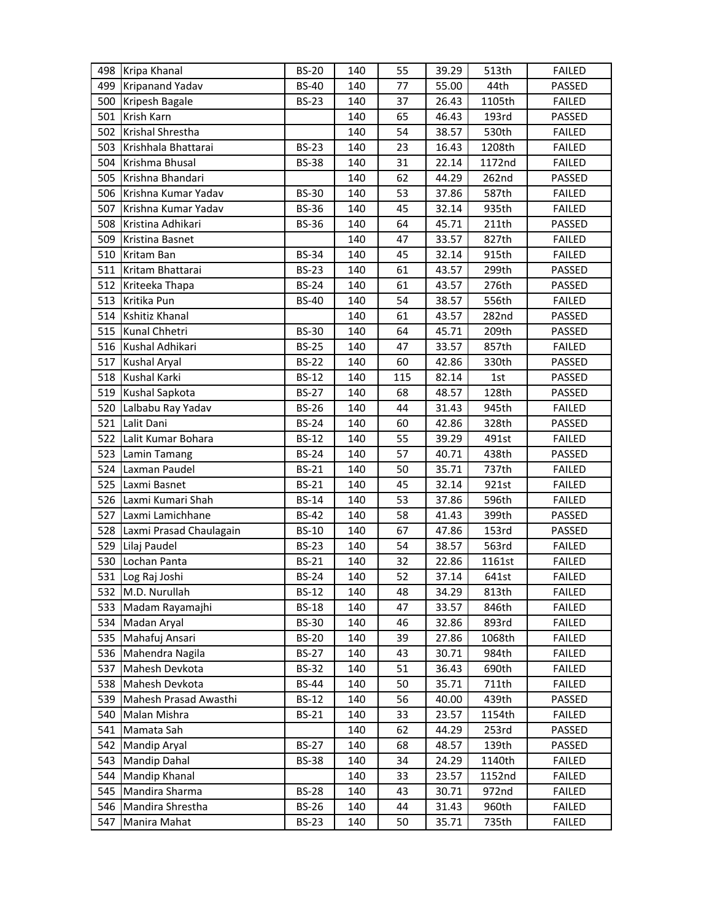|     | 498 Kripa Khanal        | <b>BS-20</b> | 140 | 55  | 39.29 | 513th  | <b>FAILED</b> |
|-----|-------------------------|--------------|-----|-----|-------|--------|---------------|
| 499 | <b>Kripanand Yadav</b>  | <b>BS-40</b> | 140 | 77  | 55.00 | 44th   | PASSED        |
| 500 | Kripesh Bagale          | <b>BS-23</b> | 140 | 37  | 26.43 | 1105th | <b>FAILED</b> |
| 501 | Krish Karn              |              | 140 | 65  | 46.43 | 193rd  | PASSED        |
|     | 502 Krishal Shrestha    |              | 140 | 54  | 38.57 | 530th  | <b>FAILED</b> |
| 503 | Krishhala Bhattarai     | <b>BS-23</b> | 140 | 23  | 16.43 | 1208th | <b>FAILED</b> |
| 504 | Krishma Bhusal          | <b>BS-38</b> | 140 | 31  | 22.14 | 1172nd | <b>FAILED</b> |
|     | 505 Krishna Bhandari    |              | 140 | 62  | 44.29 | 262nd  | PASSED        |
| 506 | Krishna Kumar Yadav     | <b>BS-30</b> | 140 | 53  | 37.86 | 587th  | <b>FAILED</b> |
| 507 | Krishna Kumar Yadav     | <b>BS-36</b> | 140 | 45  | 32.14 | 935th  | <b>FAILED</b> |
| 508 | Kristina Adhikari       | <b>BS-36</b> | 140 | 64  | 45.71 | 211th  | PASSED        |
| 509 | Kristina Basnet         |              | 140 | 47  | 33.57 | 827th  | <b>FAILED</b> |
|     | 510 Kritam Ban          | <b>BS-34</b> | 140 | 45  | 32.14 | 915th  | <b>FAILED</b> |
| 511 | Kritam Bhattarai        | <b>BS-23</b> | 140 | 61  | 43.57 | 299th  | PASSED        |
|     | 512 Kriteeka Thapa      | <b>BS-24</b> | 140 | 61  | 43.57 | 276th  | PASSED        |
| 513 | Kritika Pun             | <b>BS-40</b> | 140 | 54  | 38.57 | 556th  | <b>FAILED</b> |
| 514 | Kshitiz Khanal          |              | 140 | 61  | 43.57 | 282nd  | PASSED        |
|     | 515 Kunal Chhetri       | <b>BS-30</b> | 140 | 64  | 45.71 | 209th  | PASSED        |
|     | 516 Kushal Adhikari     | <b>BS-25</b> | 140 | 47  | 33.57 | 857th  | <b>FAILED</b> |
| 517 | <b>Kushal Aryal</b>     | <b>BS-22</b> | 140 | 60  | 42.86 | 330th  | PASSED        |
| 518 | Kushal Karki            | <b>BS-12</b> | 140 | 115 | 82.14 | 1st    | PASSED        |
| 519 | Kushal Sapkota          | <b>BS-27</b> | 140 | 68  | 48.57 | 128th  | PASSED        |
|     | 520 Lalbabu Ray Yadav   | <b>BS-26</b> | 140 | 44  | 31.43 | 945th  | <b>FAILED</b> |
| 521 | Lalit Dani              | <b>BS-24</b> | 140 | 60  | 42.86 | 328th  | PASSED        |
|     | 522 Lalit Kumar Bohara  | <b>BS-12</b> | 140 | 55  | 39.29 | 491st  | <b>FAILED</b> |
| 523 | Lamin Tamang            | <b>BS-24</b> | 140 | 57  | 40.71 | 438th  | PASSED        |
| 524 | Laxman Paudel           | <b>BS-21</b> | 140 | 50  | 35.71 | 737th  | <b>FAILED</b> |
|     | 525 Laxmi Basnet        | <b>BS-21</b> | 140 | 45  | 32.14 | 921st  | <b>FAILED</b> |
| 526 | Laxmi Kumari Shah       | <b>BS-14</b> | 140 | 53  | 37.86 | 596th  | <b>FAILED</b> |
| 527 | Laxmi Lamichhane        | <b>BS-42</b> | 140 | 58  | 41.43 | 399th  | PASSED        |
| 528 | Laxmi Prasad Chaulagain | <b>BS-10</b> | 140 | 67  | 47.86 | 153rd  | PASSED        |
| 529 | Lilaj Paudel            | <b>BS-23</b> | 140 | 54  | 38.57 | 563rd  | <b>FAILED</b> |
| 530 | Lochan Panta            | <b>BS-21</b> | 140 | 32  | 22.86 | 1161st | <b>FAILED</b> |
|     | 531 Log Raj Joshi       | <b>BS-24</b> | 140 | 52  | 37.14 | 641st  | <b>FAILED</b> |
|     | 532 M.D. Nurullah       | <b>BS-12</b> | 140 | 48  | 34.29 | 813th  | <b>FAILED</b> |
| 533 | Madam Rayamajhi         | <b>BS-18</b> | 140 | 47  | 33.57 | 846th  | <b>FAILED</b> |
| 534 | Madan Aryal             | <b>BS-30</b> | 140 | 46  | 32.86 | 893rd  | <b>FAILED</b> |
|     | 535 Mahafuj Ansari      | <b>BS-20</b> | 140 | 39  | 27.86 | 1068th | <b>FAILED</b> |
| 536 | Mahendra Nagila         | <b>BS-27</b> | 140 | 43  | 30.71 | 984th  | <b>FAILED</b> |
| 537 | Mahesh Devkota          | <b>BS-32</b> | 140 | 51  | 36.43 | 690th  | <b>FAILED</b> |
| 538 | Mahesh Devkota          | <b>BS-44</b> | 140 | 50  | 35.71 | 711th  | <b>FAILED</b> |
| 539 | Mahesh Prasad Awasthi   | <b>BS-12</b> | 140 | 56  | 40.00 | 439th  | PASSED        |
| 540 | Malan Mishra            | <b>BS-21</b> | 140 | 33  | 23.57 | 1154th | <b>FAILED</b> |
| 541 | Mamata Sah              |              | 140 | 62  | 44.29 | 253rd  | PASSED        |
| 542 | <b>Mandip Aryal</b>     | <b>BS-27</b> | 140 | 68  | 48.57 | 139th  | PASSED        |
| 543 | <b>Mandip Dahal</b>     | <b>BS-38</b> | 140 | 34  | 24.29 | 1140th | <b>FAILED</b> |
| 544 | <b>Mandip Khanal</b>    |              | 140 | 33  | 23.57 | 1152nd | <b>FAILED</b> |
| 545 | Mandira Sharma          | <b>BS-28</b> | 140 | 43  | 30.71 | 972nd  | <b>FAILED</b> |
| 546 | Mandira Shrestha        | <b>BS-26</b> | 140 | 44  | 31.43 | 960th  | <b>FAILED</b> |
| 547 | Manira Mahat            | <b>BS-23</b> | 140 | 50  | 35.71 | 735th  | <b>FAILED</b> |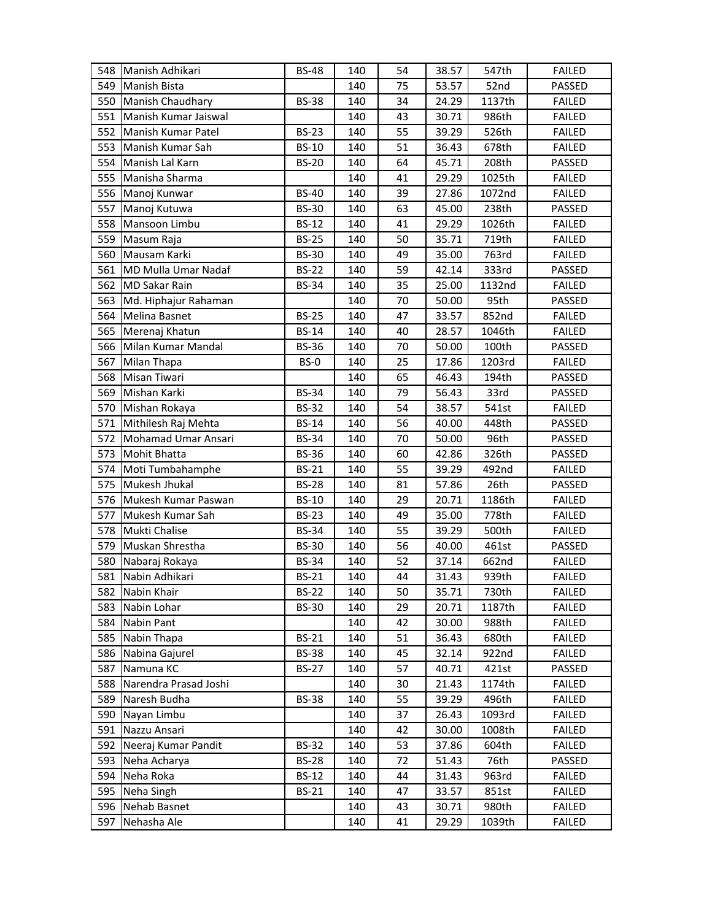| 548 | Manish Adhikari        | <b>BS-48</b> | 140 | 54 | 38.57 | 547th  | <b>FAILED</b> |
|-----|------------------------|--------------|-----|----|-------|--------|---------------|
|     | 549 Manish Bista       |              | 140 | 75 | 53.57 | 52nd   | PASSED        |
|     | 550 Manish Chaudhary   | <b>BS-38</b> | 140 | 34 | 24.29 | 1137th | <b>FAILED</b> |
| 551 | Manish Kumar Jaiswal   |              | 140 | 43 | 30.71 | 986th  | <b>FAILED</b> |
| 552 | Manish Kumar Patel     | <b>BS-23</b> | 140 | 55 | 39.29 | 526th  | <b>FAILED</b> |
| 553 | Manish Kumar Sah       | <b>BS-10</b> | 140 | 51 | 36.43 | 678th  | <b>FAILED</b> |
| 554 | Manish Lal Karn        | <b>BS-20</b> | 140 | 64 | 45.71 | 208th  | PASSED        |
| 555 | Manisha Sharma         |              | 140 | 41 | 29.29 | 1025th | <b>FAILED</b> |
|     | 556 Manoj Kunwar       | <b>BS-40</b> | 140 | 39 | 27.86 | 1072nd | <b>FAILED</b> |
| 557 | Manoj Kutuwa           | <b>BS-30</b> | 140 | 63 | 45.00 | 238th  | PASSED        |
| 558 | Mansoon Limbu          | <b>BS-12</b> | 140 | 41 | 29.29 | 1026th | <b>FAILED</b> |
| 559 | Masum Raja             | <b>BS-25</b> | 140 | 50 | 35.71 | 719th  | <b>FAILED</b> |
| 560 | Mausam Karki           | <b>BS-30</b> | 140 | 49 | 35.00 | 763rd  | <b>FAILED</b> |
| 561 | MD Mulla Umar Nadaf    | <b>BS-22</b> | 140 | 59 | 42.14 | 333rd  | PASSED        |
| 562 | <b>MD Sakar Rain</b>   | <b>BS-34</b> | 140 | 35 | 25.00 | 1132nd | <b>FAILED</b> |
| 563 | Md. Hiphajur Rahaman   |              | 140 | 70 | 50.00 | 95th   | PASSED        |
| 564 | Melina Basnet          | <b>BS-25</b> | 140 | 47 | 33.57 | 852nd  | <b>FAILED</b> |
| 565 | Merenaj Khatun         | <b>BS-14</b> | 140 | 40 | 28.57 | 1046th | <b>FAILED</b> |
|     | 566 Milan Kumar Mandal | <b>BS-36</b> | 140 | 70 | 50.00 | 100th  | PASSED        |
| 567 | Milan Thapa            | BS-0         | 140 | 25 | 17.86 | 1203rd | <b>FAILED</b> |
| 568 | <b>Misan Tiwari</b>    |              | 140 | 65 | 46.43 | 194th  | PASSED        |
|     | 569 Mishan Karki       | <b>BS-34</b> | 140 | 79 | 56.43 | 33rd   | PASSED        |
|     | 570 Mishan Rokaya      | <b>BS-32</b> | 140 | 54 | 38.57 | 541st  | <b>FAILED</b> |
| 571 | Mithilesh Raj Mehta    | <b>BS-14</b> | 140 | 56 | 40.00 | 448th  | PASSED        |
| 572 | Mohamad Umar Ansari    | <b>BS-34</b> | 140 | 70 | 50.00 | 96th   | PASSED        |
| 573 | <b>Mohit Bhatta</b>    | <b>BS-36</b> | 140 | 60 | 42.86 | 326th  | PASSED        |
| 574 | Moti Tumbahamphe       | <b>BS-21</b> | 140 | 55 | 39.29 | 492nd  | <b>FAILED</b> |
| 575 | Mukesh Jhukal          | <b>BS-28</b> | 140 | 81 | 57.86 | 26th   | PASSED        |
| 576 | Mukesh Kumar Paswan    | <b>BS-10</b> | 140 | 29 | 20.71 | 1186th | <b>FAILED</b> |
| 577 | Mukesh Kumar Sah       | <b>BS-23</b> | 140 | 49 | 35.00 | 778th  | <b>FAILED</b> |
| 578 | Mukti Chalise          | <b>BS-34</b> | 140 | 55 | 39.29 | 500th  | <b>FAILED</b> |
| 579 | Muskan Shrestha        | <b>BS-30</b> | 140 | 56 | 40.00 | 461st  | PASSED        |
| 580 | Nabaraj Rokaya         | <b>BS-34</b> | 140 | 52 | 37.14 | 662nd  | <b>FAILED</b> |
| 581 | Nabin Adhikari         | <b>BS-21</b> | 140 | 44 | 31.43 | 939th  | <b>FAILED</b> |
| 582 | Nabin Khair            | <b>BS-22</b> | 140 | 50 | 35.71 | 730th  | <b>FAILED</b> |
| 583 | Nabin Lohar            | <b>BS-30</b> | 140 | 29 | 20.71 | 1187th | <b>FAILED</b> |
| 584 | Nabin Pant             |              | 140 | 42 | 30.00 | 988th  | <b>FAILED</b> |
| 585 | Nabin Thapa            | <b>BS-21</b> | 140 | 51 | 36.43 | 680th  | <b>FAILED</b> |
| 586 | Nabina Gajurel         | <b>BS-38</b> | 140 | 45 | 32.14 | 922nd  | <b>FAILED</b> |
| 587 | Namuna KC              | <b>BS-27</b> | 140 | 57 | 40.71 | 421st  | PASSED        |
| 588 | Narendra Prasad Joshi  |              | 140 | 30 | 21.43 | 1174th | FAILED        |
| 589 | Naresh Budha           | <b>BS-38</b> | 140 | 55 | 39.29 | 496th  | <b>FAILED</b> |
| 590 | Nayan Limbu            |              | 140 | 37 | 26.43 | 1093rd | <b>FAILED</b> |
| 591 | Nazzu Ansari           |              | 140 | 42 | 30.00 | 1008th | <b>FAILED</b> |
| 592 | Neeraj Kumar Pandit    | <b>BS-32</b> | 140 | 53 | 37.86 | 604th  | <b>FAILED</b> |
| 593 | Neha Acharya           | <b>BS-28</b> | 140 | 72 | 51.43 | 76th   | PASSED        |
| 594 | Neha Roka              | <b>BS-12</b> | 140 | 44 | 31.43 | 963rd  | <b>FAILED</b> |
|     | 595 Neha Singh         | <b>BS-21</b> | 140 | 47 | 33.57 | 851st  | <b>FAILED</b> |
| 596 | Nehab Basnet           |              | 140 | 43 | 30.71 | 980th  | <b>FAILED</b> |
| 597 | Nehasha Ale            |              | 140 | 41 | 29.29 | 1039th | FAILED        |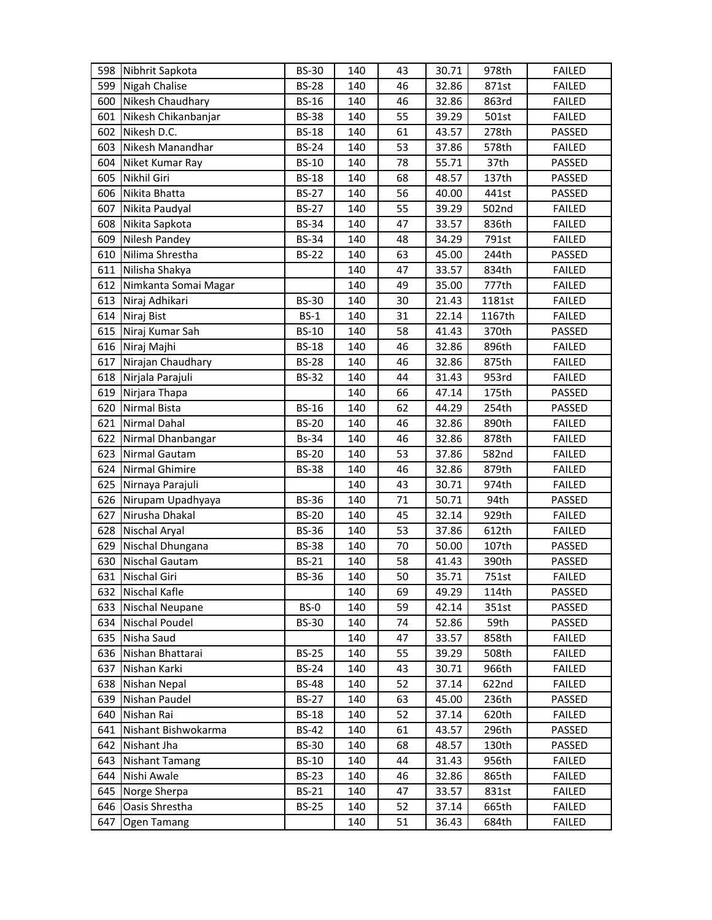| 598 | Nibhrit Sapkota       | <b>BS-30</b> | 140 | 43 | 30.71 | 978th  | <b>FAILED</b> |
|-----|-----------------------|--------------|-----|----|-------|--------|---------------|
| 599 | Nigah Chalise         | <b>BS-28</b> | 140 | 46 | 32.86 | 871st  | <b>FAILED</b> |
| 600 | Nikesh Chaudhary      | <b>BS-16</b> | 140 | 46 | 32.86 | 863rd  | <b>FAILED</b> |
| 601 | Nikesh Chikanbanjar   | <b>BS-38</b> | 140 | 55 | 39.29 | 501st  | <b>FAILED</b> |
| 602 | Nikesh D.C.           | <b>BS-18</b> | 140 | 61 | 43.57 | 278th  | PASSED        |
| 603 | Nikesh Manandhar      | <b>BS-24</b> | 140 | 53 | 37.86 | 578th  | <b>FAILED</b> |
| 604 | Niket Kumar Ray       | <b>BS-10</b> | 140 | 78 | 55.71 | 37th   | PASSED        |
| 605 | Nikhil Giri           | <b>BS-18</b> | 140 | 68 | 48.57 | 137th  | PASSED        |
| 606 | Nikita Bhatta         | <b>BS-27</b> | 140 | 56 | 40.00 | 441st  | PASSED        |
| 607 | Nikita Paudyal        | <b>BS-27</b> | 140 | 55 | 39.29 | 502nd  | <b>FAILED</b> |
| 608 | Nikita Sapkota        | <b>BS-34</b> | 140 | 47 | 33.57 | 836th  | <b>FAILED</b> |
| 609 | Nilesh Pandey         | <b>BS-34</b> | 140 | 48 | 34.29 | 791st  | <b>FAILED</b> |
| 610 | Nilima Shrestha       | <b>BS-22</b> | 140 | 63 | 45.00 | 244th  | PASSED        |
| 611 | Nilisha Shakya        |              | 140 | 47 | 33.57 | 834th  | <b>FAILED</b> |
| 612 | Nimkanta Somai Magar  |              | 140 | 49 | 35.00 | 777th  | <b>FAILED</b> |
| 613 | Niraj Adhikari        | <b>BS-30</b> | 140 | 30 | 21.43 | 1181st | <b>FAILED</b> |
| 614 | Niraj Bist            | $BS-1$       | 140 | 31 | 22.14 | 1167th | <b>FAILED</b> |
| 615 | Niraj Kumar Sah       | <b>BS-10</b> | 140 | 58 | 41.43 | 370th  | PASSED        |
|     | 616 Niraj Majhi       | <b>BS-18</b> | 140 | 46 | 32.86 | 896th  | <b>FAILED</b> |
| 617 | Nirajan Chaudhary     | <b>BS-28</b> | 140 | 46 | 32.86 | 875th  | <b>FAILED</b> |
| 618 | Nirjala Parajuli      | <b>BS-32</b> | 140 | 44 | 31.43 | 953rd  | <b>FAILED</b> |
| 619 | Nirjara Thapa         |              | 140 | 66 | 47.14 | 175th  | PASSED        |
| 620 | Nirmal Bista          | <b>BS-16</b> | 140 | 62 | 44.29 | 254th  | PASSED        |
| 621 | Nirmal Dahal          | <b>BS-20</b> | 140 | 46 | 32.86 | 890th  | <b>FAILED</b> |
| 622 | Nirmal Dhanbangar     | <b>Bs-34</b> | 140 | 46 | 32.86 | 878th  | <b>FAILED</b> |
| 623 | Nirmal Gautam         | <b>BS-20</b> | 140 | 53 | 37.86 | 582nd  | <b>FAILED</b> |
| 624 | Nirmal Ghimire        | <b>BS-38</b> | 140 | 46 | 32.86 | 879th  | <b>FAILED</b> |
| 625 | Nirnaya Parajuli      |              | 140 | 43 | 30.71 | 974th  | <b>FAILED</b> |
| 626 | Nirupam Upadhyaya     | <b>BS-36</b> | 140 | 71 | 50.71 | 94th   | PASSED        |
| 627 | Nirusha Dhakal        | <b>BS-20</b> | 140 | 45 | 32.14 | 929th  | <b>FAILED</b> |
| 628 | Nischal Aryal         | <b>BS-36</b> | 140 | 53 | 37.86 | 612th  | <b>FAILED</b> |
| 629 | Nischal Dhungana      | <b>BS-38</b> | 140 | 70 | 50.00 | 107th  | PASSED        |
| 630 | <b>Nischal Gautam</b> | <b>BS-21</b> | 140 | 58 | 41.43 | 390th  | PASSED        |
| 631 | Nischal Giri          | <b>BS-36</b> | 140 | 50 | 35.71 | 751st  | <b>FAILED</b> |
| 632 | Nischal Kafle         |              | 140 | 69 | 49.29 | 114th  | PASSED        |
| 633 | Nischal Neupane       | BS-0         | 140 | 59 | 42.14 | 351st  | PASSED        |
| 634 | <b>Nischal Poudel</b> | <b>BS-30</b> | 140 | 74 | 52.86 | 59th   | PASSED        |
|     | 635 Nisha Saud        |              | 140 | 47 | 33.57 | 858th  | <b>FAILED</b> |
|     | 636 Nishan Bhattarai  | <b>BS-25</b> | 140 | 55 | 39.29 | 508th  | <b>FAILED</b> |
| 637 | Nishan Karki          | <b>BS-24</b> | 140 | 43 | 30.71 | 966th  | <b>FAILED</b> |
| 638 | Nishan Nepal          | <b>BS-48</b> | 140 | 52 | 37.14 | 622nd  | <b>FAILED</b> |
| 639 | Nishan Paudel         | <b>BS-27</b> | 140 | 63 | 45.00 | 236th  | PASSED        |
| 640 | Nishan Rai            | <b>BS-18</b> | 140 | 52 | 37.14 | 620th  | <b>FAILED</b> |
| 641 | Nishant Bishwokarma   | <b>BS-42</b> | 140 | 61 | 43.57 | 296th  | PASSED        |
| 642 | Nishant Jha           | <b>BS-30</b> | 140 | 68 | 48.57 | 130th  | PASSED        |
| 643 | <b>Nishant Tamang</b> | <b>BS-10</b> | 140 | 44 | 31.43 | 956th  | <b>FAILED</b> |
| 644 | Nishi Awale           | <b>BS-23</b> | 140 | 46 | 32.86 | 865th  | <b>FAILED</b> |
| 645 | Norge Sherpa          | <b>BS-21</b> | 140 | 47 | 33.57 | 831st  | <b>FAILED</b> |
| 646 | Oasis Shrestha        | <b>BS-25</b> | 140 | 52 | 37.14 | 665th  | <b>FAILED</b> |
| 647 | Ogen Tamang           |              | 140 | 51 | 36.43 | 684th  | <b>FAILED</b> |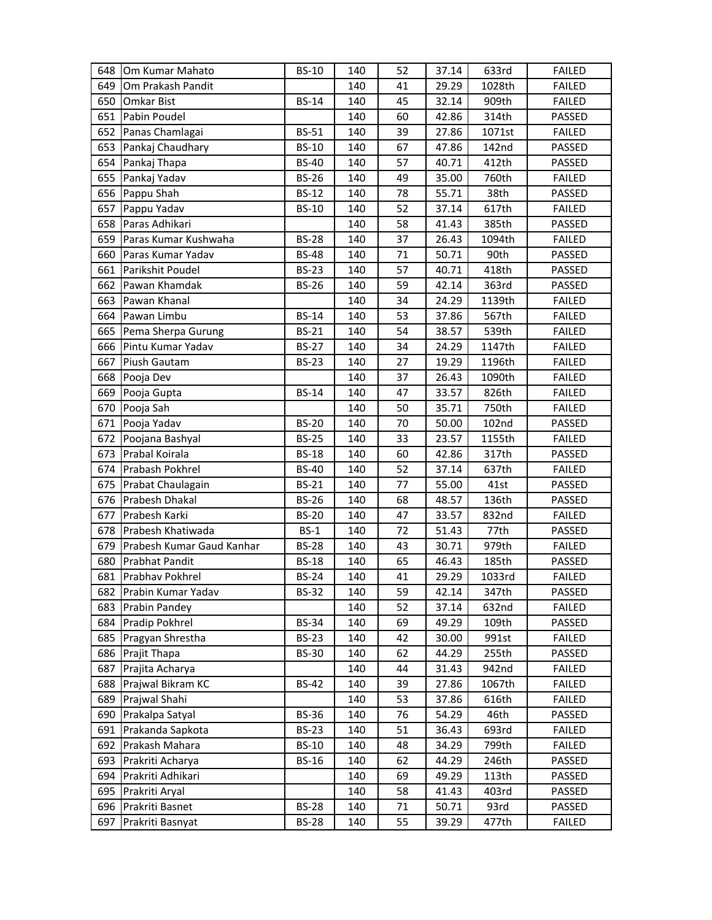| 648 | Om Kumar Mahato           | <b>BS-10</b> | 140 | 52 | 37.14 | 633rd  | <b>FAILED</b> |
|-----|---------------------------|--------------|-----|----|-------|--------|---------------|
| 649 | Om Prakash Pandit         |              | 140 | 41 | 29.29 | 1028th | <b>FAILED</b> |
| 650 | <b>Omkar Bist</b>         | <b>BS-14</b> | 140 | 45 | 32.14 | 909th  | <b>FAILED</b> |
| 651 | Pabin Poudel              |              | 140 | 60 | 42.86 | 314th  | PASSED        |
| 652 | Panas Chamlagai           | <b>BS-51</b> | 140 | 39 | 27.86 | 1071st | <b>FAILED</b> |
| 653 | Pankaj Chaudhary          | <b>BS-10</b> | 140 | 67 | 47.86 | 142nd  | PASSED        |
| 654 | Pankaj Thapa              | <b>BS-40</b> | 140 | 57 | 40.71 | 412th  | PASSED        |
|     | 655 Pankaj Yadav          | <b>BS-26</b> | 140 | 49 | 35.00 | 760th  | <b>FAILED</b> |
| 656 | Pappu Shah                | <b>BS-12</b> | 140 | 78 | 55.71 | 38th   | PASSED        |
| 657 | Pappu Yadav               | <b>BS-10</b> | 140 | 52 | 37.14 | 617th  | <b>FAILED</b> |
| 658 | Paras Adhikari            |              | 140 | 58 | 41.43 | 385th  | PASSED        |
| 659 | Paras Kumar Kushwaha      | <b>BS-28</b> | 140 | 37 | 26.43 | 1094th | <b>FAILED</b> |
| 660 | Paras Kumar Yadav         | <b>BS-48</b> | 140 | 71 | 50.71 | 90th   | PASSED        |
| 661 | Parikshit Poudel          | <b>BS-23</b> | 140 | 57 | 40.71 | 418th  | PASSED        |
| 662 | Pawan Khamdak             | <b>BS-26</b> | 140 | 59 | 42.14 | 363rd  | PASSED        |
| 663 | Pawan Khanal              |              | 140 | 34 | 24.29 | 1139th | <b>FAILED</b> |
| 664 | Pawan Limbu               | <b>BS-14</b> | 140 | 53 | 37.86 | 567th  | <b>FAILED</b> |
|     | 665 Pema Sherpa Gurung    | <b>BS-21</b> | 140 | 54 | 38.57 | 539th  | <b>FAILED</b> |
| 666 | Pintu Kumar Yadav         | <b>BS-27</b> | 140 | 34 | 24.29 | 1147th | <b>FAILED</b> |
| 667 | Piush Gautam              | <b>BS-23</b> | 140 | 27 | 19.29 | 1196th | <b>FAILED</b> |
| 668 | Pooja Dev                 |              | 140 | 37 | 26.43 | 1090th | <b>FAILED</b> |
| 669 | Pooja Gupta               | <b>BS-14</b> | 140 | 47 | 33.57 | 826th  | <b>FAILED</b> |
|     | 670 Pooja Sah             |              | 140 | 50 | 35.71 | 750th  | <b>FAILED</b> |
| 671 | Pooja Yadav               | <b>BS-20</b> | 140 | 70 | 50.00 | 102nd  | PASSED        |
| 672 | Poojana Bashyal           | <b>BS-25</b> | 140 | 33 | 23.57 | 1155th | <b>FAILED</b> |
| 673 | Prabal Koirala            | <b>BS-18</b> | 140 | 60 | 42.86 | 317th  | PASSED        |
| 674 | Prabash Pokhrel           | <b>BS-40</b> | 140 | 52 | 37.14 | 637th  | <b>FAILED</b> |
|     | 675 Prabat Chaulagain     | <b>BS-21</b> | 140 | 77 | 55.00 | 41st   | PASSED        |
| 676 | Prabesh Dhakal            | <b>BS-26</b> | 140 | 68 | 48.57 | 136th  | PASSED        |
| 677 | Prabesh Karki             | <b>BS-20</b> | 140 | 47 | 33.57 | 832nd  | <b>FAILED</b> |
| 678 | <b>Prabesh Khatiwada</b>  | $BS-1$       | 140 | 72 | 51.43 | 77th   | PASSED        |
| 679 | Prabesh Kumar Gaud Kanhar | <b>BS-28</b> | 140 | 43 | 30.71 | 979th  | <b>FAILED</b> |
| 680 | <b>Prabhat Pandit</b>     | <b>BS-18</b> | 140 | 65 | 46.43 | 185th  | PASSED        |
| 681 | Prabhav Pokhrel           | <b>BS-24</b> | 140 | 41 | 29.29 | 1033rd | <b>FAILED</b> |
| 682 | Prabin Kumar Yadav        | <b>BS-32</b> | 140 | 59 | 42.14 | 347th  | PASSED        |
| 683 | Prabin Pandey             |              | 140 | 52 | 37.14 | 632nd  | <b>FAILED</b> |
| 684 | Pradip Pokhrel            | <b>BS-34</b> | 140 | 69 | 49.29 | 109th  | PASSED        |
| 685 | Pragyan Shrestha          | <b>BS-23</b> | 140 | 42 | 30.00 | 991st  | <b>FAILED</b> |
| 686 | Prajit Thapa              | <b>BS-30</b> | 140 | 62 | 44.29 | 255th  | PASSED        |
| 687 | Prajita Acharya           |              | 140 | 44 | 31.43 | 942nd  | <b>FAILED</b> |
| 688 | Prajwal Bikram KC         | <b>BS-42</b> | 140 | 39 | 27.86 | 1067th | <b>FAILED</b> |
| 689 | Prajwal Shahi             |              | 140 | 53 | 37.86 | 616th  | <b>FAILED</b> |
| 690 | Prakalpa Satyal           | <b>BS-36</b> | 140 | 76 | 54.29 | 46th   | PASSED        |
| 691 | Prakanda Sapkota          | <b>BS-23</b> | 140 | 51 | 36.43 | 693rd  | <b>FAILED</b> |
| 692 | Prakash Mahara            | <b>BS-10</b> | 140 | 48 | 34.29 | 799th  | <b>FAILED</b> |
| 693 | Prakriti Acharya          | <b>BS-16</b> | 140 | 62 | 44.29 | 246th  | PASSED        |
| 694 | Prakriti Adhikari         |              | 140 | 69 | 49.29 | 113th  | PASSED        |
| 695 | Prakriti Aryal            |              | 140 | 58 | 41.43 | 403rd  | PASSED        |
| 696 | Prakriti Basnet           | <b>BS-28</b> | 140 | 71 | 50.71 | 93rd   | PASSED        |
| 697 | Prakriti Basnyat          | <b>BS-28</b> | 140 | 55 | 39.29 | 477th  | <b>FAILED</b> |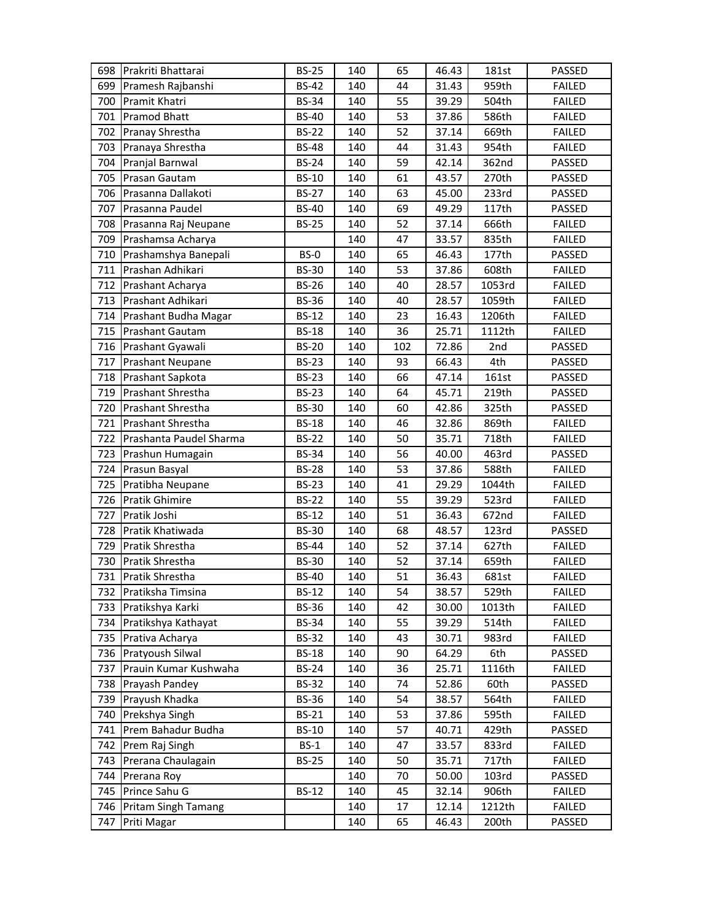|     | 698 Prakriti Bhattarai   | <b>BS-25</b> | 140 | 65  | 46.43 | 181st  | PASSED        |
|-----|--------------------------|--------------|-----|-----|-------|--------|---------------|
| 699 | Pramesh Rajbanshi        | <b>BS-42</b> | 140 | 44  | 31.43 | 959th  | <b>FAILED</b> |
| 700 | Pramit Khatri            | <b>BS-34</b> | 140 | 55  | 39.29 | 504th  | <b>FAILED</b> |
| 701 | <b>Pramod Bhatt</b>      | <b>BS-40</b> | 140 | 53  | 37.86 | 586th  | <b>FAILED</b> |
| 702 | Pranay Shrestha          | <b>BS-22</b> | 140 | 52  | 37.14 | 669th  | <b>FAILED</b> |
| 703 | Pranaya Shrestha         | <b>BS-48</b> | 140 | 44  | 31.43 | 954th  | <b>FAILED</b> |
| 704 | Pranjal Barnwal          | <b>BS-24</b> | 140 | 59  | 42.14 | 362nd  | PASSED        |
| 705 | Prasan Gautam            | <b>BS-10</b> | 140 | 61  | 43.57 | 270th  | PASSED        |
| 706 | Prasanna Dallakoti       | <b>BS-27</b> | 140 | 63  | 45.00 | 233rd  | PASSED        |
| 707 | Prasanna Paudel          | <b>BS-40</b> | 140 | 69  | 49.29 | 117th  | PASSED        |
| 708 | Prasanna Raj Neupane     | <b>BS-25</b> | 140 | 52  | 37.14 | 666th  | <b>FAILED</b> |
| 709 | Prashamsa Acharya        |              | 140 | 47  | 33.57 | 835th  | <b>FAILED</b> |
| 710 | Prashamshya Banepali     | BS-0         | 140 | 65  | 46.43 | 177th  | PASSED        |
| 711 | Prashan Adhikari         | <b>BS-30</b> | 140 | 53  | 37.86 | 608th  | <b>FAILED</b> |
| 712 | Prashant Acharya         | <b>BS-26</b> | 140 | 40  | 28.57 | 1053rd | <b>FAILED</b> |
| 713 | Prashant Adhikari        | <b>BS-36</b> | 140 | 40  | 28.57 | 1059th | <b>FAILED</b> |
| 714 | Prashant Budha Magar     | <b>BS-12</b> | 140 | 23  | 16.43 | 1206th | <b>FAILED</b> |
| 715 | <b>Prashant Gautam</b>   | <b>BS-18</b> | 140 | 36  | 25.71 | 1112th | <b>FAILED</b> |
| 716 | Prashant Gyawali         | <b>BS-20</b> | 140 | 102 | 72.86 | 2nd    | PASSED        |
| 717 | <b>Prashant Neupane</b>  | <b>BS-23</b> | 140 | 93  | 66.43 | 4th    | PASSED        |
| 718 | Prashant Sapkota         | <b>BS-23</b> | 140 | 66  | 47.14 | 161st  | PASSED        |
| 719 | <b>Prashant Shrestha</b> | <b>BS-23</b> | 140 | 64  | 45.71 | 219th  | PASSED        |
| 720 | Prashant Shrestha        | <b>BS-30</b> | 140 | 60  | 42.86 | 325th  | PASSED        |
| 721 | <b>Prashant Shrestha</b> | <b>BS-18</b> | 140 | 46  | 32.86 | 869th  | <b>FAILED</b> |
| 722 | Prashanta Paudel Sharma  | <b>BS-22</b> | 140 | 50  | 35.71 | 718th  | <b>FAILED</b> |
| 723 | Prashun Humagain         | <b>BS-34</b> | 140 | 56  | 40.00 | 463rd  | PASSED        |
| 724 | Prasun Basyal            | <b>BS-28</b> | 140 | 53  | 37.86 | 588th  | <b>FAILED</b> |
| 725 | Pratibha Neupane         | <b>BS-23</b> | 140 | 41  | 29.29 | 1044th | <b>FAILED</b> |
| 726 | <b>Pratik Ghimire</b>    | <b>BS-22</b> | 140 | 55  | 39.29 | 523rd  | <b>FAILED</b> |
| 727 | Pratik Joshi             | <b>BS-12</b> | 140 | 51  | 36.43 | 672nd  | <b>FAILED</b> |
| 728 | Pratik Khatiwada         | <b>BS-30</b> | 140 | 68  | 48.57 | 123rd  | PASSED        |
| 729 | Pratik Shrestha          | <b>BS-44</b> | 140 | 52  | 37.14 | 627th  | <b>FAILED</b> |
| 730 | Pratik Shrestha          | <b>BS-30</b> | 140 | 52  | 37.14 | 659th  | <b>FAILED</b> |
| 731 | Pratik Shrestha          | <b>BS-40</b> | 140 | 51  | 36.43 | 681st  | <b>FAILED</b> |
| 732 | Pratiksha Timsina        | <b>BS-12</b> | 140 | 54  | 38.57 | 529th  | <b>FAILED</b> |
| 733 | Pratikshya Karki         | <b>BS-36</b> | 140 | 42  | 30.00 | 1013th | <b>FAILED</b> |
| 734 | Pratikshya Kathayat      | <b>BS-34</b> | 140 | 55  | 39.29 | 514th  | <b>FAILED</b> |
|     | 735 Prativa Acharya      | <b>BS-32</b> | 140 | 43  | 30.71 | 983rd  | <b>FAILED</b> |
|     | 736 Pratyoush Silwal     | <b>BS-18</b> | 140 | 90  | 64.29 | 6th    | PASSED        |
| 737 | Prauin Kumar Kushwaha    | <b>BS-24</b> | 140 | 36  | 25.71 | 1116th | <b>FAILED</b> |
| 738 | Prayash Pandey           | <b>BS-32</b> | 140 | 74  | 52.86 | 60th   | PASSED        |
| 739 | Prayush Khadka           | <b>BS-36</b> | 140 | 54  | 38.57 | 564th  | <b>FAILED</b> |
| 740 | Prekshya Singh           | <b>BS-21</b> | 140 | 53  | 37.86 | 595th  | <b>FAILED</b> |
| 741 | Prem Bahadur Budha       | <b>BS-10</b> | 140 | 57  | 40.71 | 429th  | PASSED        |
| 742 | Prem Raj Singh           | $BS-1$       | 140 | 47  | 33.57 | 833rd  | <b>FAILED</b> |
| 743 | Prerana Chaulagain       | <b>BS-25</b> | 140 | 50  | 35.71 | 717th  | <b>FAILED</b> |
| 744 | Prerana Roy              |              | 140 | 70  | 50.00 | 103rd  | PASSED        |
|     | 745 Prince Sahu G        | <b>BS-12</b> | 140 | 45  | 32.14 | 906th  | <b>FAILED</b> |
| 746 | Pritam Singh Tamang      |              | 140 | 17  | 12.14 | 1212th | <b>FAILED</b> |
| 747 | Priti Magar              |              | 140 | 65  | 46.43 | 200th  | PASSED        |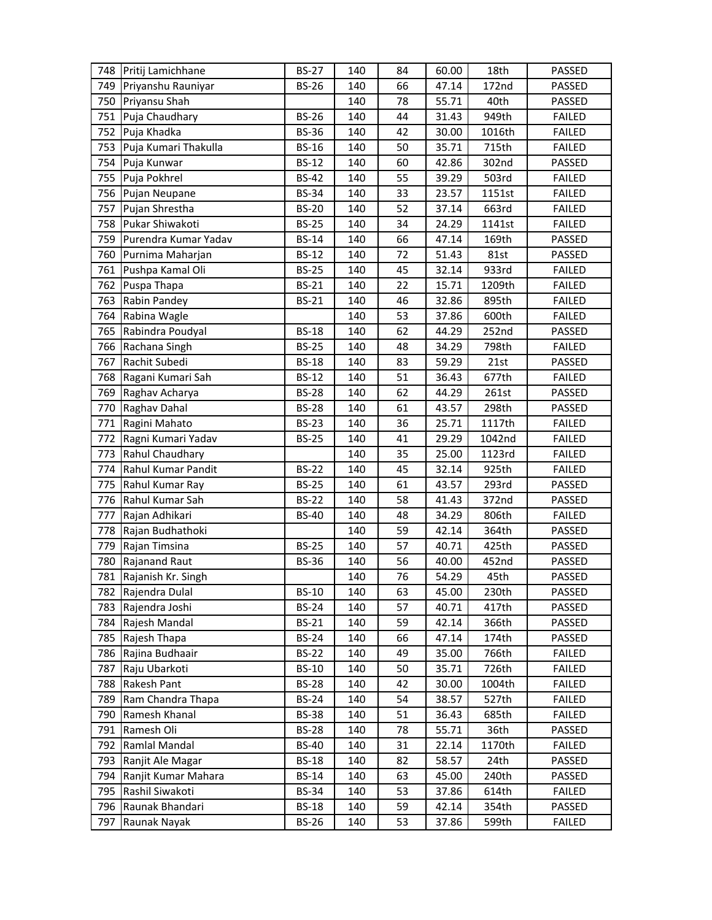| 748 | Pritij Lamichhane    | <b>BS-27</b> | 140 | 84 | 60.00 | 18th   | PASSED        |
|-----|----------------------|--------------|-----|----|-------|--------|---------------|
| 749 | Priyanshu Rauniyar   | <b>BS-26</b> | 140 | 66 | 47.14 | 172nd  | PASSED        |
| 750 | Priyansu Shah        |              | 140 | 78 | 55.71 | 40th   | PASSED        |
| 751 | Puja Chaudhary       | <b>BS-26</b> | 140 | 44 | 31.43 | 949th  | <b>FAILED</b> |
| 752 | Puja Khadka          | <b>BS-36</b> | 140 | 42 | 30.00 | 1016th | <b>FAILED</b> |
| 753 | Puja Kumari Thakulla | <b>BS-16</b> | 140 | 50 | 35.71 | 715th  | <b>FAILED</b> |
| 754 | Puja Kunwar          | <b>BS-12</b> | 140 | 60 | 42.86 | 302nd  | PASSED        |
| 755 | Puja Pokhrel         | <b>BS-42</b> | 140 | 55 | 39.29 | 503rd  | <b>FAILED</b> |
| 756 | Pujan Neupane        | <b>BS-34</b> | 140 | 33 | 23.57 | 1151st | <b>FAILED</b> |
| 757 | Pujan Shrestha       | <b>BS-20</b> | 140 | 52 | 37.14 | 663rd  | <b>FAILED</b> |
| 758 | Pukar Shiwakoti      | <b>BS-25</b> | 140 | 34 | 24.29 | 1141st | <b>FAILED</b> |
| 759 | Purendra Kumar Yadav | <b>BS-14</b> | 140 | 66 | 47.14 | 169th  | PASSED        |
| 760 | Purnima Maharjan     | <b>BS-12</b> | 140 | 72 | 51.43 | 81st   | PASSED        |
| 761 | Pushpa Kamal Oli     | <b>BS-25</b> | 140 | 45 | 32.14 | 933rd  | <b>FAILED</b> |
| 762 | Puspa Thapa          | <b>BS-21</b> | 140 | 22 | 15.71 | 1209th | <b>FAILED</b> |
| 763 | Rabin Pandey         | <b>BS-21</b> | 140 | 46 | 32.86 | 895th  | <b>FAILED</b> |
| 764 | Rabina Wagle         |              | 140 | 53 | 37.86 | 600th  | <b>FAILED</b> |
| 765 | Rabindra Poudyal     | <b>BS-18</b> | 140 | 62 | 44.29 | 252nd  | PASSED        |
| 766 | Rachana Singh        | <b>BS-25</b> | 140 | 48 | 34.29 | 798th  | <b>FAILED</b> |
| 767 | Rachit Subedi        | <b>BS-18</b> | 140 | 83 | 59.29 | 21st   | PASSED        |
| 768 | Ragani Kumari Sah    | <b>BS-12</b> | 140 | 51 | 36.43 | 677th  | <b>FAILED</b> |
| 769 | Raghav Acharya       | <b>BS-28</b> | 140 | 62 | 44.29 | 261st  | PASSED        |
| 770 | Raghav Dahal         | <b>BS-28</b> | 140 | 61 | 43.57 | 298th  | PASSED        |
| 771 | Ragini Mahato        | <b>BS-23</b> | 140 | 36 | 25.71 | 1117th | <b>FAILED</b> |
| 772 | Ragni Kumari Yadav   | <b>BS-25</b> | 140 | 41 | 29.29 | 1042nd | <b>FAILED</b> |
| 773 | Rahul Chaudhary      |              | 140 | 35 | 25.00 | 1123rd | <b>FAILED</b> |
| 774 | Rahul Kumar Pandit   | <b>BS-22</b> | 140 | 45 | 32.14 | 925th  | <b>FAILED</b> |
| 775 | Rahul Kumar Ray      | <b>BS-25</b> | 140 | 61 | 43.57 | 293rd  | PASSED        |
| 776 | Rahul Kumar Sah      | <b>BS-22</b> | 140 | 58 | 41.43 | 372nd  | PASSED        |
| 777 | Rajan Adhikari       | <b>BS-40</b> | 140 | 48 | 34.29 | 806th  | <b>FAILED</b> |
| 778 | Rajan Budhathoki     |              | 140 | 59 | 42.14 | 364th  | PASSED        |
| 779 | Rajan Timsina        | <b>BS-25</b> | 140 | 57 | 40.71 | 425th  | PASSED        |
| 780 | <b>Rajanand Raut</b> | <b>BS-36</b> | 140 | 56 | 40.00 | 452nd  | PASSED        |
| 781 | Rajanish Kr. Singh   |              | 140 | 76 | 54.29 | 45th   | PASSED        |
| 782 | Rajendra Dulal       | <b>BS-10</b> | 140 | 63 | 45.00 | 230th  | PASSED        |
| 783 | Rajendra Joshi       | <b>BS-24</b> | 140 | 57 | 40.71 | 417th  | PASSED        |
| 784 | Rajesh Mandal        | <b>BS-21</b> | 140 | 59 | 42.14 | 366th  | PASSED        |
| 785 | Rajesh Thapa         | <b>BS-24</b> | 140 | 66 | 47.14 | 174th  | PASSED        |
| 786 | Rajina Budhaair      | <b>BS-22</b> | 140 | 49 | 35.00 | 766th  | <b>FAILED</b> |
| 787 | Raju Ubarkoti        | <b>BS-10</b> | 140 | 50 | 35.71 | 726th  | <b>FAILED</b> |
| 788 | Rakesh Pant          | <b>BS-28</b> | 140 | 42 | 30.00 | 1004th | <b>FAILED</b> |
| 789 | Ram Chandra Thapa    | <b>BS-24</b> | 140 | 54 | 38.57 | 527th  | <b>FAILED</b> |
| 790 | Ramesh Khanal        | <b>BS-38</b> | 140 | 51 | 36.43 | 685th  | <b>FAILED</b> |
| 791 | Ramesh Oli           | <b>BS-28</b> | 140 | 78 | 55.71 | 36th   | PASSED        |
| 792 | Ramlal Mandal        | <b>BS-40</b> | 140 | 31 | 22.14 | 1170th | <b>FAILED</b> |
| 793 | Ranjit Ale Magar     | <b>BS-18</b> | 140 | 82 | 58.57 | 24th   | PASSED        |
| 794 | Ranjit Kumar Mahara  | <b>BS-14</b> | 140 | 63 | 45.00 | 240th  | PASSED        |
| 795 | Rashil Siwakoti      | <b>BS-34</b> | 140 | 53 | 37.86 | 614th  | <b>FAILED</b> |
| 796 | Raunak Bhandari      | <b>BS-18</b> | 140 | 59 | 42.14 | 354th  | PASSED        |
| 797 | Raunak Nayak         | <b>BS-26</b> | 140 | 53 | 37.86 | 599th  | FAILED        |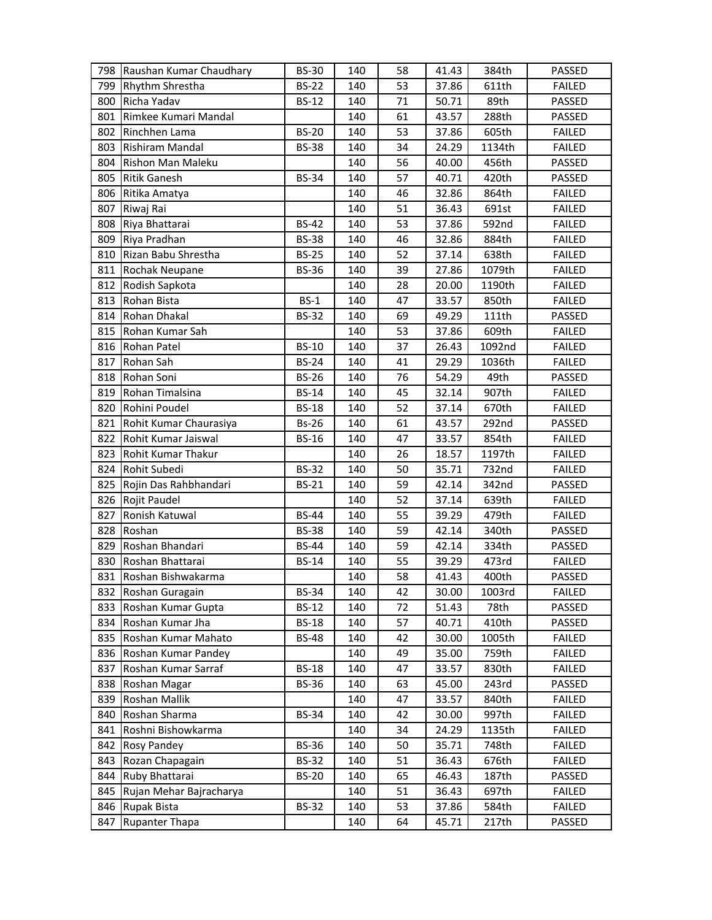| 798 | Raushan Kumar Chaudhary | <b>BS-30</b> | 140 | 58 | 41.43 | 384th  | PASSED        |
|-----|-------------------------|--------------|-----|----|-------|--------|---------------|
| 799 | <b>Rhythm Shrestha</b>  | <b>BS-22</b> | 140 | 53 | 37.86 | 611th  | <b>FAILED</b> |
| 800 | Richa Yadav             | <b>BS-12</b> | 140 | 71 | 50.71 | 89th   | PASSED        |
| 801 | Rimkee Kumari Mandal    |              | 140 | 61 | 43.57 | 288th  | PASSED        |
| 802 | Rinchhen Lama           | <b>BS-20</b> | 140 | 53 | 37.86 | 605th  | <b>FAILED</b> |
| 803 | Rishiram Mandal         | <b>BS-38</b> | 140 | 34 | 24.29 | 1134th | <b>FAILED</b> |
| 804 | Rishon Man Maleku       |              | 140 | 56 | 40.00 | 456th  | PASSED        |
| 805 | <b>Ritik Ganesh</b>     | <b>BS-34</b> | 140 | 57 | 40.71 | 420th  | PASSED        |
| 806 | Ritika Amatya           |              | 140 | 46 | 32.86 | 864th  | <b>FAILED</b> |
| 807 | Riwaj Rai               |              | 140 | 51 | 36.43 | 691st  | <b>FAILED</b> |
| 808 | Riya Bhattarai          | <b>BS-42</b> | 140 | 53 | 37.86 | 592nd  | <b>FAILED</b> |
|     | 809 Riya Pradhan        | <b>BS-38</b> | 140 | 46 | 32.86 | 884th  | <b>FAILED</b> |
|     | 810 Rizan Babu Shrestha | <b>BS-25</b> | 140 | 52 | 37.14 | 638th  | <b>FAILED</b> |
|     | 811 Rochak Neupane      | <b>BS-36</b> | 140 | 39 | 27.86 | 1079th | <b>FAILED</b> |
| 812 | Rodish Sapkota          |              | 140 | 28 | 20.00 | 1190th | <b>FAILED</b> |
| 813 | Rohan Bista             | $BS-1$       | 140 | 47 | 33.57 | 850th  | <b>FAILED</b> |
| 814 | Rohan Dhakal            | <b>BS-32</b> | 140 | 69 | 49.29 | 111th  | PASSED        |
| 815 | Rohan Kumar Sah         |              | 140 | 53 | 37.86 | 609th  | <b>FAILED</b> |
| 816 | Rohan Patel             | <b>BS-10</b> | 140 | 37 | 26.43 | 1092nd | <b>FAILED</b> |
| 817 | Rohan Sah               | <b>BS-24</b> | 140 | 41 | 29.29 | 1036th | <b>FAILED</b> |
| 818 | Rohan Soni              | <b>BS-26</b> | 140 | 76 | 54.29 | 49th   | PASSED        |
| 819 | Rohan Timalsina         | <b>BS-14</b> | 140 | 45 | 32.14 | 907th  | <b>FAILED</b> |
| 820 | Rohini Poudel           | <b>BS-18</b> | 140 | 52 | 37.14 | 670th  | <b>FAILED</b> |
| 821 | Rohit Kumar Chaurasiya  | <b>Bs-26</b> | 140 | 61 | 43.57 | 292nd  | PASSED        |
| 822 | Rohit Kumar Jaiswal     | <b>BS-16</b> | 140 | 47 | 33.57 | 854th  | <b>FAILED</b> |
| 823 | Rohit Kumar Thakur      |              | 140 | 26 | 18.57 | 1197th | <b>FAILED</b> |
| 824 | Rohit Subedi            | <b>BS-32</b> | 140 | 50 | 35.71 | 732nd  | <b>FAILED</b> |
| 825 | Rojin Das Rahbhandari   | <b>BS-21</b> | 140 | 59 | 42.14 | 342nd  | PASSED        |
| 826 | Rojit Paudel            |              | 140 | 52 | 37.14 | 639th  | <b>FAILED</b> |
| 827 | Ronish Katuwal          | <b>BS-44</b> | 140 | 55 | 39.29 | 479th  | <b>FAILED</b> |
| 828 | Roshan                  | <b>BS-38</b> | 140 | 59 | 42.14 | 340th  | PASSED        |
| 829 | Roshan Bhandari         | <b>BS-44</b> | 140 | 59 | 42.14 | 334th  | PASSED        |
| 830 | Roshan Bhattarai        | <b>BS-14</b> | 140 | 55 | 39.29 | 473rd  | <b>FAILED</b> |
|     | 831 Roshan Bishwakarma  |              | 140 | 58 | 41.43 | 400th  | PASSED        |
| 832 | Roshan Guragain         | <b>BS-34</b> | 140 | 42 | 30.00 | 1003rd | <b>FAILED</b> |
| 833 | Roshan Kumar Gupta      | <b>BS-12</b> | 140 | 72 | 51.43 | 78th   | PASSED        |
| 834 | Roshan Kumar Jha        | <b>BS-18</b> | 140 | 57 | 40.71 | 410th  | PASSED        |
| 835 | Roshan Kumar Mahato     | <b>BS-48</b> | 140 | 42 | 30.00 | 1005th | <b>FAILED</b> |
| 836 | Roshan Kumar Pandey     |              | 140 | 49 | 35.00 | 759th  | <b>FAILED</b> |
| 837 | Roshan Kumar Sarraf     | <b>BS-18</b> | 140 | 47 | 33.57 | 830th  | <b>FAILED</b> |
| 838 | Roshan Magar            | <b>BS-36</b> | 140 | 63 | 45.00 | 243rd  | PASSED        |
| 839 | Roshan Mallik           |              | 140 | 47 | 33.57 | 840th  | <b>FAILED</b> |
| 840 | Roshan Sharma           | <b>BS-34</b> | 140 | 42 | 30.00 | 997th  | <b>FAILED</b> |
| 841 | Roshni Bishowkarma      |              | 140 | 34 | 24.29 | 1135th | <b>FAILED</b> |
| 842 | Rosy Pandey             | <b>BS-36</b> | 140 | 50 | 35.71 | 748th  | <b>FAILED</b> |
| 843 | Rozan Chapagain         | <b>BS-32</b> | 140 | 51 | 36.43 | 676th  | <b>FAILED</b> |
| 844 | Ruby Bhattarai          | <b>BS-20</b> | 140 | 65 | 46.43 | 187th  | PASSED        |
| 845 | Rujan Mehar Bajracharya |              | 140 | 51 | 36.43 | 697th  | <b>FAILED</b> |
| 846 | Rupak Bista             | <b>BS-32</b> | 140 | 53 | 37.86 | 584th  | <b>FAILED</b> |
| 847 | <b>Rupanter Thapa</b>   |              | 140 | 64 | 45.71 | 217th  | PASSED        |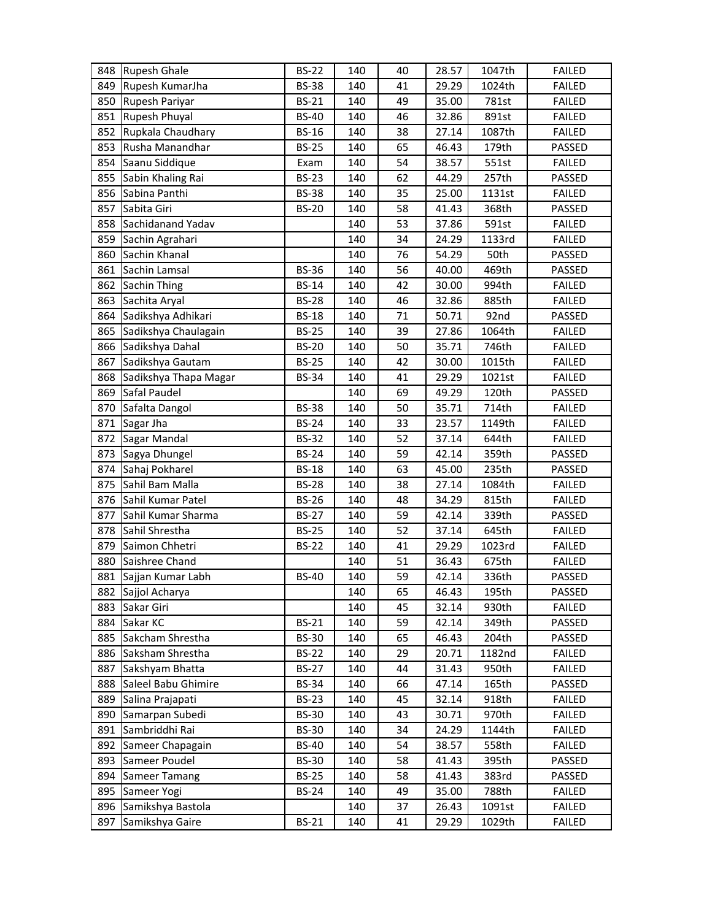| 848 | <b>Rupesh Ghale</b>   | <b>BS-22</b> | 140 | 40 | 28.57 | 1047th | <b>FAILED</b> |
|-----|-----------------------|--------------|-----|----|-------|--------|---------------|
| 849 | Rupesh KumarJha       | <b>BS-38</b> | 140 | 41 | 29.29 | 1024th | <b>FAILED</b> |
| 850 | Rupesh Pariyar        | <b>BS-21</b> | 140 | 49 | 35.00 | 781st  | <b>FAILED</b> |
| 851 | <b>Rupesh Phuyal</b>  | <b>BS-40</b> | 140 | 46 | 32.86 | 891st  | <b>FAILED</b> |
| 852 | Rupkala Chaudhary     | <b>BS-16</b> | 140 | 38 | 27.14 | 1087th | <b>FAILED</b> |
| 853 | Rusha Manandhar       | <b>BS-25</b> | 140 | 65 | 46.43 | 179th  | PASSED        |
| 854 | Saanu Siddique        | Exam         | 140 | 54 | 38.57 | 551st  | <b>FAILED</b> |
| 855 | Sabin Khaling Rai     | <b>BS-23</b> | 140 | 62 | 44.29 | 257th  | PASSED        |
| 856 | Sabina Panthi         | <b>BS-38</b> | 140 | 35 | 25.00 | 1131st | <b>FAILED</b> |
| 857 | Sabita Giri           | <b>BS-20</b> | 140 | 58 | 41.43 | 368th  | PASSED        |
| 858 | Sachidanand Yadav     |              | 140 | 53 | 37.86 | 591st  | <b>FAILED</b> |
| 859 | Sachin Agrahari       |              | 140 | 34 | 24.29 | 1133rd | <b>FAILED</b> |
| 860 | Sachin Khanal         |              | 140 | 76 | 54.29 | 50th   | PASSED        |
| 861 | Sachin Lamsal         | <b>BS-36</b> | 140 | 56 | 40.00 | 469th  | PASSED        |
| 862 | Sachin Thing          | <b>BS-14</b> | 140 | 42 | 30.00 | 994th  | <b>FAILED</b> |
| 863 | Sachita Aryal         | <b>BS-28</b> | 140 | 46 | 32.86 | 885th  | <b>FAILED</b> |
| 864 | Sadikshya Adhikari    | <b>BS-18</b> | 140 | 71 | 50.71 | 92nd   | PASSED        |
| 865 | Sadikshya Chaulagain  | <b>BS-25</b> | 140 | 39 | 27.86 | 1064th | <b>FAILED</b> |
| 866 | Sadikshya Dahal       | <b>BS-20</b> | 140 | 50 | 35.71 | 746th  | <b>FAILED</b> |
| 867 | Sadikshya Gautam      | <b>BS-25</b> | 140 | 42 | 30.00 | 1015th | <b>FAILED</b> |
| 868 | Sadikshya Thapa Magar | <b>BS-34</b> | 140 | 41 | 29.29 | 1021st | <b>FAILED</b> |
| 869 | Safal Paudel          |              | 140 | 69 | 49.29 | 120th  | PASSED        |
| 870 | Safalta Dangol        | <b>BS-38</b> | 140 | 50 | 35.71 | 714th  | <b>FAILED</b> |
| 871 | Sagar Jha             | <b>BS-24</b> | 140 | 33 | 23.57 | 1149th | <b>FAILED</b> |
| 872 | Sagar Mandal          | <b>BS-32</b> | 140 | 52 | 37.14 | 644th  | <b>FAILED</b> |
| 873 | Sagya Dhungel         | <b>BS-24</b> | 140 | 59 | 42.14 | 359th  | PASSED        |
| 874 | Sahaj Pokharel        | <b>BS-18</b> | 140 | 63 | 45.00 | 235th  | PASSED        |
| 875 | Sahil Bam Malla       | <b>BS-28</b> | 140 | 38 | 27.14 | 1084th | <b>FAILED</b> |
| 876 | Sahil Kumar Patel     | <b>BS-26</b> | 140 | 48 | 34.29 | 815th  | <b>FAILED</b> |
| 877 | Sahil Kumar Sharma    | <b>BS-27</b> | 140 | 59 | 42.14 | 339th  | PASSED        |
| 878 | Sahil Shrestha        | <b>BS-25</b> | 140 | 52 | 37.14 | 645th  | <b>FAILED</b> |
| 879 | Saimon Chhetri        | <b>BS-22</b> | 140 | 41 | 29.29 | 1023rd | <b>FAILED</b> |
| 880 | Saishree Chand        |              | 140 | 51 | 36.43 | 675th  | <b>FAILED</b> |
|     | 881 Sajjan Kumar Labh | <b>BS-40</b> | 140 | 59 | 42.14 | 336th  | PASSED        |
| 882 | Sajjol Acharya        |              | 140 | 65 | 46.43 | 195th  | PASSED        |
| 883 | Sakar Giri            |              | 140 | 45 | 32.14 | 930th  | <b>FAILED</b> |
| 884 | Sakar KC              | <b>BS-21</b> | 140 | 59 | 42.14 | 349th  | PASSED        |
| 885 | Sakcham Shrestha      | <b>BS-30</b> | 140 | 65 | 46.43 | 204th  | PASSED        |
| 886 | Saksham Shrestha      | <b>BS-22</b> | 140 | 29 | 20.71 | 1182nd | <b>FAILED</b> |
| 887 | Sakshyam Bhatta       | <b>BS-27</b> | 140 | 44 | 31.43 | 950th  | <b>FAILED</b> |
| 888 | Saleel Babu Ghimire   | <b>BS-34</b> | 140 | 66 | 47.14 | 165th  | PASSED        |
| 889 | Salina Prajapati      | <b>BS-23</b> | 140 | 45 | 32.14 | 918th  | <b>FAILED</b> |
| 890 | Samarpan Subedi       | <b>BS-30</b> | 140 | 43 | 30.71 | 970th  | <b>FAILED</b> |
| 891 | Sambriddhi Rai        | <b>BS-30</b> | 140 | 34 | 24.29 | 1144th | <b>FAILED</b> |
| 892 | Sameer Chapagain      | <b>BS-40</b> | 140 | 54 | 38.57 | 558th  | <b>FAILED</b> |
| 893 | Sameer Poudel         | <b>BS-30</b> | 140 | 58 | 41.43 | 395th  | PASSED        |
| 894 | <b>Sameer Tamang</b>  | <b>BS-25</b> | 140 | 58 | 41.43 | 383rd  | PASSED        |
| 895 | Sameer Yogi           | <b>BS-24</b> | 140 | 49 | 35.00 | 788th  | <b>FAILED</b> |
| 896 | Samikshya Bastola     |              | 140 | 37 | 26.43 | 1091st | <b>FAILED</b> |
| 897 | Samikshya Gaire       | BS-21        | 140 | 41 | 29.29 | 1029th | <b>FAILED</b> |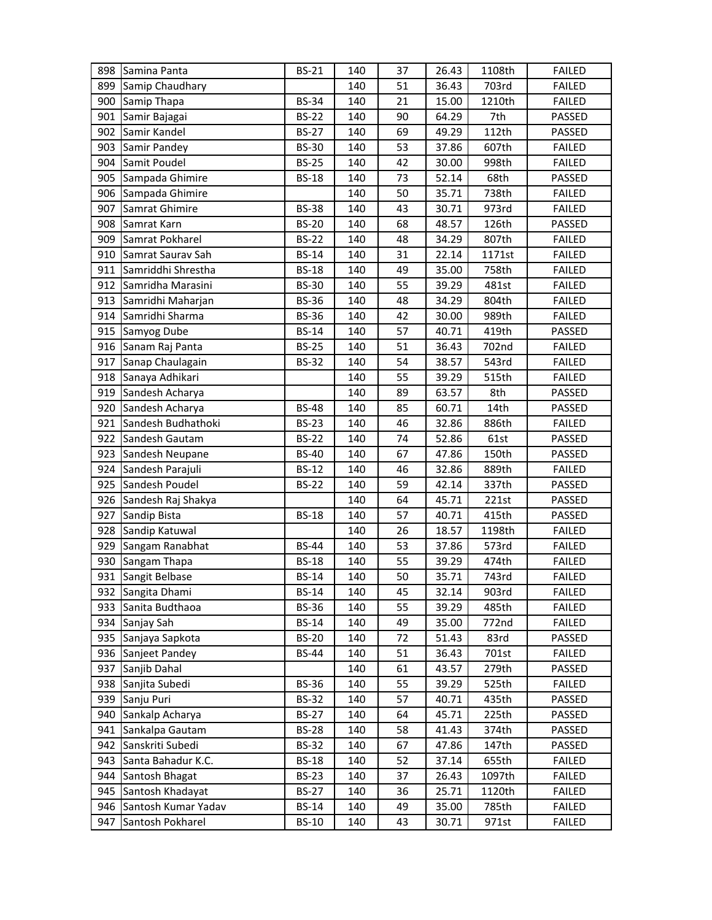| 898        | Samina Panta                            | <b>BS-21</b>                 | 140        | 37       | 26.43          | 1108th         | <b>FAILED</b>                  |
|------------|-----------------------------------------|------------------------------|------------|----------|----------------|----------------|--------------------------------|
| 899        | Samip Chaudhary                         |                              | 140        | 51       | 36.43          | 703rd          | <b>FAILED</b>                  |
| 900        | Samip Thapa                             | <b>BS-34</b>                 | 140        | 21       | 15.00          | 1210th         | <b>FAILED</b>                  |
| 901        | Samir Bajagai                           | <b>BS-22</b>                 | 140        | 90       | 64.29          | 7th            | PASSED                         |
| 902        | Samir Kandel                            | <b>BS-27</b>                 | 140        | 69       | 49.29          | 112th          | PASSED                         |
| 903        | Samir Pandey                            | <b>BS-30</b>                 | 140        | 53       | 37.86          | 607th          | <b>FAILED</b>                  |
| 904        | Samit Poudel                            | <b>BS-25</b>                 | 140        | 42       | 30.00          | 998th          | <b>FAILED</b>                  |
| 905        | Sampada Ghimire                         | <b>BS-18</b>                 | 140        | 73       | 52.14          | 68th           | PASSED                         |
| 906        | Sampada Ghimire                         |                              | 140        | 50       | 35.71          | 738th          | <b>FAILED</b>                  |
| 907        | Samrat Ghimire                          | <b>BS-38</b>                 | 140        | 43       | 30.71          | 973rd          | <b>FAILED</b>                  |
| 908        | Samrat Karn                             | <b>BS-20</b>                 | 140        | 68       | 48.57          | 126th          | PASSED                         |
| 909        | Samrat Pokharel                         | <b>BS-22</b>                 | 140        | 48       | 34.29          | 807th          | <b>FAILED</b>                  |
| 910        | Samrat Saurav Sah                       | <b>BS-14</b>                 | 140        | 31       | 22.14          | 1171st         | <b>FAILED</b>                  |
| 911        | Samriddhi Shrestha                      | <b>BS-18</b>                 | 140        | 49       | 35.00          | 758th          | <b>FAILED</b>                  |
| 912        | Samridha Marasini                       | <b>BS-30</b>                 | 140        | 55       | 39.29          | 481st          | <b>FAILED</b>                  |
| 913        | Samridhi Maharjan                       | <b>BS-36</b>                 | 140        | 48       | 34.29          | 804th          | <b>FAILED</b>                  |
| 914        | Samridhi Sharma                         | <b>BS-36</b>                 | 140        | 42       | 30.00          | 989th          | <b>FAILED</b>                  |
| 915        | Samyog Dube                             | <b>BS-14</b>                 | 140        | 57       | 40.71          | 419th          | PASSED                         |
| 916        | Sanam Raj Panta                         | <b>BS-25</b>                 | 140        | 51       | 36.43          | 702nd          | <b>FAILED</b>                  |
| 917        | Sanap Chaulagain                        | <b>BS-32</b>                 | 140        | 54       | 38.57          | 543rd          | <b>FAILED</b>                  |
| 918        | Sanaya Adhikari                         |                              | 140        | 55       | 39.29          | 515th          | <b>FAILED</b>                  |
| 919        | Sandesh Acharya                         |                              | 140        | 89       | 63.57          | 8th            | PASSED                         |
| 920        | Sandesh Acharya                         | <b>BS-48</b>                 | 140        | 85       | 60.71          | 14th           | PASSED                         |
| 921        | Sandesh Budhathoki                      | <b>BS-23</b>                 | 140        | 46       | 32.86          | 886th          | <b>FAILED</b>                  |
| 922        | Sandesh Gautam                          | <b>BS-22</b>                 | 140        | 74       | 52.86          | 61st           | PASSED                         |
| 923        | Sandesh Neupane                         | <b>BS-40</b>                 | 140        | 67       | 47.86          | 150th          | PASSED                         |
| 924        | Sandesh Parajuli                        | <b>BS-12</b>                 | 140        | 46       | 32.86          | 889th          | <b>FAILED</b>                  |
| 925        | Sandesh Poudel                          | <b>BS-22</b>                 | 140        | 59       | 42.14          | 337th          | PASSED                         |
| 926        | Sandesh Raj Shakya                      |                              | 140        | 64       | 45.71          | 221st          | PASSED                         |
| 927        | Sandip Bista                            | <b>BS-18</b>                 | 140        | 57       | 40.71          | 415th          | PASSED                         |
| 928        | Sandip Katuwal                          |                              | 140        | 26       | 18.57          | 1198th         | <b>FAILED</b>                  |
| 929        | Sangam Ranabhat                         | <b>BS-44</b>                 | 140        | 53       | 37.86          | 573rd          | <b>FAILED</b>                  |
| 930        | Sangam Thapa                            | <b>BS-18</b>                 | 140        | 55       | 39.29          | 474th          | <b>FAILED</b>                  |
| 931        | Sangit Belbase                          | <b>BS-14</b>                 | 140        | 50       | 35.71          | 743rd          | <b>FAILED</b>                  |
|            | 932 Sangita Dhami                       | <b>BS-14</b>                 | 140        | 45       | 32.14          | 903rd          | <b>FAILED</b>                  |
| 933        | Sanita Budthaoa                         | <b>BS-36</b>                 | 140        | 55       | 39.29          | 485th          | <b>FAILED</b>                  |
| 934        | Sanjay Sah                              | <b>BS-14</b>                 | 140        | 49       | 35.00          | 772nd          | <b>FAILED</b>                  |
|            | 935 Sanjaya Sapkota                     | <b>BS-20</b>                 | 140        | 72       | 51.43          | 83rd           | PASSED                         |
| 936        | Sanjeet Pandey                          | BS-44                        | 140        | 51       | 36.43          | 701st          | <b>FAILED</b>                  |
| 937        | Sanjib Dahal                            |                              | 140        | 61       | 43.57          | 279th          | PASSED                         |
| 938        | Sanjita Subedi                          | <b>BS-36</b>                 | 140        | 55       | 39.29          | 525th          | <b>FAILED</b>                  |
| 939        | Sanju Puri                              | <b>BS-32</b>                 | 140        | 57       | 40.71          | 435th          | PASSED                         |
| 940        | Sankalp Acharya                         | <b>BS-27</b>                 | 140        | 64       | 45.71          | 225th          | PASSED                         |
| 941        | Sankalpa Gautam                         | <b>BS-28</b>                 | 140        | 58       | 41.43          | 374th          | PASSED                         |
| 942        | Sanskriti Subedi                        | <b>BS-32</b>                 | 140        | 67       | 47.86          | 147th          | PASSED                         |
| 943        | Santa Bahadur K.C.                      | <b>BS-18</b>                 | 140        | 52       | 37.14          | 655th          | <b>FAILED</b>                  |
| 944        |                                         |                              |            |          |                |                |                                |
|            | Santosh Bhagat                          | <b>BS-23</b>                 | 140        | 37       | 26.43          | 1097th         | <b>FAILED</b>                  |
| 945        | Santosh Khadayat                        | <b>BS-27</b>                 | 140        | 36       | 25.71          | 1120th         | <b>FAILED</b>                  |
| 946<br>947 | Santosh Kumar Yadav<br>Santosh Pokharel | <b>BS-14</b><br><b>BS-10</b> | 140<br>140 | 49<br>43 | 35.00<br>30.71 | 785th<br>971st | <b>FAILED</b><br><b>FAILED</b> |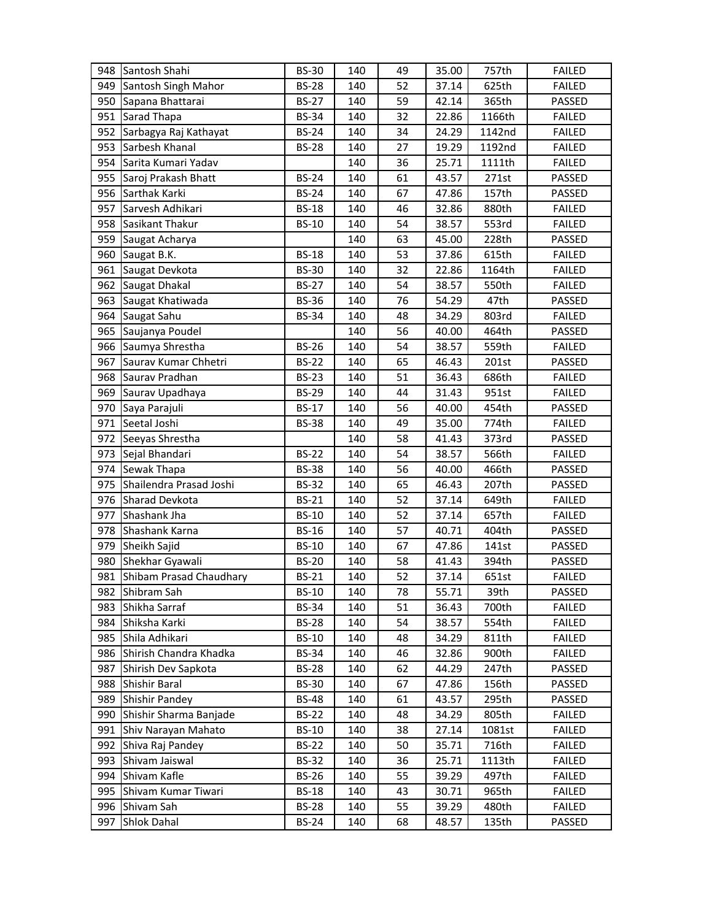| 948 | Santosh Shahi               | <b>BS-30</b> | 140 | 49 | 35.00 | 757th  | <b>FAILED</b> |
|-----|-----------------------------|--------------|-----|----|-------|--------|---------------|
| 949 | Santosh Singh Mahor         | <b>BS-28</b> | 140 | 52 | 37.14 | 625th  | <b>FAILED</b> |
| 950 | Sapana Bhattarai            | <b>BS-27</b> | 140 | 59 | 42.14 | 365th  | PASSED        |
| 951 | Sarad Thapa                 | <b>BS-34</b> | 140 | 32 | 22.86 | 1166th | <b>FAILED</b> |
| 952 | Sarbagya Raj Kathayat       | <b>BS-24</b> | 140 | 34 | 24.29 | 1142nd | <b>FAILED</b> |
| 953 | Sarbesh Khanal              | <b>BS-28</b> | 140 | 27 | 19.29 | 1192nd | <b>FAILED</b> |
| 954 | Sarita Kumari Yadav         |              | 140 | 36 | 25.71 | 1111th | <b>FAILED</b> |
| 955 | Saroj Prakash Bhatt         | <b>BS-24</b> | 140 | 61 | 43.57 | 271st  | PASSED        |
| 956 | Sarthak Karki               | <b>BS-24</b> | 140 | 67 | 47.86 | 157th  | PASSED        |
| 957 | Sarvesh Adhikari            | <b>BS-18</b> | 140 | 46 | 32.86 | 880th  | <b>FAILED</b> |
| 958 | Sasikant Thakur             | <b>BS-10</b> | 140 | 54 | 38.57 | 553rd  | <b>FAILED</b> |
| 959 | Saugat Acharya              |              | 140 | 63 | 45.00 | 228th  | PASSED        |
| 960 | Saugat B.K.                 | <b>BS-18</b> | 140 | 53 | 37.86 | 615th  | <b>FAILED</b> |
| 961 | Saugat Devkota              | <b>BS-30</b> | 140 | 32 | 22.86 | 1164th | <b>FAILED</b> |
| 962 | Saugat Dhakal               | <b>BS-27</b> | 140 | 54 | 38.57 | 550th  | <b>FAILED</b> |
| 963 | Saugat Khatiwada            | <b>BS-36</b> | 140 | 76 | 54.29 | 47th   | PASSED        |
| 964 | Saugat Sahu                 | <b>BS-34</b> | 140 | 48 | 34.29 | 803rd  | <b>FAILED</b> |
| 965 | Saujanya Poudel             |              | 140 | 56 | 40.00 | 464th  | PASSED        |
| 966 | Saumya Shrestha             | <b>BS-26</b> | 140 | 54 | 38.57 | 559th  | <b>FAILED</b> |
| 967 | Saurav Kumar Chhetri        | <b>BS-22</b> | 140 | 65 | 46.43 | 201st  | PASSED        |
| 968 | Saurav Pradhan              | <b>BS-23</b> | 140 | 51 | 36.43 | 686th  | <b>FAILED</b> |
| 969 | Saurav Upadhaya             | <b>BS-29</b> | 140 | 44 | 31.43 | 951st  | <b>FAILED</b> |
| 970 | Saya Parajuli               | <b>BS-17</b> | 140 | 56 | 40.00 | 454th  | PASSED        |
| 971 | Seetal Joshi                | <b>BS-38</b> | 140 | 49 | 35.00 | 774th  | <b>FAILED</b> |
| 972 | Seeyas Shrestha             |              | 140 | 58 | 41.43 | 373rd  | PASSED        |
| 973 | Sejal Bhandari              | <b>BS-22</b> | 140 | 54 | 38.57 | 566th  | <b>FAILED</b> |
| 974 | Sewak Thapa                 | <b>BS-38</b> | 140 | 56 | 40.00 | 466th  | PASSED        |
| 975 | Shailendra Prasad Joshi     | <b>BS-32</b> | 140 | 65 | 46.43 | 207th  | PASSED        |
|     | 976 Sharad Devkota          | <b>BS-21</b> | 140 | 52 | 37.14 | 649th  | <b>FAILED</b> |
| 977 | Shashank Jha                | <b>BS-10</b> | 140 | 52 | 37.14 | 657th  | <b>FAILED</b> |
| 978 | <b>Shashank Karna</b>       | <b>BS-16</b> | 140 | 57 | 40.71 | 404th  | PASSED        |
|     | 979 Sheikh Sajid            | <b>BS-10</b> | 140 | 67 | 47.86 | 141st  | PASSED        |
|     | 980 Shekhar Gyawali         | <b>BS-20</b> | 140 | 58 | 41.43 | 394th  | PASSED        |
|     | 981 Shibam Prasad Chaudhary | <b>BS-21</b> | 140 | 52 | 37.14 | 651st  | <b>FAILED</b> |
| 982 | Shibram Sah                 | <b>BS-10</b> | 140 | 78 | 55.71 | 39th   | PASSED        |
| 983 | Shikha Sarraf               | <b>BS-34</b> | 140 | 51 | 36.43 | 700th  | <b>FAILED</b> |
|     | 984 Shiksha Karki           | <b>BS-28</b> | 140 | 54 | 38.57 | 554th  | <b>FAILED</b> |
|     | 985 Shila Adhikari          | <b>BS-10</b> | 140 | 48 | 34.29 | 811th  | <b>FAILED</b> |
|     | 986 Shirish Chandra Khadka  | <b>BS-34</b> | 140 | 46 | 32.86 | 900th  | <b>FAILED</b> |
| 987 | Shirish Dev Sapkota         | <b>BS-28</b> | 140 | 62 | 44.29 | 247th  | PASSED        |
| 988 | Shishir Baral               | <b>BS-30</b> | 140 | 67 | 47.86 | 156th  | PASSED        |
|     | 989 Shishir Pandey          | <b>BS-48</b> | 140 | 61 | 43.57 | 295th  | PASSED        |
|     | 990 Shishir Sharma Banjade  | <b>BS-22</b> | 140 | 48 | 34.29 | 805th  | <b>FAILED</b> |
| 991 | Shiv Narayan Mahato         | <b>BS-10</b> | 140 | 38 | 27.14 | 1081st | <b>FAILED</b> |
| 992 | Shiva Raj Pandey            | <b>BS-22</b> | 140 | 50 | 35.71 | 716th  | <b>FAILED</b> |
| 993 | Shivam Jaiswal              | <b>BS-32</b> | 140 | 36 | 25.71 | 1113th | <b>FAILED</b> |
|     | 994 Shivam Kafle            | <b>BS-26</b> | 140 | 55 | 39.29 | 497th  | <b>FAILED</b> |
|     | 995 Shivam Kumar Tiwari     | <b>BS-18</b> | 140 | 43 | 30.71 | 965th  | <b>FAILED</b> |
| 996 | Shivam Sah                  | <b>BS-28</b> | 140 | 55 | 39.29 | 480th  | <b>FAILED</b> |
| 997 | Shlok Dahal                 | <b>BS-24</b> | 140 | 68 | 48.57 | 135th  | PASSED        |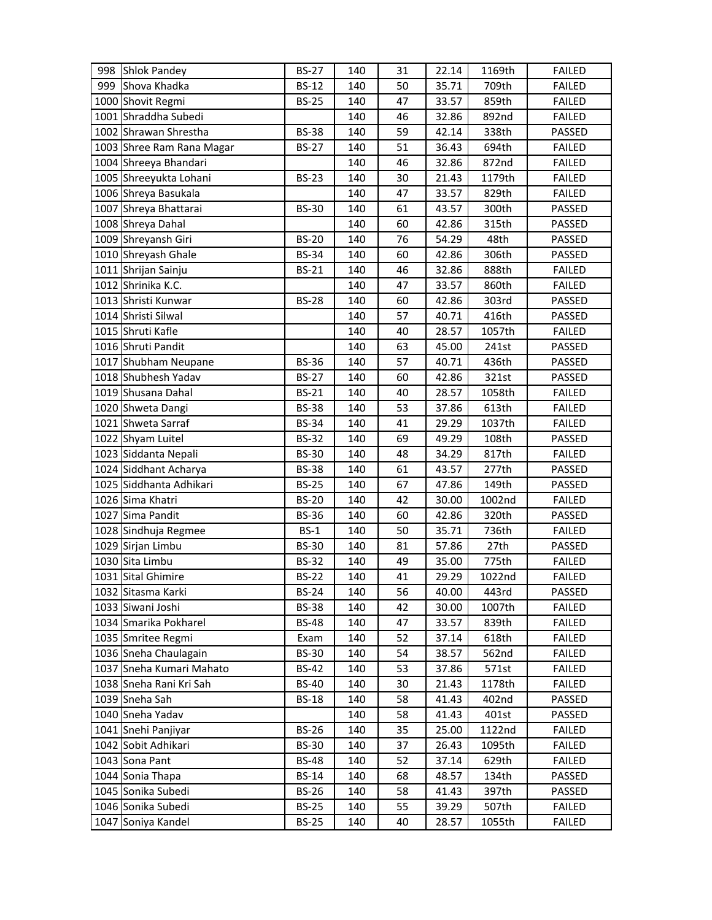| 998 Shlok Pandey          | <b>BS-27</b> | 140 | 31 | 22.14 | 1169th | <b>FAILED</b> |
|---------------------------|--------------|-----|----|-------|--------|---------------|
| 999 Shova Khadka          | <b>BS-12</b> | 140 | 50 | 35.71 | 709th  | <b>FAILED</b> |
| 1000 Shovit Regmi         | <b>BS-25</b> | 140 | 47 | 33.57 | 859th  | <b>FAILED</b> |
| 1001 Shraddha Subedi      |              | 140 | 46 | 32.86 | 892nd  | <b>FAILED</b> |
| 1002 Shrawan Shrestha     | <b>BS-38</b> | 140 | 59 | 42.14 | 338th  | PASSED        |
| 1003 Shree Ram Rana Magar | <b>BS-27</b> | 140 | 51 | 36.43 | 694th  | <b>FAILED</b> |
| 1004 Shreeya Bhandari     |              | 140 | 46 | 32.86 | 872nd  | <b>FAILED</b> |
| 1005 Shreeyukta Lohani    | <b>BS-23</b> | 140 | 30 | 21.43 | 1179th | <b>FAILED</b> |
| 1006 Shreya Basukala      |              | 140 | 47 | 33.57 | 829th  | <b>FAILED</b> |
| 1007 Shreya Bhattarai     | <b>BS-30</b> | 140 | 61 | 43.57 | 300th  | PASSED        |
| 1008 Shreya Dahal         |              | 140 | 60 | 42.86 | 315th  | PASSED        |
| 1009 Shreyansh Giri       | <b>BS-20</b> | 140 | 76 | 54.29 | 48th   | PASSED        |
| 1010 Shreyash Ghale       | <b>BS-34</b> | 140 | 60 | 42.86 | 306th  | PASSED        |
| 1011 Shrijan Sainju       | <b>BS-21</b> | 140 | 46 | 32.86 | 888th  | <b>FAILED</b> |
| 1012 Shrinika K.C.        |              | 140 | 47 | 33.57 | 860th  | <b>FAILED</b> |
| 1013 Shristi Kunwar       | <b>BS-28</b> | 140 | 60 | 42.86 | 303rd  | PASSED        |
| 1014 Shristi Silwal       |              | 140 | 57 | 40.71 | 416th  | PASSED        |
| 1015 Shruti Kafle         |              | 140 | 40 | 28.57 | 1057th | <b>FAILED</b> |
| 1016 Shruti Pandit        |              | 140 | 63 | 45.00 | 241st  | PASSED        |
| 1017 Shubham Neupane      | <b>BS-36</b> | 140 | 57 | 40.71 | 436th  | PASSED        |
| 1018 Shubhesh Yadav       | <b>BS-27</b> | 140 | 60 | 42.86 | 321st  | PASSED        |
| 1019 Shusana Dahal        | <b>BS-21</b> | 140 | 40 | 28.57 | 1058th | <b>FAILED</b> |
| 1020 Shweta Dangi         | <b>BS-38</b> | 140 | 53 | 37.86 | 613th  | <b>FAILED</b> |
| 1021 Shweta Sarraf        | <b>BS-34</b> | 140 | 41 | 29.29 | 1037th | <b>FAILED</b> |
| 1022 Shyam Luitel         | <b>BS-32</b> | 140 | 69 | 49.29 | 108th  | PASSED        |
| 1023 Siddanta Nepali      | <b>BS-30</b> | 140 | 48 | 34.29 | 817th  | <b>FAILED</b> |
| 1024 Siddhant Acharya     | <b>BS-38</b> | 140 | 61 | 43.57 | 277th  | PASSED        |
| 1025 Siddhanta Adhikari   | <b>BS-25</b> | 140 | 67 | 47.86 | 149th  | PASSED        |
| 1026 Sima Khatri          | <b>BS-20</b> | 140 | 42 | 30.00 | 1002nd | <b>FAILED</b> |
| 1027 Sima Pandit          | <b>BS-36</b> | 140 | 60 | 42.86 | 320th  | PASSED        |
| 1028 Sindhuja Regmee      | $BS-1$       | 140 | 50 | 35.71 | 736th  | <b>FAILED</b> |
| 1029 Sirjan Limbu         | <b>BS-30</b> | 140 | 81 | 57.86 | 27th   | PASSED        |
| 1030 Sita Limbu           | <b>BS-32</b> | 140 | 49 | 35.00 | 775th  | <b>FAILED</b> |
| 1031 Sital Ghimire        | <b>BS-22</b> | 140 | 41 | 29.29 | 1022nd | <b>FAILED</b> |
| 1032 Sitasma Karki        | <b>BS-24</b> | 140 | 56 | 40.00 | 443rd  | <b>PASSED</b> |
| 1033 Siwani Joshi         | <b>BS-38</b> | 140 | 42 | 30.00 | 1007th | <b>FAILED</b> |
| 1034 Smarika Pokharel     | <b>BS-48</b> | 140 | 47 | 33.57 | 839th  | <b>FAILED</b> |
| 1035 Smritee Regmi        | Exam         | 140 | 52 | 37.14 | 618th  | <b>FAILED</b> |
| 1036 Sneha Chaulagain     | <b>BS-30</b> | 140 | 54 | 38.57 | 562nd  | <b>FAILED</b> |
| 1037 Sneha Kumari Mahato  | <b>BS-42</b> | 140 | 53 | 37.86 | 571st  | <b>FAILED</b> |
| 1038 Sneha Rani Kri Sah   | <b>BS-40</b> | 140 | 30 | 21.43 | 1178th | <b>FAILED</b> |
| 1039 Sneha Sah            | <b>BS-18</b> | 140 | 58 | 41.43 | 402nd  | PASSED        |
| 1040 Sneha Yadav          |              | 140 | 58 | 41.43 | 401st  | PASSED        |
| 1041 Snehi Panjiyar       | <b>BS-26</b> | 140 | 35 | 25.00 | 1122nd | <b>FAILED</b> |
| 1042 Sobit Adhikari       | <b>BS-30</b> | 140 | 37 | 26.43 | 1095th | <b>FAILED</b> |
| 1043 Sona Pant            | <b>BS-48</b> | 140 | 52 | 37.14 | 629th  | <b>FAILED</b> |
| 1044 Sonia Thapa          | <b>BS-14</b> | 140 | 68 | 48.57 | 134th  | PASSED        |
| 1045 Sonika Subedi        | <b>BS-26</b> | 140 | 58 | 41.43 | 397th  | PASSED        |
| 1046 Sonika Subedi        | <b>BS-25</b> | 140 | 55 | 39.29 | 507th  | <b>FAILED</b> |
| 1047 Soniya Kandel        | <b>BS-25</b> | 140 | 40 | 28.57 | 1055th | <b>FAILED</b> |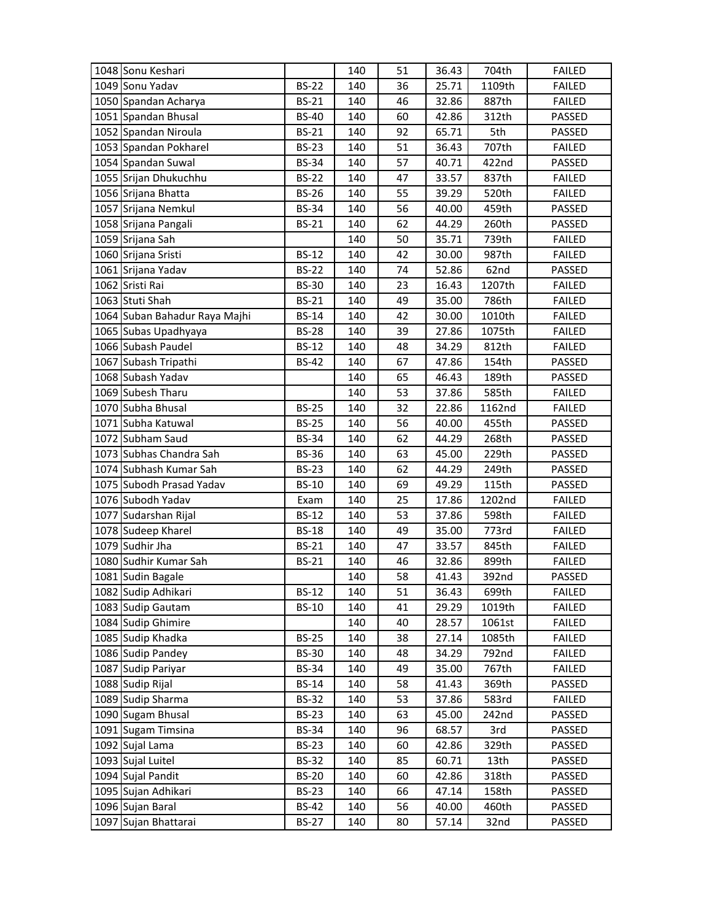| 1048 Sonu Keshari             |              | 140 | 51 | 36.43 | 704th  | <b>FAILED</b> |
|-------------------------------|--------------|-----|----|-------|--------|---------------|
| 1049 Sonu Yadav               | <b>BS-22</b> | 140 | 36 | 25.71 | 1109th | <b>FAILED</b> |
| 1050 Spandan Acharya          | <b>BS-21</b> | 140 | 46 | 32.86 | 887th  | <b>FAILED</b> |
| 1051 Spandan Bhusal           | <b>BS-40</b> | 140 | 60 | 42.86 | 312th  | PASSED        |
| 1052 Spandan Niroula          | <b>BS-21</b> | 140 | 92 | 65.71 | 5th    | PASSED        |
| 1053 Spandan Pokharel         | <b>BS-23</b> | 140 | 51 | 36.43 | 707th  | <b>FAILED</b> |
| 1054 Spandan Suwal            | <b>BS-34</b> | 140 | 57 | 40.71 | 422nd  | PASSED        |
| 1055 Srijan Dhukuchhu         | <b>BS-22</b> | 140 | 47 | 33.57 | 837th  | <b>FAILED</b> |
| 1056 Srijana Bhatta           | <b>BS-26</b> | 140 | 55 | 39.29 | 520th  | <b>FAILED</b> |
| 1057 Srijana Nemkul           | <b>BS-34</b> | 140 | 56 | 40.00 | 459th  | PASSED        |
| 1058 Srijana Pangali          | <b>BS-21</b> | 140 | 62 | 44.29 | 260th  | PASSED        |
| 1059 Srijana Sah              |              | 140 | 50 | 35.71 | 739th  | <b>FAILED</b> |
| 1060 Srijana Sristi           | <b>BS-12</b> | 140 | 42 | 30.00 | 987th  | <b>FAILED</b> |
| 1061 Srijana Yadav            | <b>BS-22</b> | 140 | 74 | 52.86 | 62nd   | PASSED        |
| 1062 Sristi Rai               | <b>BS-30</b> | 140 | 23 | 16.43 | 1207th | <b>FAILED</b> |
| 1063 Stuti Shah               | <b>BS-21</b> | 140 | 49 | 35.00 | 786th  | <b>FAILED</b> |
| 1064 Suban Bahadur Raya Majhi | <b>BS-14</b> | 140 | 42 | 30.00 | 1010th | <b>FAILED</b> |
| 1065 Subas Upadhyaya          | <b>BS-28</b> | 140 | 39 | 27.86 | 1075th | <b>FAILED</b> |
| 1066 Subash Paudel            | <b>BS-12</b> | 140 | 48 | 34.29 | 812th  | <b>FAILED</b> |
| 1067 Subash Tripathi          | <b>BS-42</b> | 140 | 67 | 47.86 | 154th  | PASSED        |
| 1068 Subash Yadav             |              | 140 | 65 | 46.43 | 189th  | PASSED        |
| 1069 Subesh Tharu             |              | 140 | 53 | 37.86 | 585th  | <b>FAILED</b> |
| 1070 Subha Bhusal             | <b>BS-25</b> | 140 | 32 | 22.86 | 1162nd | <b>FAILED</b> |
| 1071 Subha Katuwal            | <b>BS-25</b> | 140 | 56 | 40.00 | 455th  | PASSED        |
| 1072 Subham Saud              | <b>BS-34</b> | 140 | 62 | 44.29 | 268th  | PASSED        |
| 1073 Subhas Chandra Sah       | <b>BS-36</b> | 140 | 63 | 45.00 | 229th  | PASSED        |
| 1074 Subhash Kumar Sah        | <b>BS-23</b> | 140 | 62 | 44.29 | 249th  | PASSED        |
| 1075 Subodh Prasad Yadav      | <b>BS-10</b> | 140 | 69 | 49.29 | 115th  | PASSED        |
| 1076 Subodh Yadav             | Exam         | 140 | 25 | 17.86 | 1202nd | <b>FAILED</b> |
| 1077 Sudarshan Rijal          | <b>BS-12</b> | 140 | 53 | 37.86 | 598th  | <b>FAILED</b> |
| 1078 Sudeep Kharel            | <b>BS-18</b> | 140 | 49 | 35.00 | 773rd  | <b>FAILED</b> |
| 1079 Sudhir Jha               | <b>BS-21</b> | 140 | 47 | 33.57 | 845th  | <b>FAILED</b> |
| 1080 Sudhir Kumar Sah         | <b>BS-21</b> | 140 | 46 | 32.86 | 899th  | <b>FAILED</b> |
| 1081 Sudin Bagale             |              | 140 | 58 | 41.43 | 392nd  | <b>PASSED</b> |
| 1082 Sudip Adhikari           | <b>BS-12</b> | 140 | 51 | 36.43 | 699th  | <b>FAILED</b> |
| 1083 Sudip Gautam             | <b>BS-10</b> | 140 | 41 | 29.29 | 1019th | <b>FAILED</b> |
| 1084 Sudip Ghimire            |              | 140 | 40 | 28.57 | 1061st | <b>FAILED</b> |
| 1085 Sudip Khadka             | <b>BS-25</b> | 140 | 38 | 27.14 | 1085th | <b>FAILED</b> |
| 1086 Sudip Pandey             | <b>BS-30</b> | 140 | 48 | 34.29 | 792nd  | <b>FAILED</b> |
| 1087 Sudip Pariyar            | <b>BS-34</b> | 140 | 49 | 35.00 | 767th  | <b>FAILED</b> |
| 1088 Sudip Rijal              | <b>BS-14</b> | 140 | 58 | 41.43 | 369th  | PASSED        |
| 1089 Sudip Sharma             | <b>BS-32</b> | 140 | 53 | 37.86 | 583rd  | <b>FAILED</b> |
| 1090 Sugam Bhusal             | <b>BS-23</b> | 140 | 63 | 45.00 | 242nd  | PASSED        |
| 1091 Sugam Timsina            | <b>BS-34</b> | 140 | 96 | 68.57 | 3rd    | PASSED        |
| 1092 Sujal Lama               | <b>BS-23</b> | 140 | 60 | 42.86 | 329th  | PASSED        |
| 1093 Sujal Luitel             | <b>BS-32</b> | 140 | 85 | 60.71 | 13th   | PASSED        |
| 1094 Sujal Pandit             | <b>BS-20</b> | 140 | 60 | 42.86 | 318th  | PASSED        |
| 1095 Sujan Adhikari           | <b>BS-23</b> | 140 | 66 | 47.14 | 158th  | PASSED        |
| 1096 Sujan Baral              | <b>BS-42</b> | 140 | 56 | 40.00 | 460th  | PASSED        |
| 1097 Sujan Bhattarai          | <b>BS-27</b> | 140 | 80 | 57.14 | 32nd   | PASSED        |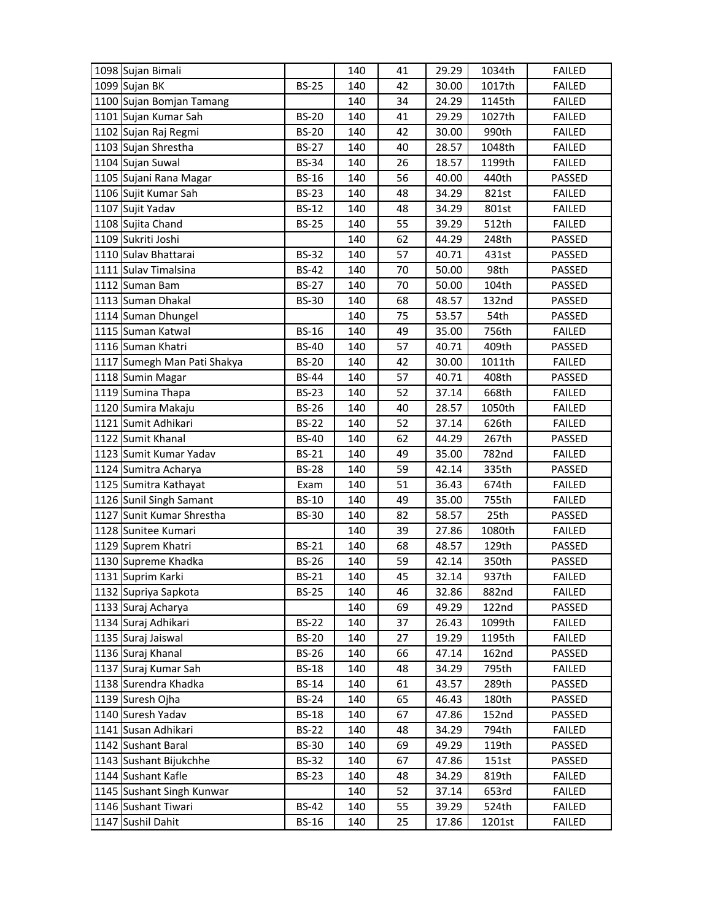| 1098 Sujan Bimali           |              | 140 | 41 | 29.29 | 1034th | <b>FAILED</b> |
|-----------------------------|--------------|-----|----|-------|--------|---------------|
| 1099 Sujan BK               | <b>BS-25</b> | 140 | 42 | 30.00 | 1017th | <b>FAILED</b> |
| 1100 Sujan Bomjan Tamang    |              | 140 | 34 | 24.29 | 1145th | <b>FAILED</b> |
| 1101 Sujan Kumar Sah        | <b>BS-20</b> | 140 | 41 | 29.29 | 1027th | <b>FAILED</b> |
| 1102 Sujan Raj Regmi        | <b>BS-20</b> | 140 | 42 | 30.00 | 990th  | <b>FAILED</b> |
| 1103 Sujan Shrestha         | <b>BS-27</b> | 140 | 40 | 28.57 | 1048th | <b>FAILED</b> |
| 1104 Sujan Suwal            | <b>BS-34</b> | 140 | 26 | 18.57 | 1199th | <b>FAILED</b> |
| 1105 Sujani Rana Magar      | <b>BS-16</b> | 140 | 56 | 40.00 | 440th  | PASSED        |
| 1106 Sujit Kumar Sah        | <b>BS-23</b> | 140 | 48 | 34.29 | 821st  | <b>FAILED</b> |
| 1107 Sujit Yadav            | <b>BS-12</b> | 140 | 48 | 34.29 | 801st  | <b>FAILED</b> |
| 1108 Sujita Chand           | <b>BS-25</b> | 140 | 55 | 39.29 | 512th  | <b>FAILED</b> |
| 1109 Sukriti Joshi          |              | 140 | 62 | 44.29 | 248th  | PASSED        |
| 1110 Sulav Bhattarai        | <b>BS-32</b> | 140 | 57 | 40.71 | 431st  | PASSED        |
| 1111 Sulav Timalsina        | <b>BS-42</b> | 140 | 70 | 50.00 | 98th   | PASSED        |
| 1112 Suman Bam              | <b>BS-27</b> | 140 | 70 | 50.00 | 104th  | PASSED        |
| 1113 Suman Dhakal           | <b>BS-30</b> | 140 | 68 | 48.57 | 132nd  | PASSED        |
| 1114 Suman Dhungel          |              | 140 | 75 | 53.57 | 54th   | PASSED        |
| 1115 Suman Katwal           | <b>BS-16</b> | 140 | 49 | 35.00 | 756th  | <b>FAILED</b> |
| 1116 Suman Khatri           | <b>BS-40</b> | 140 | 57 | 40.71 | 409th  | PASSED        |
| 1117 Sumegh Man Pati Shakya | <b>BS-20</b> | 140 | 42 | 30.00 | 1011th | <b>FAILED</b> |
| 1118 Sumin Magar            | <b>BS-44</b> | 140 | 57 | 40.71 | 408th  | PASSED        |
| 1119 Sumina Thapa           | <b>BS-23</b> | 140 | 52 | 37.14 | 668th  | <b>FAILED</b> |
| 1120 Sumira Makaju          | <b>BS-26</b> | 140 | 40 | 28.57 | 1050th | <b>FAILED</b> |
| 1121 Sumit Adhikari         | <b>BS-22</b> | 140 | 52 | 37.14 | 626th  | <b>FAILED</b> |
| 1122 Sumit Khanal           | <b>BS-40</b> | 140 | 62 | 44.29 | 267th  | PASSED        |
| 1123 Sumit Kumar Yadav      | <b>BS-21</b> | 140 | 49 | 35.00 | 782nd  | <b>FAILED</b> |
| 1124 Sumitra Acharya        | <b>BS-28</b> | 140 | 59 | 42.14 | 335th  | PASSED        |
| 1125 Sumitra Kathayat       | Exam         | 140 | 51 | 36.43 | 674th  | <b>FAILED</b> |
| 1126 Sunil Singh Samant     | <b>BS-10</b> | 140 | 49 | 35.00 | 755th  | <b>FAILED</b> |
| 1127 Sunit Kumar Shrestha   | <b>BS-30</b> | 140 | 82 | 58.57 | 25th   | PASSED        |
| 1128 Sunitee Kumari         |              | 140 | 39 | 27.86 | 1080th | <b>FAILED</b> |
| 1129 Suprem Khatri          | <b>BS-21</b> | 140 | 68 | 48.57 | 129th  | PASSED        |
| 1130 Supreme Khadka         | <b>BS-26</b> | 140 | 59 | 42.14 | 350th  | PASSED        |
| 1131 Suprim Karki           | <b>BS-21</b> | 140 | 45 | 32.14 | 937th  | <b>FAILED</b> |
| 1132 Supriya Sapkota        | <b>BS-25</b> | 140 | 46 | 32.86 | 882nd  | <b>FAILED</b> |
| 1133 Suraj Acharya          |              | 140 | 69 | 49.29 | 122nd  | PASSED        |
| 1134 Suraj Adhikari         | <b>BS-22</b> | 140 | 37 | 26.43 | 1099th | <b>FAILED</b> |
| 1135 Suraj Jaiswal          | <b>BS-20</b> | 140 | 27 | 19.29 | 1195th | <b>FAILED</b> |
| 1136 Suraj Khanal           | <b>BS-26</b> | 140 | 66 | 47.14 | 162nd  | PASSED        |
| 1137 Suraj Kumar Sah        | <b>BS-18</b> | 140 | 48 | 34.29 | 795th  | <b>FAILED</b> |
| 1138 Surendra Khadka        | <b>BS-14</b> | 140 | 61 | 43.57 | 289th  | PASSED        |
| 1139 Suresh Ojha            | <b>BS-24</b> | 140 | 65 | 46.43 | 180th  | PASSED        |
| 1140 Suresh Yadav           | <b>BS-18</b> | 140 | 67 | 47.86 | 152nd  | PASSED        |
| 1141 Susan Adhikari         | <b>BS-22</b> | 140 | 48 | 34.29 | 794th  | <b>FAILED</b> |
| 1142 Sushant Baral          | <b>BS-30</b> | 140 | 69 | 49.29 | 119th  | PASSED        |
| 1143 Sushant Bijukchhe      | <b>BS-32</b> | 140 | 67 | 47.86 | 151st  | PASSED        |
| 1144 Sushant Kafle          | <b>BS-23</b> | 140 | 48 | 34.29 | 819th  | <b>FAILED</b> |
| 1145 Sushant Singh Kunwar   |              | 140 | 52 | 37.14 | 653rd  | <b>FAILED</b> |
| 1146 Sushant Tiwari         | <b>BS-42</b> | 140 | 55 | 39.29 | 524th  | <b>FAILED</b> |
| 1147 Sushil Dahit           | <b>BS-16</b> | 140 | 25 | 17.86 | 1201st | FAILED        |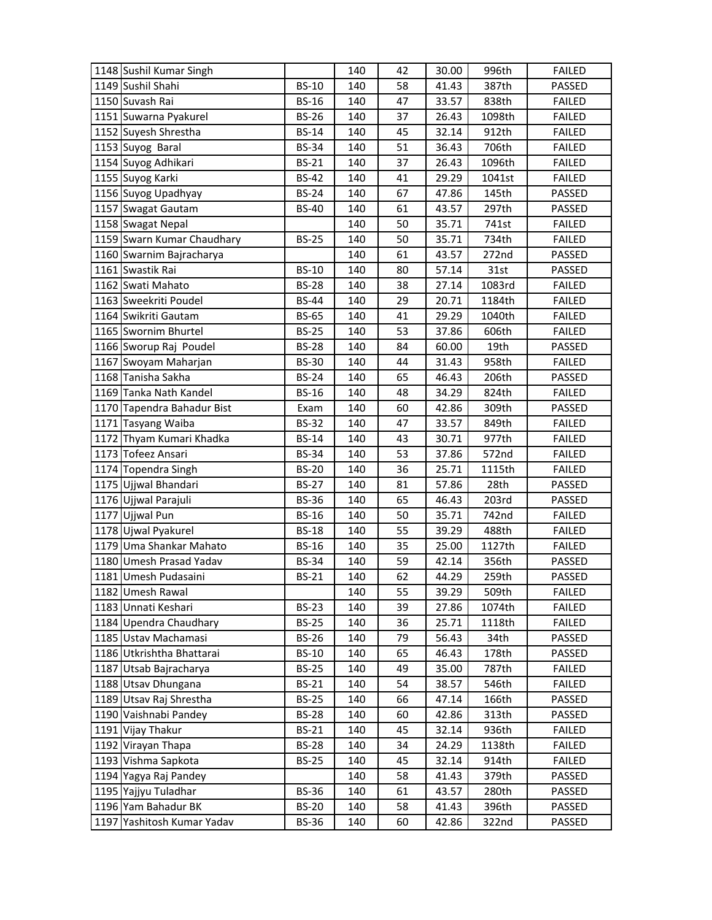|      | 1148 Sushil Kumar Singh                      |                              | 140        | 42       | 30.00          | 996th          | <b>FAILED</b>    |
|------|----------------------------------------------|------------------------------|------------|----------|----------------|----------------|------------------|
|      | 1149 Sushil Shahi                            | <b>BS-10</b>                 | 140        | 58       | 41.43          | 387th          | PASSED           |
|      | 1150 Suvash Rai                              | <b>BS-16</b>                 | 140        | 47       | 33.57          | 838th          | <b>FAILED</b>    |
|      | 1151 Suwarna Pyakurel                        | <b>BS-26</b>                 | 140        | 37       | 26.43          | 1098th         | <b>FAILED</b>    |
|      | 1152 Suyesh Shrestha                         | <b>BS-14</b>                 | 140        | 45       | 32.14          | 912th          | <b>FAILED</b>    |
|      | 1153 Suyog Baral                             | <b>BS-34</b>                 | 140        | 51       | 36.43          | 706th          | <b>FAILED</b>    |
|      | 1154 Suyog Adhikari                          | <b>BS-21</b>                 | 140        | 37       | 26.43          | 1096th         | <b>FAILED</b>    |
|      | 1155 Suyog Karki                             | <b>BS-42</b>                 | 140        | 41       | 29.29          | 1041st         | <b>FAILED</b>    |
|      | 1156 Suyog Upadhyay                          | <b>BS-24</b>                 | 140        | 67       | 47.86          | 145th          | PASSED           |
|      | 1157 Swagat Gautam                           | <b>BS-40</b>                 | 140        | 61       | 43.57          | 297th          | PASSED           |
|      | 1158 Swagat Nepal                            |                              | 140        | 50       | 35.71          | 741st          | <b>FAILED</b>    |
|      | 1159 Swarn Kumar Chaudhary                   | <b>BS-25</b>                 | 140        | 50       | 35.71          | 734th          | <b>FAILED</b>    |
|      | 1160 Swarnim Bajracharya                     |                              | 140        | 61       | 43.57          | 272nd          | PASSED           |
|      | 1161 Swastik Rai                             | <b>BS-10</b>                 | 140        | 80       | 57.14          | 31st           | PASSED           |
|      | 1162 Swati Mahato                            | <b>BS-28</b>                 | 140        | 38       | 27.14          | 1083rd         | <b>FAILED</b>    |
|      | 1163 Sweekriti Poudel                        | <b>BS-44</b>                 | 140        | 29       | 20.71          | 1184th         | <b>FAILED</b>    |
|      | 1164 Swikriti Gautam                         | <b>BS-65</b>                 | 140        | 41       | 29.29          | 1040th         | <b>FAILED</b>    |
|      | 1165 Swornim Bhurtel                         | <b>BS-25</b>                 | 140        | 53       | 37.86          | 606th          | <b>FAILED</b>    |
|      | 1166 Sworup Raj Poudel                       | <b>BS-28</b>                 | 140        | 84       | 60.00          | 19th           | PASSED           |
|      | 1167 Swoyam Maharjan                         | <b>BS-30</b>                 | 140        | 44       | 31.43          | 958th          | <b>FAILED</b>    |
|      | 1168 Tanisha Sakha                           | <b>BS-24</b>                 | 140        | 65       | 46.43          | 206th          | PASSED           |
|      | 1169 Tanka Nath Kandel                       | <b>BS-16</b>                 | 140        | 48       | 34.29          | 824th          | <b>FAILED</b>    |
|      | 1170 Tapendra Bahadur Bist                   | Exam                         | 140        | 60       | 42.86          | 309th          | PASSED           |
|      | 1171 Tasyang Waiba                           | <b>BS-32</b>                 | 140        | 47       | 33.57          | 849th          | <b>FAILED</b>    |
|      | 1172 Thyam Kumari Khadka                     | <b>BS-14</b>                 | 140        | 43       | 30.71          | 977th          | <b>FAILED</b>    |
|      | 1173 Tofeez Ansari                           | <b>BS-34</b>                 | 140        | 53       | 37.86          | 572nd          | <b>FAILED</b>    |
|      |                                              |                              |            |          |                |                |                  |
|      | 1174 Topendra Singh                          | <b>BS-20</b>                 | 140        | 36       | 25.71          | 1115th         | <b>FAILED</b>    |
|      | 1175 Ujjwal Bhandari                         | <b>BS-27</b>                 | 140        | 81       | 57.86          | 28th           | PASSED           |
|      | 1176 Ujjwal Parajuli                         | <b>BS-36</b>                 | 140        | 65       | 46.43          | 203rd          | PASSED           |
|      | 1177 Ujjwal Pun                              | <b>BS-16</b>                 | 140        | 50       | 35.71          | 742nd          | <b>FAILED</b>    |
|      | 1178 Ujwal Pyakurel                          | <b>BS-18</b>                 | 140        | 55       | 39.29          | 488th          | <b>FAILED</b>    |
|      | 1179 Uma Shankar Mahato                      | <b>BS-16</b>                 | 140        | 35       | 25.00          | 1127th         | <b>FAILED</b>    |
|      | 1180 Umesh Prasad Yadav                      | <b>BS-34</b>                 | 140        | 59       | 42.14          | 356th          | PASSED           |
|      | 1181 Umesh Pudasaini                         | <b>BS-21</b>                 | 140        | 62       | 44.29          | 259th          | PASSED           |
|      | 1182 Umesh Rawal                             |                              | 140        | 55       | 39.29          | 509th          | <b>FAILED</b>    |
|      | 1183 Unnati Keshari                          | <b>BS-23</b>                 | 140        | 39       | 27.86          | 1074th         | <b>FAILED</b>    |
|      | 1184 Upendra Chaudhary                       | <b>BS-25</b>                 | 140        | 36       | 25.71          | 1118th         | <b>FAILED</b>    |
|      | 1185 Ustav Machamasi                         | <b>BS-26</b>                 | 140        | 79       | 56.43          | 34th           | PASSED           |
|      | 1186 Utkrishtha Bhattarai                    | <b>BS-10</b>                 | 140        | 65       | 46.43          | 178th          | PASSED           |
|      | 1187 Utsab Bajracharya                       | <b>BS-25</b>                 | 140        | 49       | 35.00          | 787th          | <b>FAILED</b>    |
|      | 1188 Utsav Dhungana                          | <b>BS-21</b>                 | 140        | 54       | 38.57          | 546th          | <b>FAILED</b>    |
|      | 1189 Utsav Raj Shrestha                      | <b>BS-25</b>                 | 140        | 66       | 47.14          | 166th          | PASSED           |
|      | 1190 Vaishnabi Pandey                        | <b>BS-28</b>                 | 140        | 60       | 42.86          | 313th          | PASSED           |
|      | 1191 Vijay Thakur                            | <b>BS-21</b>                 | 140        | 45       | 32.14          | 936th          | <b>FAILED</b>    |
|      | 1192 Virayan Thapa                           | <b>BS-28</b>                 | 140        | 34       | 24.29          | 1138th         | <b>FAILED</b>    |
|      | 1193 Vishma Sapkota                          | <b>BS-25</b>                 | 140        | 45       | 32.14          | 914th          | <b>FAILED</b>    |
|      | 1194 Yagya Raj Pandey                        |                              | 140        | 58       | 41.43          | 379th          | PASSED           |
|      | 1195 Yajjyu Tuladhar                         | <b>BS-36</b>                 | 140        | 61       | 43.57          | 280th          | PASSED           |
| 1197 | 1196 Yam Bahadur BK<br>Yashitosh Kumar Yadav | <b>BS-20</b><br><b>BS-36</b> | 140<br>140 | 58<br>60 | 41.43<br>42.86 | 396th<br>322nd | PASSED<br>PASSED |